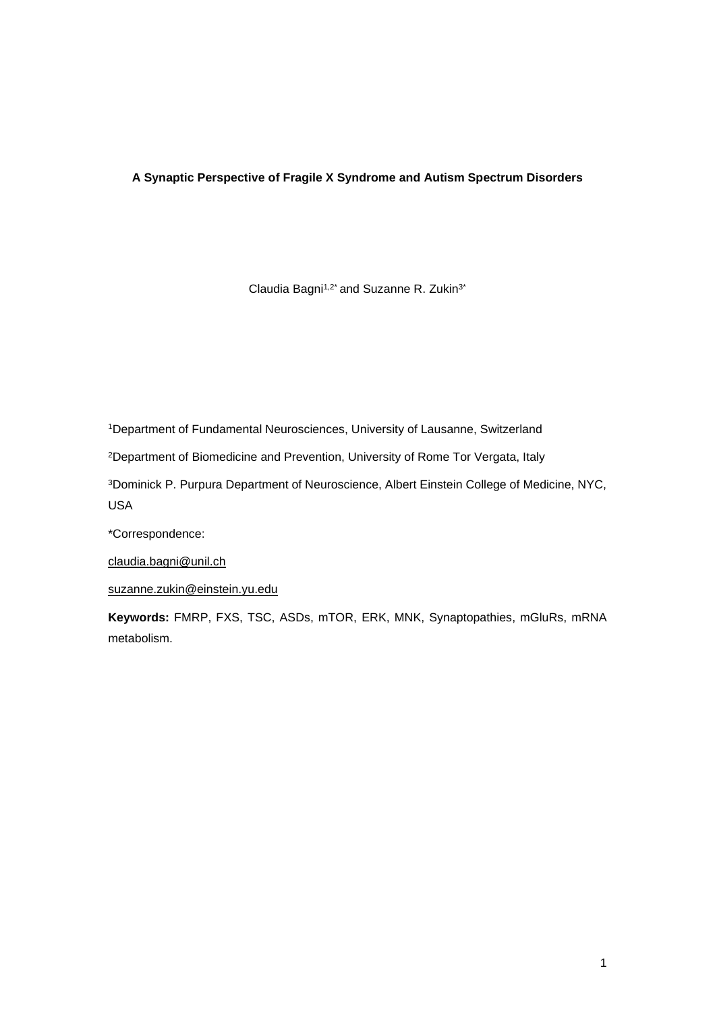# **A Synaptic Perspective of Fragile X Syndrome and Autism Spectrum Disorders**

Claudia Bagni<sup>1,2\*</sup> and Suzanne R. Zukin<sup>3\*</sup>

<sup>1</sup>Department of Fundamental Neurosciences, University of Lausanne, Switzerland

<sup>2</sup>Department of Biomedicine and Prevention, University of Rome Tor Vergata, Italy

<sup>3</sup>Dominick P. Purpura Department of Neuroscience, Albert Einstein College of Medicine, NYC, USA

\*Correspondence:

[claudia.bagni@unil.ch](mailto:claudia.bagni@unil.ch)

[suzanne.zukin@einstein.yu.edu](mailto:suzanne.zukin@einstein.yu.edu)

**Keywords:** FMRP, FXS, TSC, ASDs, mTOR, ERK, MNK, Synaptopathies, mGluRs, mRNA metabolism.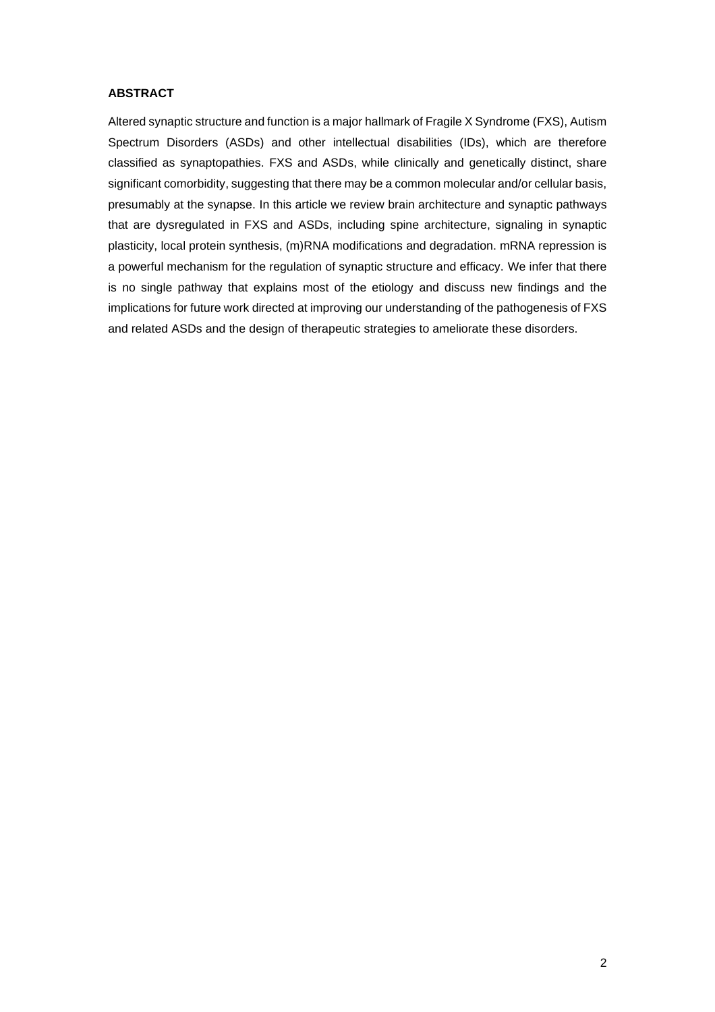# **ABSTRACT**

Altered synaptic structure and function is a major hallmark of Fragile X Syndrome (FXS), Autism Spectrum Disorders (ASDs) and other intellectual disabilities (IDs), which are therefore classified as synaptopathies. FXS and ASDs, while clinically and genetically distinct, share significant comorbidity, suggesting that there may be a common molecular and/or cellular basis, presumably at the synapse. In this article we review brain architecture and synaptic pathways that are dysregulated in FXS and ASDs, including spine architecture, signaling in synaptic plasticity, local protein synthesis, (m)RNA modifications and degradation. mRNA repression is a powerful mechanism for the regulation of synaptic structure and efficacy. We infer that there is no single pathway that explains most of the etiology and discuss new findings and the implications for future work directed at improving our understanding of the pathogenesis of FXS and related ASDs and the design of therapeutic strategies to ameliorate these disorders.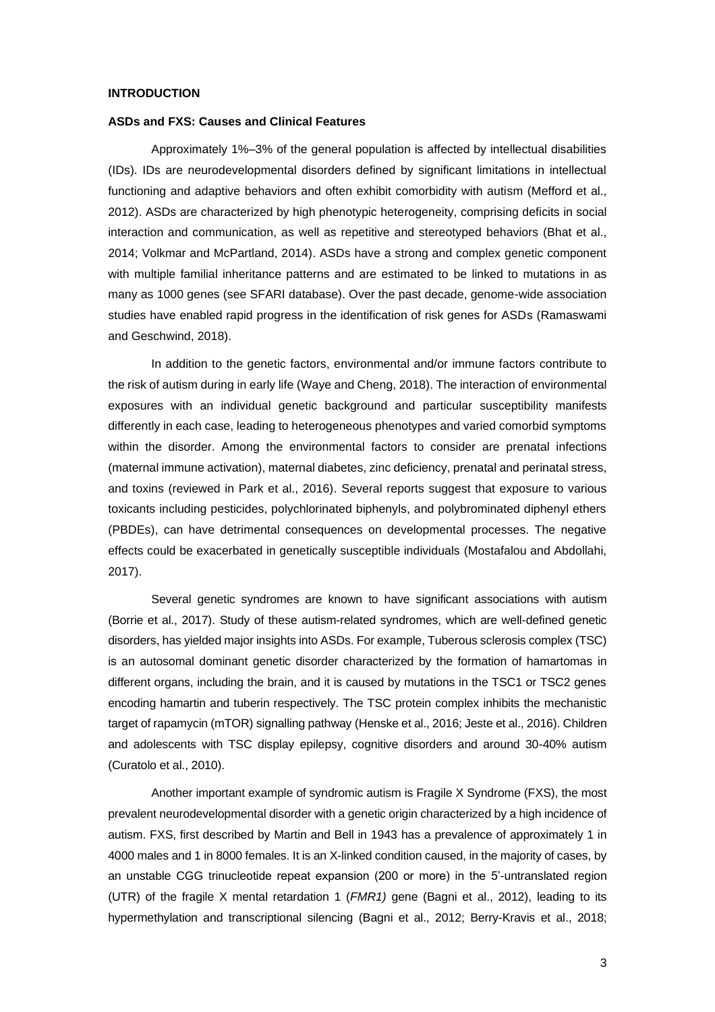#### **INTRODUCTION**

#### **ASDs and FXS: Causes and Clinical Features**

Approximately 1%–3% of the general population is affected by intellectual disabilities (IDs). IDs are neurodevelopmental disorders defined by significant limitations in intellectual functioning and adaptive behaviors and often exhibit comorbidity with autism (Mefford et al., 2012). ASDs are characterized by high phenotypic heterogeneity, comprising deficits in social interaction and communication, as well as repetitive and stereotyped behaviors (Bhat et al., 2014; Volkmar and McPartland, 2014). ASDs have a strong and complex genetic component with multiple familial inheritance patterns and are estimated to be linked to mutations in as many as 1000 genes (see SFARI database). Over the past decade, genome-wide association studies have enabled rapid progress in the identification of risk genes for ASDs (Ramaswami and Geschwind, 2018).

In addition to the genetic factors, environmental and/or immune factors contribute to the risk of autism during in early life (Waye and Cheng, 2018). The interaction of environmental exposures with an individual genetic background and particular susceptibility manifests differently in each case, leading to heterogeneous phenotypes and varied comorbid symptoms within the disorder. Among the environmental factors to consider are prenatal infections (maternal immune activation), maternal diabetes, zinc deficiency, prenatal and perinatal stress, and toxins (reviewed in Park et al., 2016). Several reports suggest that exposure to various toxicants including pesticides, polychlorinated biphenyls, and polybrominated diphenyl ethers (PBDEs), can have detrimental consequences on developmental processes. The negative effects could be exacerbated in genetically susceptible individuals (Mostafalou and Abdollahi, 2017).

Several genetic syndromes are known to have significant associations with autism (Borrie et al., 2017). Study of these autism-related syndromes, which are well-defined genetic disorders, has yielded major insights into ASDs. For example, Tuberous sclerosis complex (TSC) is an autosomal dominant genetic disorder characterized by the formation of hamartomas in different organs, including the brain, and it is caused by mutations in the TSC1 or TSC2 genes encoding hamartin and tuberin respectively. The TSC protein complex inhibits the mechanistic target of rapamycin (mTOR) signalling pathway (Henske et al., 2016; Jeste et al., 2016). Children and adolescents with TSC display epilepsy, cognitive disorders and around 30-40% autism (Curatolo et al., 2010).

Another important example of syndromic autism is Fragile X Syndrome (FXS), the most prevalent neurodevelopmental disorder with a genetic origin characterized by a high incidence of autism. FXS, first described by Martin and Bell in 1943 has a prevalence of approximately 1 in 4000 males and 1 in 8000 females. It is an X-linked condition caused, in the majority of cases, by an unstable CGG trinucleotide repeat expansion (200 or more) in the 5'-untranslated region (UTR) of the fragile X mental retardation 1 (*FMR1)* gene (Bagni et al., 2012), leading to its hypermethylation and transcriptional silencing (Bagni et al., 2012; Berry-Kravis et al., 2018;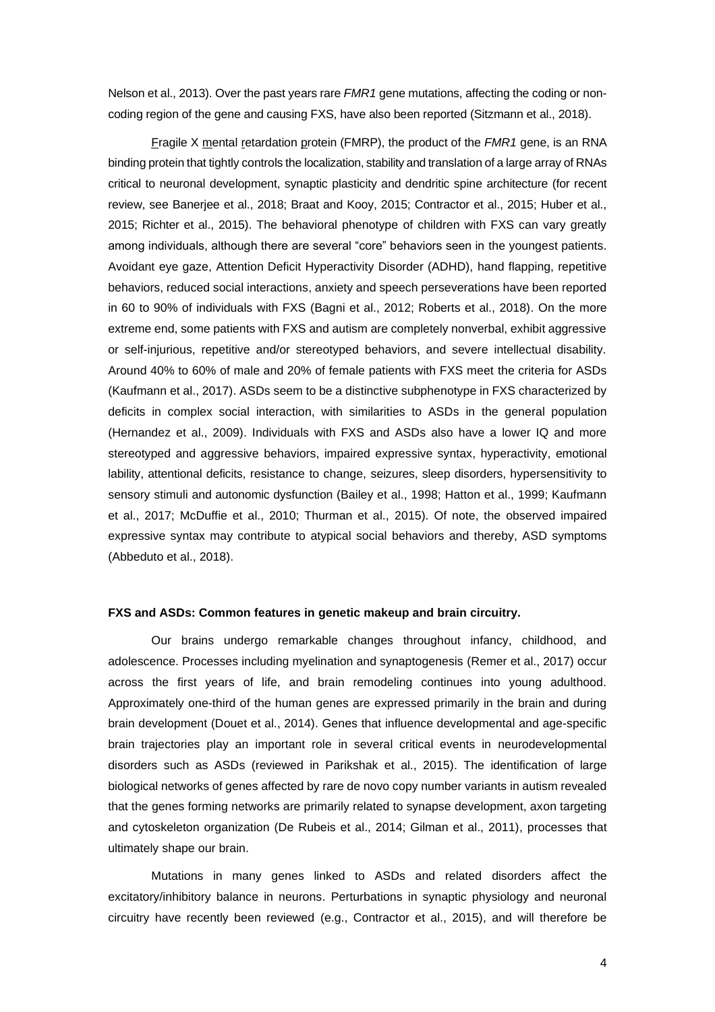Nelson et al., 2013). Over the past years rare *FMR1* gene mutations, affecting the coding or noncoding region of the gene and causing FXS, have also been reported (Sitzmann et al., 2018).

Fragile X mental retardation protein (FMRP), the product of the *FMR1* gene, is an RNA binding protein that tightly controls the localization, stability and translation of a large array of RNAs critical to neuronal development, synaptic plasticity and dendritic spine architecture (for recent review, see Banerjee et al., 2018; Braat and Kooy, 2015; Contractor et al., 2015; Huber et al., 2015; Richter et al., 2015). The behavioral phenotype of children with FXS can vary greatly among individuals, although there are several "core" behaviors seen in the youngest patients. Avoidant eye gaze, Attention Deficit Hyperactivity Disorder (ADHD), hand flapping, repetitive behaviors, reduced social interactions, anxiety and speech perseverations have been reported in 60 to 90% of individuals with FXS (Bagni et al., 2012; Roberts et al., 2018). On the more extreme end, some patients with FXS and autism are completely nonverbal, exhibit aggressive or self-injurious, repetitive and/or stereotyped behaviors, and severe intellectual disability. Around 40% to 60% of male and 20% of female patients with FXS meet the criteria for ASDs (Kaufmann et al., 2017). ASDs seem to be a distinctive subphenotype in FXS characterized by deficits in complex social interaction, with similarities to ASDs in the general population (Hernandez et al., 2009). Individuals with FXS and ASDs also have a lower IQ and more stereotyped and aggressive behaviors, impaired expressive syntax, hyperactivity, emotional lability, attentional deficits, resistance to change, seizures, sleep disorders, hypersensitivity to sensory stimuli and autonomic dysfunction (Bailey et al., 1998; Hatton et al., 1999; Kaufmann et al., 2017; McDuffie et al., 2010; Thurman et al., 2015). Of note, the observed impaired expressive syntax may contribute to atypical social behaviors and thereby, ASD symptoms (Abbeduto et al., 2018).

#### **FXS and ASDs: Common features in genetic makeup and brain circuitry.**

Our brains undergo remarkable changes throughout infancy, childhood, and adolescence. Processes including myelination and synaptogenesis (Remer et al., 2017) occur across the first years of life, and brain remodeling continues into young adulthood. Approximately one-third of the human genes are expressed primarily in the brain and during brain development (Douet et al., 2014). Genes that influence developmental and age-specific brain trajectories play an important role in several critical events in neurodevelopmental disorders such as ASDs (reviewed in Parikshak et al., 2015). The identification of large biological networks of genes affected by rare de novo copy number variants in autism revealed that the genes forming networks are primarily related to synapse development, axon targeting and cytoskeleton organization (De Rubeis et al., 2014; Gilman et al., 2011), processes that ultimately shape our brain.

Mutations in many genes linked to ASDs and related disorders affect the excitatory/inhibitory balance in neurons. Perturbations in synaptic physiology and neuronal circuitry have recently been reviewed (e.g., Contractor et al., 2015), and will therefore be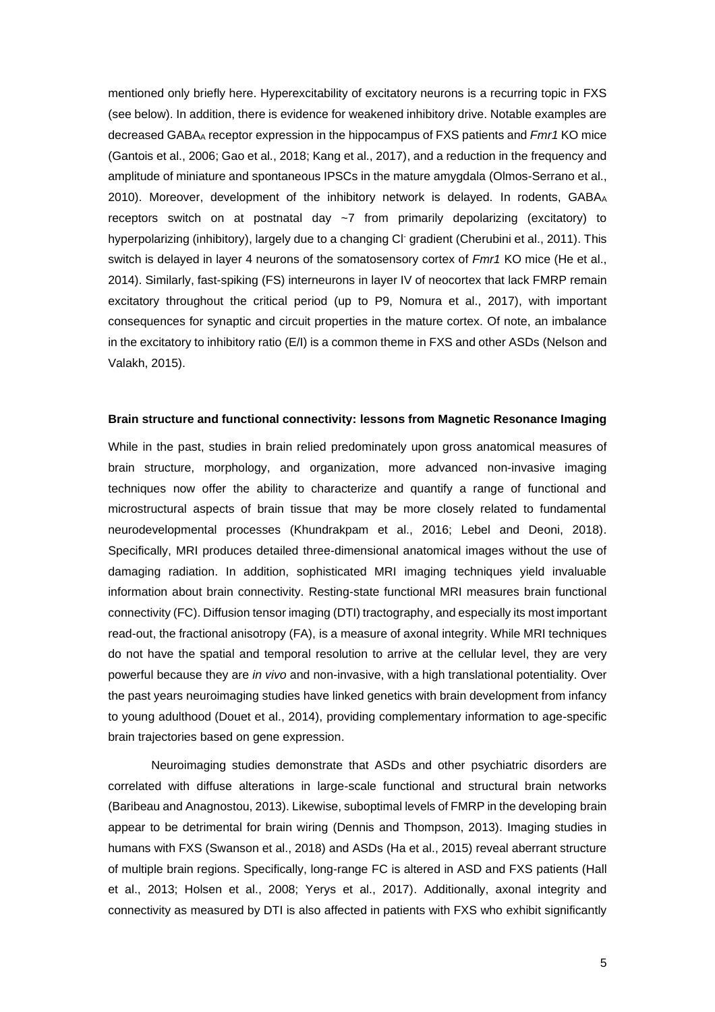mentioned only briefly here. Hyperexcitability of excitatory neurons is a recurring topic in FXS (see below). In addition, there is evidence for weakened inhibitory drive. Notable examples are decreased GABA<sup>A</sup> receptor expression in the hippocampus of FXS patients and *Fmr1* KO mice (Gantois et al., 2006; Gao et al., 2018; Kang et al., 2017), and a reduction in the frequency and amplitude of miniature and spontaneous IPSCs in the mature amygdala (Olmos-Serrano et al., 2010). Moreover, development of the inhibitory network is delayed. In rodents, GABA<sup>A</sup> receptors switch on at postnatal day  $\sim$ 7 from primarily depolarizing (excitatory) to hyperpolarizing (inhibitory), largely due to a changing CI<sup>-</sup> gradient (Cherubini et al., 2011). This switch is delayed in layer 4 neurons of the somatosensory cortex of *Fmr1* KO mice (He et al., 2014). Similarly, fast-spiking (FS) interneurons in layer IV of neocortex that lack FMRP remain excitatory throughout the critical period (up to P9, Nomura et al., 2017), with important consequences for synaptic and circuit properties in the mature cortex. Of note, an imbalance in the excitatory to inhibitory ratio (E/I) is a common theme in FXS and other ASDs (Nelson and Valakh, 2015).

# **Brain structure and functional connectivity: lessons from Magnetic Resonance Imaging**

While in the past, studies in brain relied predominately upon gross anatomical measures of brain structure, morphology, and organization, more advanced non-invasive imaging techniques now offer the ability to characterize and quantify a range of functional and microstructural aspects of brain tissue that may be more closely related to fundamental neurodevelopmental processes (Khundrakpam et al., 2016; Lebel and Deoni, 2018). Specifically, MRI produces detailed three-dimensional anatomical images without the use of damaging radiation. In addition, sophisticated MRI imaging techniques yield invaluable information about brain connectivity. Resting-state functional MRI measures brain functional connectivity (FC). Diffusion tensor imaging (DTI) tractography, and especially its most important read-out, the fractional anisotropy (FA), is a measure of axonal integrity. While MRI techniques do not have the spatial and temporal resolution to arrive at the cellular level, they are very powerful because they are *in vivo* and non-invasive, with a high translational potentiality. Over the past years neuroimaging studies have linked genetics with brain development from infancy to young adulthood (Douet et al., 2014), providing complementary information to age-specific brain trajectories based on gene expression.

Neuroimaging studies demonstrate that ASDs and other psychiatric disorders are correlated with diffuse alterations in large-scale functional and structural brain networks (Baribeau and Anagnostou, 2013). Likewise, suboptimal levels of FMRP in the developing brain appear to be detrimental for brain wiring (Dennis and Thompson, 2013). Imaging studies in humans with FXS (Swanson et al., 2018) and ASDs (Ha et al., 2015) reveal aberrant structure of multiple brain regions. Specifically, long-range FC is altered in ASD and FXS patients (Hall et al., 2013; Holsen et al., 2008; Yerys et al., 2017). Additionally, axonal integrity and connectivity as measured by DTI is also affected in patients with FXS who exhibit significantly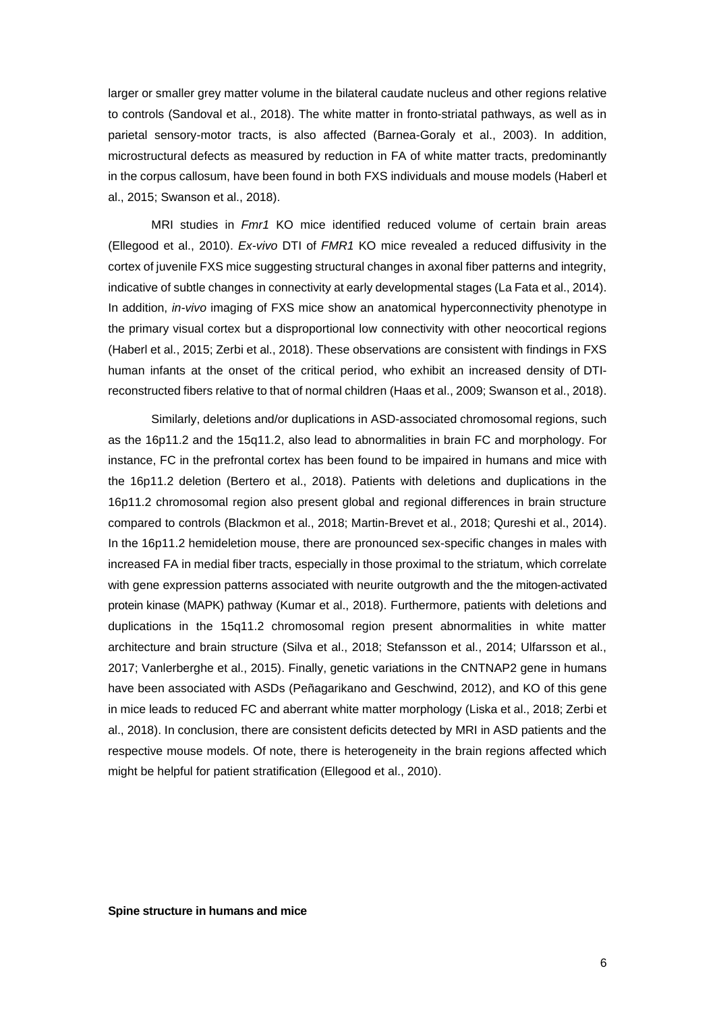larger or smaller grey matter volume in the bilateral caudate nucleus and other regions relative to controls (Sandoval et al., 2018). The white matter in fronto-striatal pathways, as well as in parietal sensory-motor tracts, is also affected (Barnea-Goraly et al., 2003). In addition, microstructural defects as measured by reduction in FA of white matter tracts, predominantly in the corpus callosum, have been found in both FXS individuals and mouse models (Haberl et al., 2015; Swanson et al., 2018).

MRI studies in *Fmr1* KO mice identified reduced volume of certain brain areas (Ellegood et al., 2010). *Ex-vivo* DTI of *FMR1* KO mice revealed a reduced diffusivity in the cortex of juvenile FXS mice suggesting structural changes in axonal fiber patterns and integrity, indicative of subtle changes in connectivity at early developmental stages (La Fata et al., 2014). In addition, *in-vivo* imaging of FXS mice show an anatomical hyperconnectivity phenotype in the primary visual cortex but a disproportional low connectivity with other neocortical regions (Haberl et al., 2015; Zerbi et al., 2018). These observations are consistent with findings in FXS human infants at the onset of the critical period, who exhibit an increased density of DTIreconstructed fibers relative to that of normal children (Haas et al., 2009; Swanson et al., 2018).

Similarly, deletions and/or duplications in ASD-associated chromosomal regions, such as the 16p11.2 and the 15q11.2, also lead to abnormalities in brain FC and morphology. For instance, FC in the prefrontal cortex has been found to be impaired in humans and mice with the 16p11.2 deletion (Bertero et al., 2018). Patients with deletions and duplications in the 16p11.2 chromosomal region also present global and regional differences in brain structure compared to controls (Blackmon et al., 2018; Martin-Brevet et al., 2018; Qureshi et al., 2014). In the 16p11.2 hemideletion mouse, there are pronounced sex-specific changes in males with increased FA in medial fiber tracts, especially in those proximal to the striatum, which correlate with gene expression patterns associated with neurite outgrowth and the the mitogen-activated protein kinase (MAPK) pathway (Kumar et al., 2018). Furthermore, patients with deletions and duplications in the 15q11.2 chromosomal region present abnormalities in white matter architecture and brain structure (Silva et al., 2018; Stefansson et al., 2014; Ulfarsson et al., 2017; Vanlerberghe et al., 2015). Finally, genetic variations in the CNTNAP2 gene in humans have been associated with ASDs (Peñagarikano and Geschwind, 2012), and KO of this gene in mice leads to reduced FC and aberrant white matter morphology (Liska et al., 2018; Zerbi et al., 2018). In conclusion, there are consistent deficits detected by MRI in ASD patients and the respective mouse models. Of note, there is heterogeneity in the brain regions affected which might be helpful for patient stratification (Ellegood et al., 2010).

**Spine structure in humans and mice**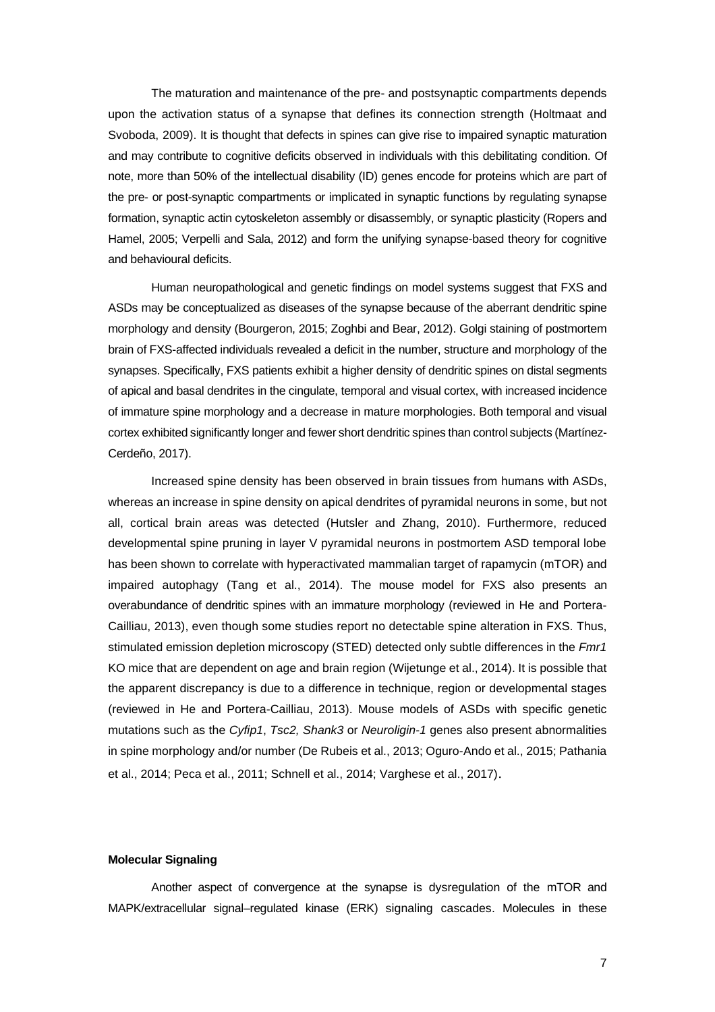The maturation and maintenance of the pre- and postsynaptic compartments depends upon the activation status of a synapse that defines its connection strength (Holtmaat and Svoboda, 2009). It is thought that defects in spines can give rise to impaired synaptic maturation and may contribute to cognitive deficits observed in individuals with this debilitating condition. Of note, more than 50% of the intellectual disability (ID) genes encode for proteins which are part of the pre- or post-synaptic compartments or implicated in synaptic functions by regulating synapse formation, synaptic actin cytoskeleton assembly or disassembly, or synaptic plasticity (Ropers and Hamel, 2005; Verpelli and Sala, 2012) and form the unifying synapse-based theory for cognitive and behavioural deficits.

Human neuropathological and genetic findings on model systems suggest that FXS and ASDs may be conceptualized as diseases of the synapse because of the aberrant dendritic spine morphology and density (Bourgeron, 2015; Zoghbi and Bear, 2012). Golgi staining of postmortem brain of FXS-affected individuals revealed a deficit in the number, structure and morphology of the synapses. Specifically, FXS patients exhibit a higher density of dendritic spines on distal segments of apical and basal dendrites in the cingulate, temporal and visual cortex, with increased incidence of immature spine morphology and a decrease in mature morphologies. Both temporal and visual cortex exhibited significantly longer and fewer short dendritic spines than control subjects (Martínez-Cerdeño, 2017).

Increased spine density has been observed in brain tissues from humans with ASDs, whereas an increase in spine density on apical dendrites of pyramidal neurons in some, but not all, cortical brain areas was detected (Hutsler and Zhang, 2010). Furthermore, reduced developmental spine pruning in layer V pyramidal neurons in postmortem ASD temporal lobe has been shown to correlate with hyperactivated mammalian target of rapamycin (mTOR) and impaired autophagy (Tang et al., 2014). The mouse model for FXS also presents an overabundance of dendritic spines with an immature morphology (reviewed in He and Portera-Cailliau, 2013), even though some studies report no detectable spine alteration in FXS. Thus, stimulated emission depletion microscopy (STED) detected only subtle differences in the *Fmr1* KO mice that are dependent on age and brain region (Wijetunge et al., 2014). It is possible that the apparent discrepancy is due to a difference in technique, region or developmental stages (reviewed in He and Portera-Cailliau, 2013). Mouse models of ASDs with specific genetic mutations such as the *Cyfip1*, *Tsc2, Shank3* or *Neuroligin-1* genes also present abnormalities in spine morphology and/or number (De Rubeis et al., 2013; Oguro-Ando et al., 2015; Pathania et al., 2014; Peca et al., 2011; Schnell et al., 2014; Varghese et al., 2017).

#### **Molecular Signaling**

Another aspect of convergence at the synapse is dysregulation of the mTOR and MAPK/extracellular signal–regulated kinase (ERK) signaling cascades. Molecules in these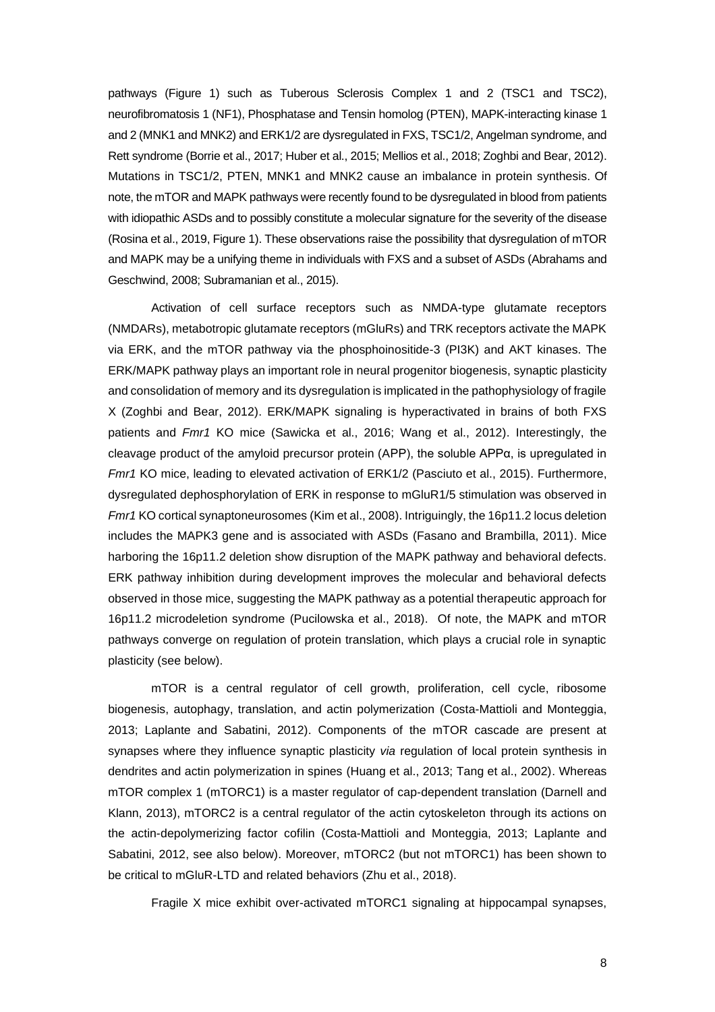pathways (Figure 1) such as Tuberous Sclerosis Complex 1 and 2 (TSC1 and TSC2), neurofibromatosis 1 (NF1), Phosphatase and Tensin homolog (PTEN), MAPK-interacting kinase 1 and 2 (MNK1 and MNK2) and ERK1/2 are dysregulated in FXS, TSC1/2, Angelman syndrome, and Rett syndrome (Borrie et al., 2017; Huber et al., 2015; Mellios et al., 2018; Zoghbi and Bear, 2012). Mutations in TSC1/2, PTEN, MNK1 and MNK2 cause an imbalance in protein synthesis. Of note, the mTOR and MAPK pathways were recently found to be dysregulated in blood from patients with idiopathic ASDs and to possibly constitute a molecular signature for the severity of the disease (Rosina et al., 2019, Figure 1). These observations raise the possibility that dysregulation of mTOR and MAPK may be a unifying theme in individuals with FXS and a subset of ASDs (Abrahams and Geschwind, 2008; Subramanian et al., 2015).

Activation of cell surface receptors such as NMDA-type glutamate receptors (NMDARs), metabotropic glutamate receptors (mGluRs) and TRK receptors activate the MAPK via ERK, and the mTOR pathway via the phosphoinositide-3 (PI3K) and AKT kinases. The ERK/MAPK pathway plays an important role in neural progenitor biogenesis, synaptic plasticity and consolidation of memory and its dysregulation is implicated in the pathophysiology of fragile X (Zoghbi and Bear, 2012). ERK/MAPK signaling is hyperactivated in brains of both FXS patients and *Fmr1* KO mice (Sawicka et al., 2016; Wang et al., 2012). Interestingly, the cleavage product of the amyloid precursor protein (APP), the soluble APPα, is upregulated in *Fmr1* KO mice, leading to elevated activation of ERK1/2 (Pasciuto et al., 2015). Furthermore, dysregulated dephosphorylation of ERK in response to mGluR1/5 stimulation was observed in *Fmr1* KO cortical synaptoneurosomes (Kim et al., 2008). Intriguingly, the 16p11.2 locus deletion includes the MAPK3 gene and is associated with ASDs (Fasano and Brambilla, 2011). Mice harboring the 16p11.2 deletion show disruption of the MAPK pathway and behavioral defects. ERK pathway inhibition during development improves the molecular and behavioral defects observed in those mice, suggesting the MAPK pathway as a potential therapeutic approach for 16p11.2 microdeletion syndrome (Pucilowska et al., 2018). Of note, the MAPK and mTOR pathways converge on regulation of protein translation, which plays a crucial role in synaptic plasticity (see below).

mTOR is a central regulator of cell growth, proliferation, cell cycle, ribosome biogenesis, autophagy, translation, and actin polymerization (Costa-Mattioli and Monteggia, 2013; Laplante and Sabatini, 2012). Components of the mTOR cascade are present at synapses where they influence synaptic plasticity *via* regulation of local protein synthesis in dendrites and actin polymerization in spines (Huang et al., 2013; Tang et al., 2002). Whereas mTOR complex 1 (mTORC1) is a master regulator of cap-dependent translation (Darnell and Klann, 2013), mTORC2 is a central regulator of the actin cytoskeleton through its actions on the actin-depolymerizing factor cofilin (Costa-Mattioli and Monteggia, 2013; Laplante and Sabatini, 2012, see also below). Moreover, mTORC2 (but not mTORC1) has been shown to be critical to mGluR-LTD and related behaviors (Zhu et al., 2018).

Fragile X mice exhibit over-activated mTORC1 signaling at hippocampal synapses,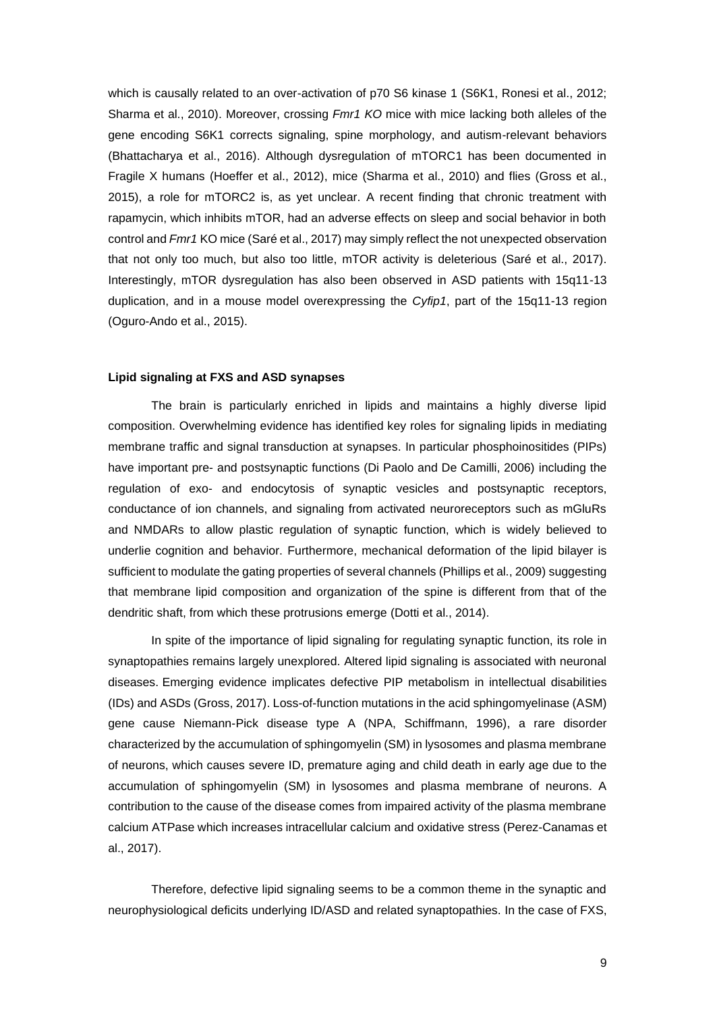which is causally related to an over-activation of p70 S6 kinase 1 (S6K1, Ronesi et al., 2012; Sharma et al., 2010). Moreover, crossing *Fmr1 KO* mice with mice lacking both alleles of the gene encoding S6K1 corrects signaling, spine morphology, and autism-relevant behaviors (Bhattacharya et al., 2016). Although dysregulation of mTORC1 has been documented in Fragile X humans (Hoeffer et al., 2012), mice (Sharma et al., 2010) and flies (Gross et al., 2015), a role for mTORC2 is, as yet unclear. A recent finding that chronic treatment with rapamycin, which inhibits mTOR, had an adverse effects on sleep and social behavior in both control and *Fmr1* KO mice (Saré et al., 2017) may simply reflect the not unexpected observation that not only too much, but also too little, mTOR activity is deleterious (Saré et al., 2017). Interestingly, mTOR dysregulation has also been observed in ASD patients with 15q11-13 duplication, and in a mouse model overexpressing the *Cyfip1*, part of the 15q11-13 region (Oguro-Ando et al., 2015).

#### **Lipid signaling at FXS and ASD synapses**

The brain is particularly enriched in lipids and maintains a highly diverse lipid composition. Overwhelming evidence has identified key roles for signaling lipids in mediating membrane traffic and signal transduction at synapses. In particular phosphoinositides (PIPs) have important pre- and postsynaptic functions (Di Paolo and De Camilli, 2006) including the regulation of exo- and endocytosis of synaptic vesicles and postsynaptic receptors, conductance of ion channels, and signaling from activated neuroreceptors such as mGluRs and NMDARs to allow plastic regulation of synaptic function, which is widely believed to underlie cognition and behavior. Furthermore, mechanical deformation of the lipid bilayer is sufficient to modulate the gating properties of several channels (Phillips et al., 2009) suggesting that membrane lipid composition and organization of the spine is different from that of the dendritic shaft, from which these protrusions emerge (Dotti et al., 2014).

In spite of the importance of lipid signaling for regulating synaptic function, its role in synaptopathies remains largely unexplored. Altered lipid signaling is associated with neuronal diseases. Emerging evidence implicates defective PIP metabolism in intellectual disabilities (IDs) and ASDs (Gross, 2017). Loss-of-function mutations in the acid sphingomyelinase (ASM) gene cause Niemann-Pick disease type A (NPA, Schiffmann, 1996), a rare disorder characterized by the accumulation of sphingomyelin (SM) in lysosomes and plasma membrane of neurons, which causes severe ID, premature aging and child death in early age due to the accumulation of sphingomyelin (SM) in lysosomes and plasma membrane of neurons. A contribution to the cause of the disease comes from impaired activity of the plasma membrane calcium ATPase which increases intracellular calcium and oxidative stress (Perez-Canamas et al., 2017).

Therefore, defective lipid signaling seems to be a common theme in the synaptic and neurophysiological deficits underlying ID/ASD and related synaptopathies. In the case of FXS,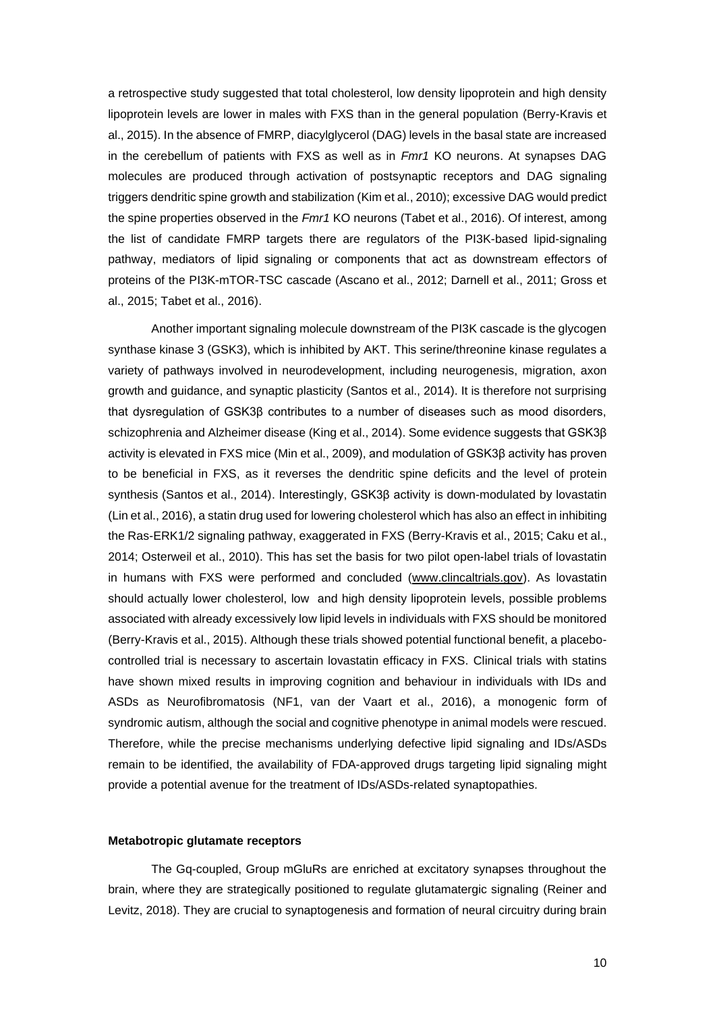a retrospective study suggested that total cholesterol, low density lipoprotein and high density lipoprotein levels are lower in males with FXS than in the general population (Berry-Kravis et al., 2015). In the absence of FMRP, diacylglycerol (DAG) levels in the basal state are increased in the cerebellum of patients with FXS as well as in *Fmr1* KO neurons. At synapses DAG molecules are produced through activation of postsynaptic receptors and DAG signaling triggers dendritic spine growth and stabilization (Kim et al., 2010); excessive DAG would predict the spine properties observed in the *Fmr1* KO neurons (Tabet et al., 2016). Of interest, among the list of candidate FMRP targets there are regulators of the PI3K-based lipid-signaling pathway, mediators of lipid signaling or components that act as downstream effectors of proteins of the PI3K-mTOR-TSC cascade (Ascano et al., 2012; Darnell et al., 2011; Gross et al., 2015; Tabet et al., 2016).

Another important signaling molecule downstream of the PI3K cascade is the glycogen synthase kinase 3 (GSK3), which is inhibited by AKT. This serine/threonine kinase regulates a variety of pathways involved in neurodevelopment, including neurogenesis, migration, axon growth and guidance, and synaptic plasticity (Santos et al., 2014). It is therefore not surprising that dysregulation of GSK3β contributes to a number of diseases such as mood disorders, schizophrenia and Alzheimer disease (King et al., 2014). Some evidence suggests that GSK3β activity is elevated in FXS mice (Min et al., 2009), and modulation of GSK3β activity has proven to be beneficial in FXS, as it reverses the dendritic spine deficits and the level of protein synthesis (Santos et al., 2014). Interestingly, GSK3β activity is down-modulated by lovastatin (Lin et al., 2016), a statin drug used for lowering cholesterol which has also an effect in inhibiting the Ras-ERK1/2 signaling pathway, exaggerated in FXS (Berry-Kravis et al., 2015; Caku et al., 2014; Osterweil et al., 2010). This has set the basis for two pilot open-label trials of lovastatin in humans with FXS were performed and concluded [\(www.clincaltrials.gov\)](http://www.clincaltrials.gov/). As lovastatin should actually lower cholesterol, low and high density lipoprotein levels, possible problems associated with already excessively low lipid levels in individuals with FXS should be monitored (Berry-Kravis et al., 2015). Although these trials showed potential functional benefit, a placebocontrolled trial is necessary to ascertain lovastatin efficacy in FXS. Clinical trials with statins have shown mixed results in improving cognition and behaviour in individuals with IDs and ASDs as Neurofibromatosis (NF1, van der Vaart et al., 2016), a monogenic form of syndromic autism, although the social and cognitive phenotype in animal models were rescued. Therefore, while the precise mechanisms underlying defective lipid signaling and IDs/ASDs remain to be identified, the availability of FDA-approved drugs targeting lipid signaling might provide a potential avenue for the treatment of IDs/ASDs-related synaptopathies.

#### **Metabotropic glutamate receptors**

The Gq-coupled, Group mGluRs are enriched at excitatory synapses throughout the brain, where they are strategically positioned to regulate glutamatergic signaling (Reiner and Levitz, 2018). They are crucial to synaptogenesis and formation of neural circuitry during brain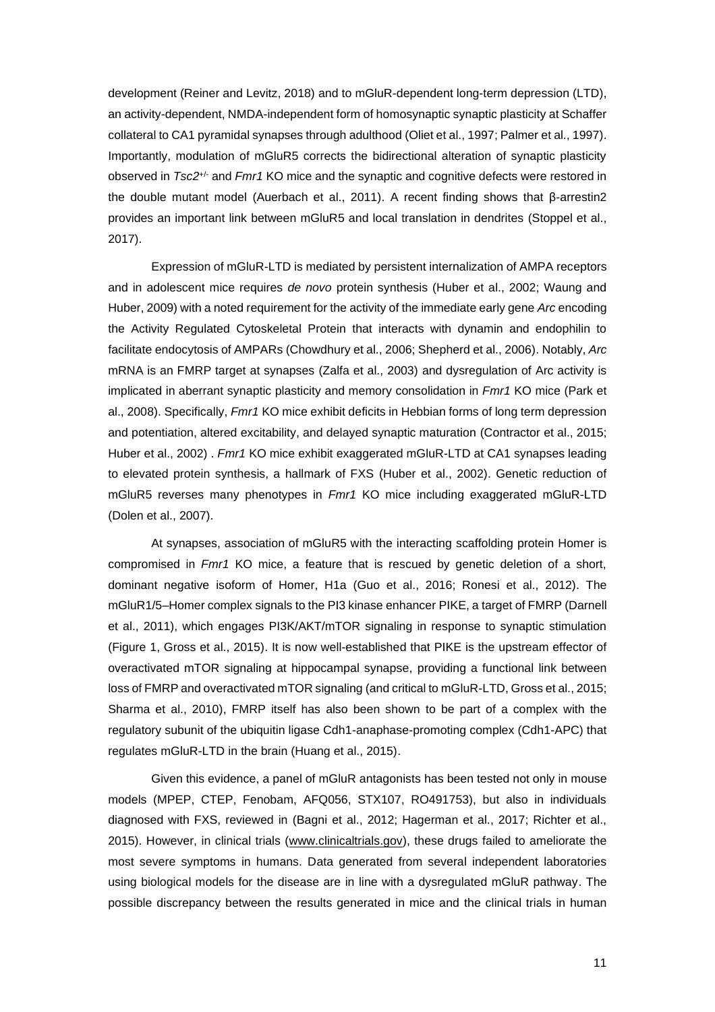development (Reiner and Levitz, 2018) and to mGluR-dependent long-term depression (LTD), an activity-dependent, NMDA-independent form of homosynaptic synaptic plasticity at Schaffer collateral to CA1 pyramidal synapses through adulthood (Oliet et al., 1997; Palmer et al., 1997). Importantly, modulation of mGluR5 corrects the bidirectional alteration of synaptic plasticity observed in *Tsc2*+/- and *Fmr1* KO mice and the synaptic and cognitive defects were restored in the double mutant model (Auerbach et al., 2011). A recent finding shows that β-arrestin2 provides an important link between mGluR5 and local translation in dendrites (Stoppel et al., 2017).

Expression of mGluR-LTD is mediated by persistent internalization of AMPA receptors and in adolescent mice requires *de novo* protein synthesis (Huber et al., 2002; Waung and Huber, 2009) with a noted requirement for the activity of the immediate early gene *Arc* encoding the Activity Regulated Cytoskeletal Protein that interacts with dynamin and endophilin to facilitate endocytosis of AMPARs (Chowdhury et al., 2006; Shepherd et al., 2006). Notably, *Arc* mRNA is an FMRP target at synapses (Zalfa et al., 2003) and dysregulation of Arc activity is implicated in aberrant synaptic plasticity and memory consolidation in *Fmr1* KO mice (Park et al., 2008). Specifically, *Fmr1* KO mice exhibit deficits in Hebbian forms of long term depression and potentiation, altered excitability, and delayed synaptic maturation (Contractor et al., 2015; Huber et al., 2002) . *Fmr1* KO mice exhibit exaggerated mGluR-LTD at CA1 synapses leading to elevated protein synthesis, a hallmark of FXS (Huber et al., 2002). Genetic reduction of mGluR5 reverses many phenotypes in *Fmr1* KO mice including exaggerated mGluR-LTD (Dolen et al., 2007).

At synapses, association of mGluR5 with the interacting scaffolding protein Homer is compromised in *Fmr1* KO mice, a feature that is rescued by genetic deletion of a short, dominant negative isoform of Homer, H1a (Guo et al., 2016; Ronesi et al., 2012). The mGluR1/5–Homer complex signals to the PI3 kinase enhancer PIKE, a target of FMRP (Darnell et al., 2011), which engages PI3K/AKT/mTOR signaling in response to synaptic stimulation (Figure 1, Gross et al., 2015). It is now well-established that PIKE is the upstream effector of overactivated mTOR signaling at hippocampal synapse, providing a functional link between loss of FMRP and overactivated mTOR signaling (and critical to mGluR-LTD, Gross et al., 2015; Sharma et al., 2010), FMRP itself has also been shown to be part of a complex with the regulatory subunit of the ubiquitin ligase Cdh1-anaphase-promoting complex (Cdh1-APC) that regulates mGluR-LTD in the brain (Huang et al., 2015).

Given this evidence, a panel of mGluR antagonists has been tested not only in mouse models (MPEP, CTEP, Fenobam, AFQ056, STX107, RO491753), but also in individuals diagnosed with FXS, reviewed in (Bagni et al., 2012; Hagerman et al., 2017; Richter et al., 2015). However, in clinical trials [\(www.clinicaltrials.gov\)](http://www.clinicaltrials.gov/), these drugs failed to ameliorate the most severe symptoms in humans. Data generated from several independent laboratories using biological models for the disease are in line with a dysregulated mGluR pathway. The possible discrepancy between the results generated in mice and the clinical trials in human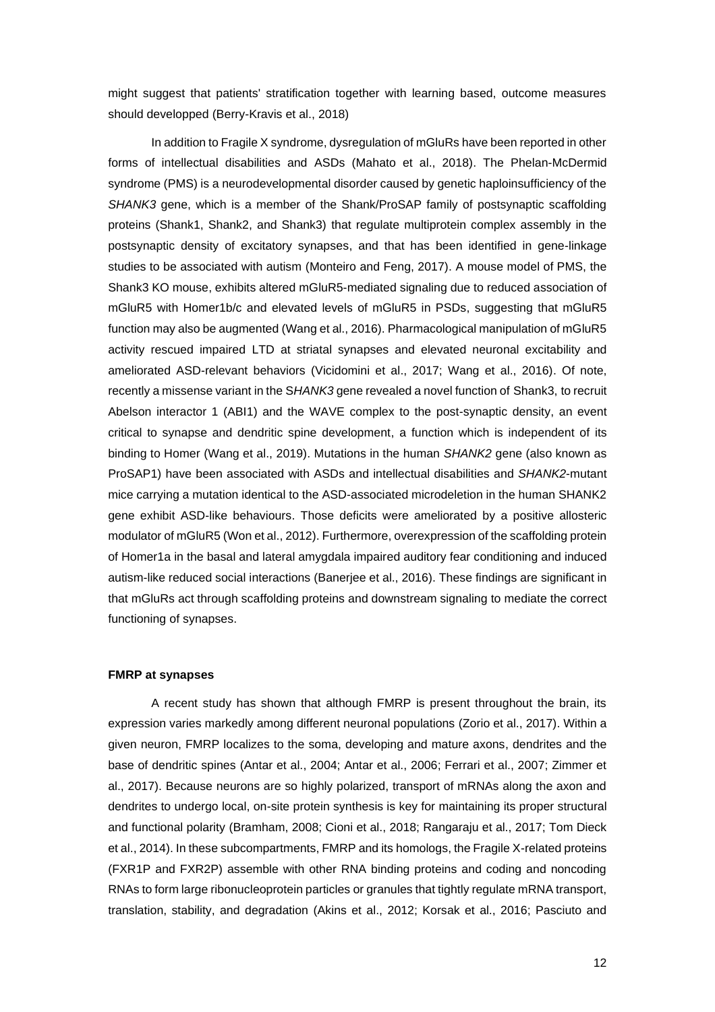might suggest that patients' stratification together with learning based, outcome measures should developped (Berry-Kravis et al., 2018)

In addition to Fragile X syndrome, dysregulation of mGluRs have been reported in other forms of intellectual disabilities and ASDs (Mahato et al., 2018). The Phelan-McDermid syndrome (PMS) is a neurodevelopmental disorder caused by genetic haploinsufficiency of the *SHANK3* gene, which is a member of the Shank/ProSAP family of postsynaptic scaffolding proteins (Shank1, Shank2, and Shank3) that regulate multiprotein complex assembly in the postsynaptic density of excitatory synapses, and that has been identified in gene-linkage studies to be associated with autism (Monteiro and Feng, 2017). A mouse model of PMS, the Shank3 KO mouse, exhibits altered mGluR5-mediated signaling due to reduced association of mGluR5 with Homer1b/c and elevated levels of mGluR5 in PSDs, suggesting that mGluR5 function may also be augmented (Wang et al., 2016). Pharmacological manipulation of mGluR5 activity rescued impaired LTD at striatal synapses and elevated neuronal excitability and ameliorated ASD-relevant behaviors (Vicidomini et al., 2017; Wang et al., 2016). Of note, recently a missense variant in the S*HANK3* gene revealed a novel function of Shank3, to recruit Abelson interactor 1 (ABI1) and the WAVE complex to the post-synaptic density, an event critical to synapse and dendritic spine development, a function which is independent of its binding to Homer (Wang et al., 2019). Mutations in the human *SHANK2* gene (also known as ProSAP1) have been associated with ASDs and intellectual disabilities and *SHANK2*-mutant mice carrying a mutation identical to the ASD-associated microdeletion in the human SHANK2 gene exhibit ASD-like behaviours. Those deficits were ameliorated by a positive allosteric modulator of mGluR5 (Won et al., 2012). Furthermore, overexpression of the scaffolding protein of Homer1a in the basal and lateral amygdala impaired auditory fear conditioning and induced autism-like reduced social interactions (Banerjee et al., 2016). These findings are significant in that mGluRs act through scaffolding proteins and downstream signaling to mediate the correct functioning of synapses.

## **FMRP at synapses**

A recent study has shown that although FMRP is present throughout the brain, its expression varies markedly among different neuronal populations (Zorio et al., 2017). Within a given neuron, FMRP localizes to the soma, developing and mature axons, dendrites and the base of dendritic spines (Antar et al., 2004; Antar et al., 2006; Ferrari et al., 2007; Zimmer et al., 2017). Because neurons are so highly polarized, transport of mRNAs along the axon and dendrites to undergo local, on-site protein synthesis is key for maintaining its proper structural and functional polarity (Bramham, 2008; Cioni et al., 2018; Rangaraju et al., 2017; Tom Dieck et al., 2014). In these subcompartments, FMRP and its homologs, the Fragile X-related proteins (FXR1P and FXR2P) assemble with other RNA binding proteins and coding and noncoding RNAs to form large ribonucleoprotein particles or granules that tightly regulate mRNA transport, translation, stability, and degradation (Akins et al., 2012; Korsak et al., 2016; Pasciuto and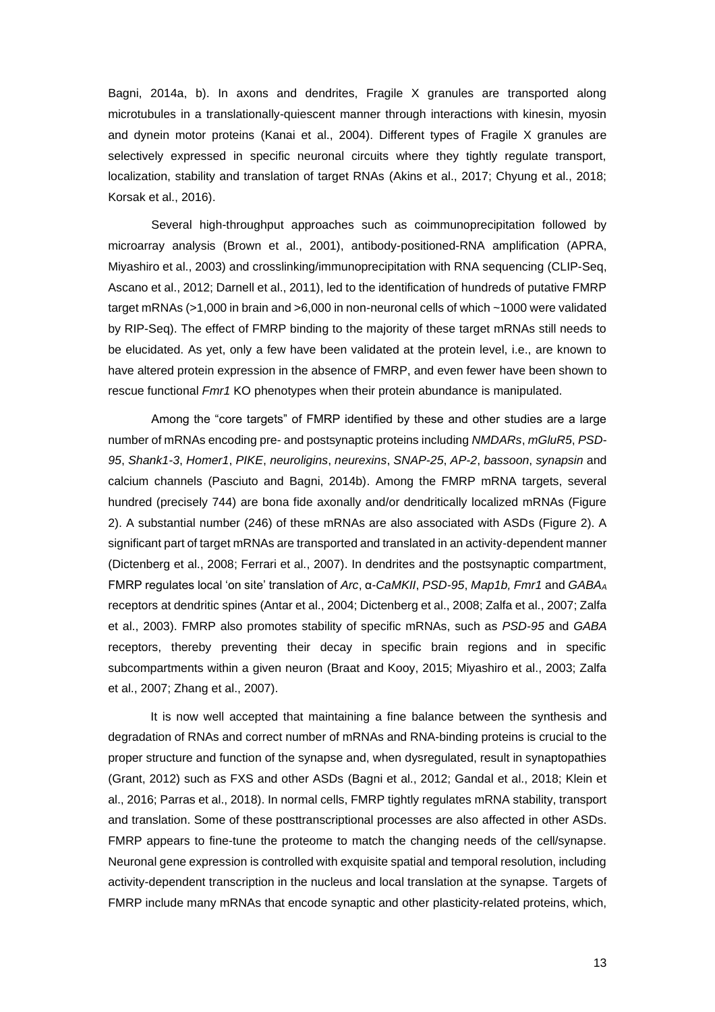Bagni, 2014a, b). In axons and dendrites, Fragile X granules are transported along microtubules in a translationally-quiescent manner through interactions with kinesin, myosin and dynein motor proteins (Kanai et al., 2004). Different types of Fragile X granules are selectively expressed in specific neuronal circuits where they tightly regulate transport, localization, stability and translation of target RNAs (Akins et al., 2017; Chyung et al., 2018; Korsak et al., 2016).

Several high-throughput approaches such as coimmunoprecipitation followed by microarray analysis (Brown et al., 2001), antibody-positioned-RNA amplification (APRA, Miyashiro et al., 2003) and crosslinking/immunoprecipitation with RNA sequencing (CLIP-Seq, Ascano et al., 2012; Darnell et al., 2011), led to the identification of hundreds of putative FMRP target mRNAs (>1,000 in brain and >6,000 in non-neuronal cells of which ~1000 were validated by RIP-Seq). The effect of FMRP binding to the majority of these target mRNAs still needs to be elucidated. As yet, only a few have been validated at the protein level, i.e., are known to have altered protein expression in the absence of FMRP, and even fewer have been shown to rescue functional *Fmr1* KO phenotypes when their protein abundance is manipulated.

Among the "core targets" of FMRP identified by these and other studies are a large number of mRNAs encoding pre- and postsynaptic proteins including *NMDARs*, *mGluR5*, *PSD-95*, *Shank1-3*, *Homer1*, *PIKE*, *neuroligins*, *neurexins*, *SNAP-25*, *AP-2*, *bassoon*, *synapsin* and calcium channels (Pasciuto and Bagni, 2014b). Among the FMRP mRNA targets, several hundred (precisely 744) are bona fide axonally and/or dendritically localized mRNAs (Figure 2). A substantial number (246) of these mRNAs are also associated with ASDs (Figure 2). A significant part of target mRNAs are transported and translated in an activity-dependent manner (Dictenberg et al., 2008; Ferrari et al., 2007). In dendrites and the postsynaptic compartment, FMRP regulates local 'on site' translation of *Arc*, α*-CaMKII*, *PSD-95*, *Map1b, Fmr1* and *GABA<sup>A</sup>* receptors at dendritic spines (Antar et al., 2004; Dictenberg et al., 2008; Zalfa et al., 2007; Zalfa et al., 2003). FMRP also promotes stability of specific mRNAs, such as *PSD-95* and *GABA* receptors, thereby preventing their decay in specific brain regions and in specific subcompartments within a given neuron (Braat and Kooy, 2015; Miyashiro et al., 2003; Zalfa et al., 2007; Zhang et al., 2007).

It is now well accepted that maintaining a fine balance between the synthesis and degradation of RNAs and correct number of mRNAs and RNA-binding proteins is crucial to the proper structure and function of the synapse and, when dysregulated, result in synaptopathies (Grant, 2012) such as FXS and other ASDs (Bagni et al., 2012; Gandal et al., 2018; Klein et al., 2016; Parras et al., 2018). In normal cells, FMRP tightly regulates mRNA stability, transport and translation. Some of these posttranscriptional processes are also affected in other ASDs. FMRP appears to fine-tune the proteome to match the changing needs of the cell/synapse. Neuronal gene expression is controlled with exquisite spatial and temporal resolution, including activity-dependent transcription in the nucleus and local translation at the synapse. Targets of FMRP include many mRNAs that encode synaptic and other plasticity-related proteins, which,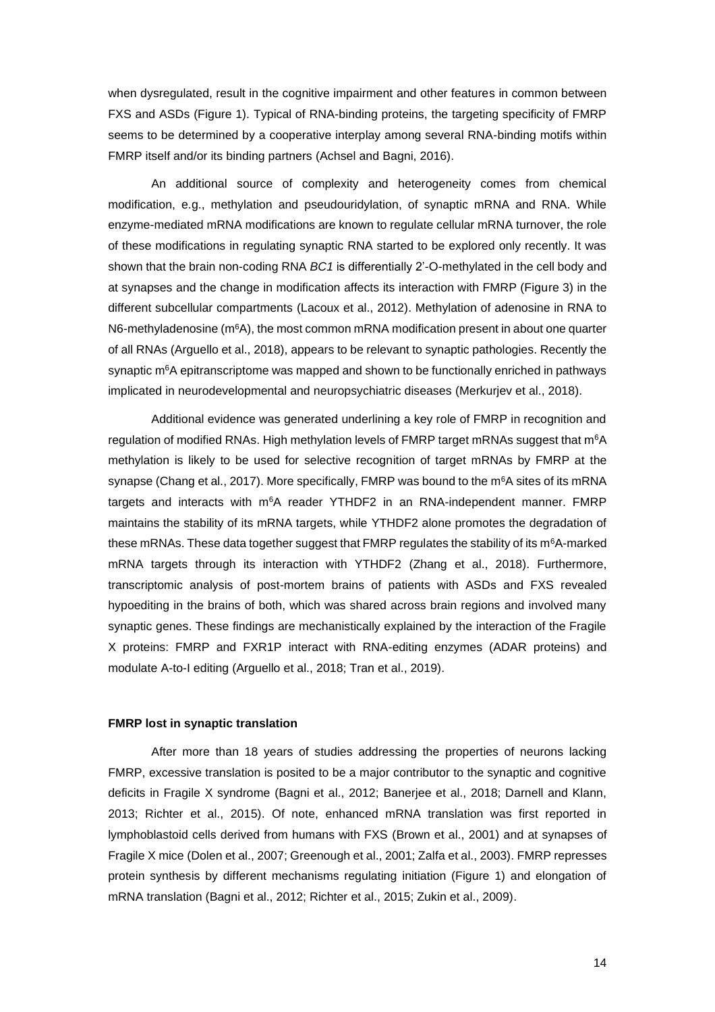when dysregulated, result in the cognitive impairment and other features in common between FXS and ASDs (Figure 1). Typical of RNA-binding proteins, the targeting specificity of FMRP seems to be determined by a cooperative interplay among several RNA-binding motifs within FMRP itself and/or its binding partners (Achsel and Bagni, 2016).

An additional source of complexity and heterogeneity comes from chemical modification, e.g., methylation and pseudouridylation, of synaptic mRNA and RNA. While enzyme-mediated mRNA modifications are known to regulate cellular mRNA turnover, the role of these modifications in regulating synaptic RNA started to be explored only recently. It was shown that the brain non-coding RNA *BC1* is differentially 2'-O-methylated in the cell body and at synapses and the change in modification affects its interaction with FMRP (Figure 3) in the different subcellular compartments (Lacoux et al., 2012). Methylation of adenosine in RNA to N6-methyladenosine (m<sup>6</sup>A), the most common mRNA modification present in about one quarter of all RNAs (Arguello et al., 2018), appears to be relevant to synaptic pathologies. Recently the synaptic  $m<sup>6</sup>A$  epitranscriptome was mapped and shown to be functionally enriched in pathways implicated in neurodevelopmental and neuropsychiatric diseases (Merkurjev et al., 2018).

Additional evidence was generated underlining a key role of FMRP in recognition and regulation of modified RNAs. High methylation levels of FMRP target mRNAs suggest that m<sup>6</sup>A methylation is likely to be used for selective recognition of target mRNAs by FMRP at the synapse (Chang et al., 2017). More specifically, FMRP was bound to the m<sup>6</sup>A sites of its mRNA targets and interacts with m<sup>6</sup>A reader YTHDF2 in an RNA-independent manner. FMRP maintains the stability of its mRNA targets, while YTHDF2 alone promotes the degradation of these mRNAs. These data together suggest that FMRP regulates the stability of its m<sup>6</sup>A-marked mRNA targets through its interaction with YTHDF2 (Zhang et al., 2018). Furthermore, transcriptomic analysis of post-mortem brains of patients with ASDs and FXS revealed hypoediting in the brains of both, which was shared across brain regions and involved many synaptic genes. These findings are mechanistically explained by the interaction of the Fragile X proteins: FMRP and FXR1P interact with RNA-editing enzymes (ADAR proteins) and modulate A-to-I editing (Arguello et al., 2018; Tran et al., 2019).

## **FMRP lost in synaptic translation**

After more than 18 years of studies addressing the properties of neurons lacking FMRP, excessive translation is posited to be a major contributor to the synaptic and cognitive deficits in Fragile X syndrome (Bagni et al., 2012; Banerjee et al., 2018; Darnell and Klann, 2013; Richter et al., 2015). Of note, enhanced mRNA translation was first reported in lymphoblastoid cells derived from humans with FXS (Brown et al., 2001) and at synapses of Fragile X mice (Dolen et al., 2007; Greenough et al., 2001; Zalfa et al., 2003). FMRP represses protein synthesis by different mechanisms regulating initiation (Figure 1) and elongation of mRNA translation (Bagni et al., 2012; Richter et al., 2015; Zukin et al., 2009).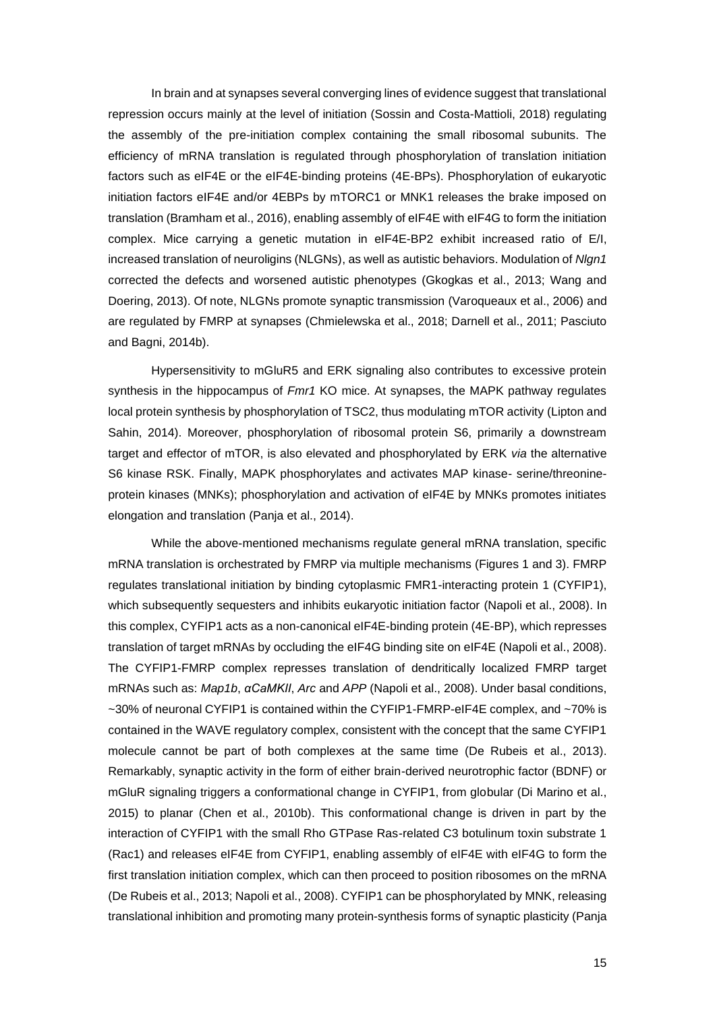In brain and at synapses several converging lines of evidence suggest that translational repression occurs mainly at the level of initiation (Sossin and Costa-Mattioli, 2018) regulating the assembly of the pre-initiation complex containing the small ribosomal subunits. The efficiency of mRNA translation is regulated through phosphorylation of translation initiation factors such as eIF4E or the eIF4E-binding proteins (4E-BPs). Phosphorylation of eukaryotic initiation factors eIF4E and/or 4EBPs by mTORC1 or MNK1 releases the brake imposed on translation (Bramham et al., 2016), enabling assembly of eIF4E with eIF4G to form the initiation complex. Mice carrying a genetic mutation in eIF4E-BP2 exhibit increased ratio of E/I, increased translation of neuroligins (NLGNs), as well as autistic behaviors. Modulation of *Nlgn1*  corrected the defects and worsened autistic phenotypes (Gkogkas et al., 2013; Wang and Doering, 2013). Of note, NLGNs promote synaptic transmission (Varoqueaux et al., 2006) and are regulated by FMRP at synapses (Chmielewska et al., 2018; Darnell et al., 2011; Pasciuto and Bagni, 2014b).

Hypersensitivity to mGluR5 and ERK signaling also contributes to excessive protein synthesis in the hippocampus of *Fmr1* KO mice. At synapses, the MAPK pathway regulates local protein synthesis by phosphorylation of TSC2, thus modulating mTOR activity (Lipton and Sahin, 2014). Moreover, phosphorylation of ribosomal protein S6, primarily a downstream target and effector of mTOR, is also elevated and phosphorylated by ERK *via* the alternative S6 kinase RSK. Finally, MAPK phosphorylates and activates MAP kinase- serine/threonineprotein kinases (MNKs); phosphorylation and activation of eIF4E by MNKs promotes initiates elongation and translation (Panja et al., 2014).

While the above-mentioned mechanisms regulate general mRNA translation, specific mRNA translation is orchestrated by FMRP via multiple mechanisms (Figures 1 and 3). FMRP regulates translational initiation by binding cytoplasmic FMR1-interacting protein 1 (CYFIP1), which subsequently sequesters and inhibits eukaryotic initiation factor (Napoli et al., 2008). In this complex, CYFIP1 acts as a non-canonical eIF4E-binding protein (4E-BP), which represses translation of target mRNAs by occluding the eIF4G binding site on eIF4E (Napoli et al., 2008). The CYFIP1-FMRP complex represses translation of dendritically localized FMRP target mRNAs such as: *Map1b*, *αCaMKII*, *Arc* and *APP* (Napoli et al., 2008). Under basal conditions, ~30% of neuronal CYFIP1 is contained within the CYFIP1-FMRP-eIF4E complex, and ~70% is contained in the WAVE regulatory complex, consistent with the concept that the same CYFIP1 molecule cannot be part of both complexes at the same time (De Rubeis et al., 2013). Remarkably, synaptic activity in the form of either brain-derived neurotrophic factor (BDNF) or mGluR signaling triggers a conformational change in CYFIP1, from globular (Di Marino et al., 2015) to planar (Chen et al., 2010b). This conformational change is driven in part by the interaction of CYFIP1 with the small Rho GTPase Ras-related C3 botulinum toxin substrate 1 (Rac1) and releases eIF4E from CYFIP1, enabling assembly of eIF4E with eIF4G to form the first translation initiation complex, which can then proceed to position ribosomes on the mRNA (De Rubeis et al., 2013; Napoli et al., 2008). CYFIP1 can be phosphorylated by MNK, releasing translational inhibition and promoting many protein-synthesis forms of synaptic plasticity (Panja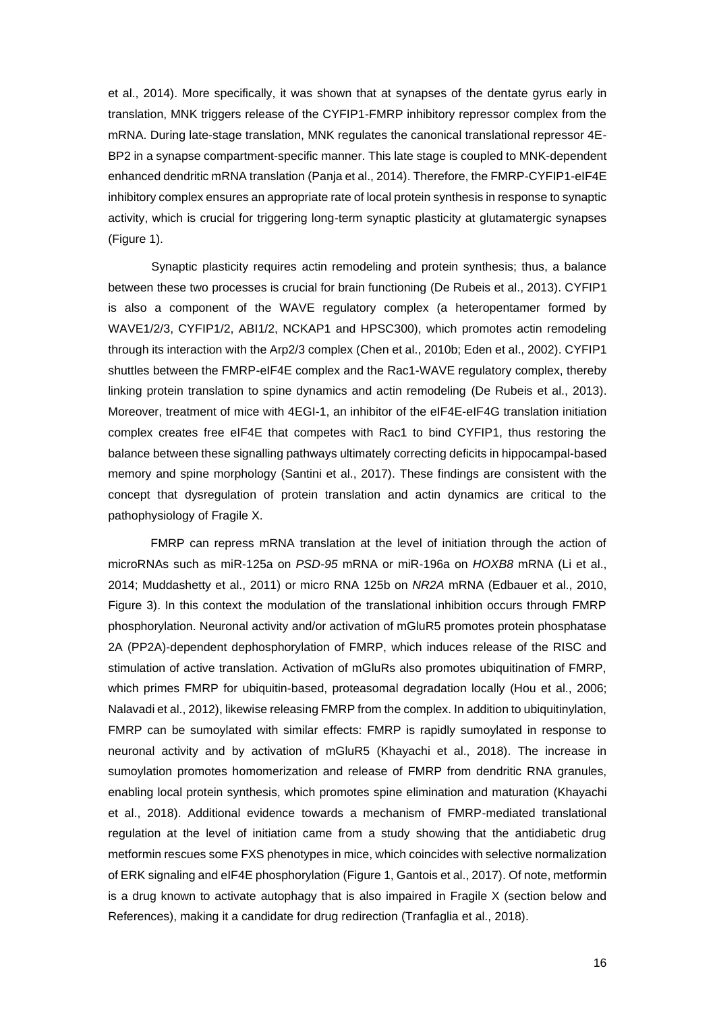et al., 2014). More specifically, it was shown that at synapses of the dentate gyrus early in translation, MNK triggers release of the CYFIP1-FMRP inhibitory repressor complex from the mRNA. During late-stage translation, MNK regulates the canonical translational repressor 4E-BP2 in a synapse compartment-specific manner. This late stage is coupled to MNK-dependent enhanced dendritic mRNA translation (Panja et al., 2014). Therefore, the FMRP-CYFIP1-eIF4E inhibitory complex ensures an appropriate rate of local protein synthesis in response to synaptic activity, which is crucial for triggering long-term synaptic plasticity at glutamatergic synapses (Figure 1).

Synaptic plasticity requires actin remodeling and protein synthesis; thus, a balance between these two processes is crucial for brain functioning (De Rubeis et al., 2013). CYFIP1 is also a component of the WAVE regulatory complex (a heteropentamer formed by WAVE1/2/3, CYFIP1/2, ABI1/2, NCKAP1 and HPSC300), which promotes actin remodeling through its interaction with the Arp2/3 complex (Chen et al., 2010b; Eden et al., 2002). CYFIP1 shuttles between the FMRP-eIF4E complex and the Rac1-WAVE regulatory complex, thereby linking protein translation to spine dynamics and actin remodeling (De Rubeis et al., 2013). Moreover, treatment of mice with 4EGI-1, an inhibitor of the eIF4E-eIF4G translation initiation complex creates free eIF4E that competes with Rac1 to bind CYFIP1, thus restoring the balance between these signalling pathways ultimately correcting deficits in hippocampal-based memory and spine morphology (Santini et al., 2017). These findings are consistent with the concept that dysregulation of protein translation and actin dynamics are critical to the pathophysiology of Fragile X.

FMRP can repress mRNA translation at the level of initiation through the action of microRNAs such as miR-125a on *PSD-95* mRNA or miR-196a on *HOXB8* mRNA (Li et al., 2014; Muddashetty et al., 2011) or micro RNA 125b on *NR2A* mRNA (Edbauer et al., 2010, Figure 3). In this context the modulation of the translational inhibition occurs through FMRP phosphorylation. Neuronal activity and/or activation of mGluR5 promotes protein phosphatase 2A (PP2A)-dependent dephosphorylation of FMRP, which induces release of the RISC and stimulation of active translation. Activation of mGluRs also promotes ubiquitination of FMRP, which primes FMRP for ubiquitin-based, proteasomal degradation locally (Hou et al., 2006; Nalavadi et al., 2012), likewise releasing FMRP from the complex. In addition to ubiquitinylation, FMRP can be sumoylated with similar effects: FMRP is rapidly sumoylated in response to neuronal activity and by activation of mGluR5 (Khayachi et al., 2018). The increase in sumoylation promotes homomerization and release of FMRP from dendritic RNA granules, enabling local protein synthesis, which promotes spine elimination and maturation (Khayachi et al., 2018). Additional evidence towards a mechanism of FMRP-mediated translational regulation at the level of initiation came from a study showing that the antidiabetic drug metformin rescues some FXS phenotypes in mice, which coincides with selective normalization of ERK signaling and eIF4E phosphorylation (Figure 1, Gantois et al., 2017). Of note, metformin is a drug known to activate autophagy that is also impaired in Fragile X (section below and References), making it a candidate for drug redirection (Tranfaglia et al., 2018).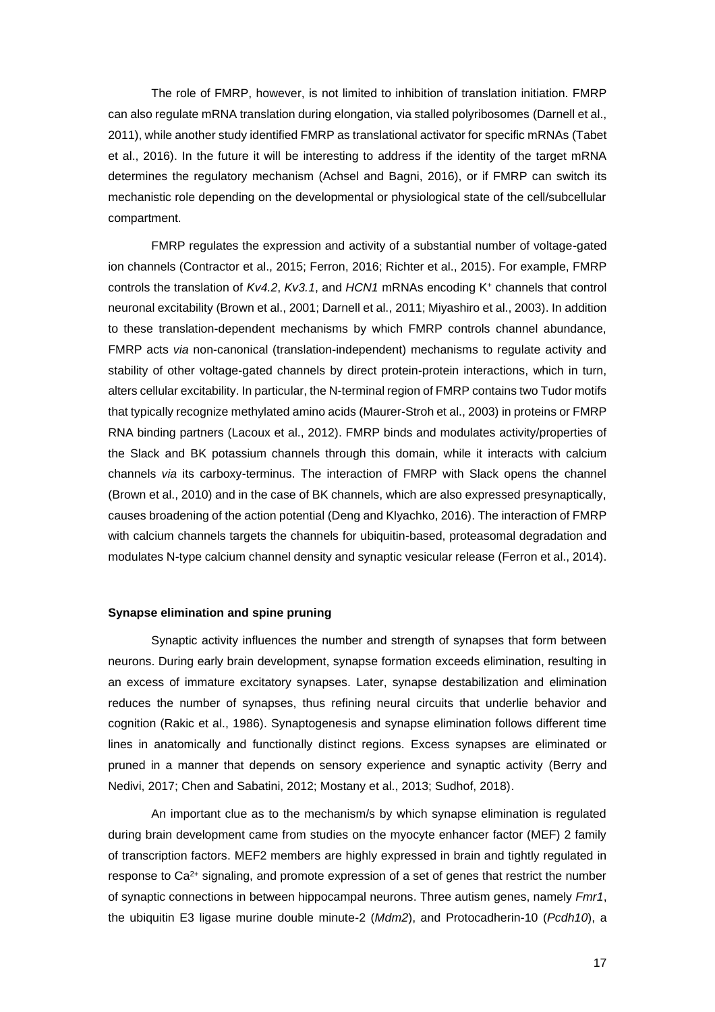The role of FMRP, however, is not limited to inhibition of translation initiation. FMRP can also regulate mRNA translation during elongation, via stalled polyribosomes (Darnell et al., 2011), while another study identified FMRP as translational activator for specific mRNAs (Tabet et al., 2016). In the future it will be interesting to address if the identity of the target mRNA determines the regulatory mechanism (Achsel and Bagni, 2016), or if FMRP can switch its mechanistic role depending on the developmental or physiological state of the cell/subcellular compartment.

FMRP regulates the expression and activity of a substantial number of voltage-gated ion channels (Contractor et al., 2015; Ferron, 2016; Richter et al., 2015). For example, FMRP controls the translation of *Kv4.2*, *Kv3.1*, and *HCN1* mRNAs encoding K<sup>+</sup> channels that control neuronal excitability (Brown et al., 2001; Darnell et al., 2011; Miyashiro et al., 2003). In addition to these translation-dependent mechanisms by which FMRP controls channel abundance, FMRP acts *via* non-canonical (translation-independent) mechanisms to regulate activity and stability of other voltage-gated channels by direct protein-protein interactions, which in turn, alters cellular excitability. In particular, the N-terminal region of FMRP contains two Tudor motifs that typically recognize methylated amino acids (Maurer-Stroh et al., 2003) in proteins or FMRP RNA binding partners (Lacoux et al., 2012). FMRP binds and modulates activity/properties of the Slack and BK potassium channels through this domain, while it interacts with calcium channels *via* its carboxy-terminus. The interaction of FMRP with Slack opens the channel (Brown et al., 2010) and in the case of BK channels, which are also expressed presynaptically, causes broadening of the action potential (Deng and Klyachko, 2016). The interaction of FMRP with calcium channels targets the channels for ubiquitin-based, proteasomal degradation and modulates N-type calcium channel density and synaptic vesicular release (Ferron et al., 2014).

## **Synapse elimination and spine pruning**

Synaptic activity influences the number and strength of synapses that form between neurons. During early brain development, synapse formation exceeds elimination, resulting in an excess of immature excitatory synapses. Later, synapse destabilization and elimination reduces the number of synapses, thus refining neural circuits that underlie behavior and cognition (Rakic et al., 1986). Synaptogenesis and synapse elimination follows different time lines in anatomically and functionally distinct regions. Excess synapses are eliminated or pruned in a manner that depends on sensory experience and synaptic activity (Berry and Nedivi, 2017; Chen and Sabatini, 2012; Mostany et al., 2013; Sudhof, 2018).

An important clue as to the mechanism/s by which synapse elimination is regulated during brain development came from studies on the myocyte enhancer factor (MEF) 2 family of transcription factors. MEF2 members are highly expressed in brain and tightly regulated in response to  $Ca<sup>2+</sup>$  signaling, and promote expression of a set of genes that restrict the number of synaptic connections in between hippocampal neurons. Three autism genes, namely *Fmr1*, the ubiquitin E3 ligase murine double minute-2 (*Mdm2*), and Protocadherin-10 (*Pcdh10*), a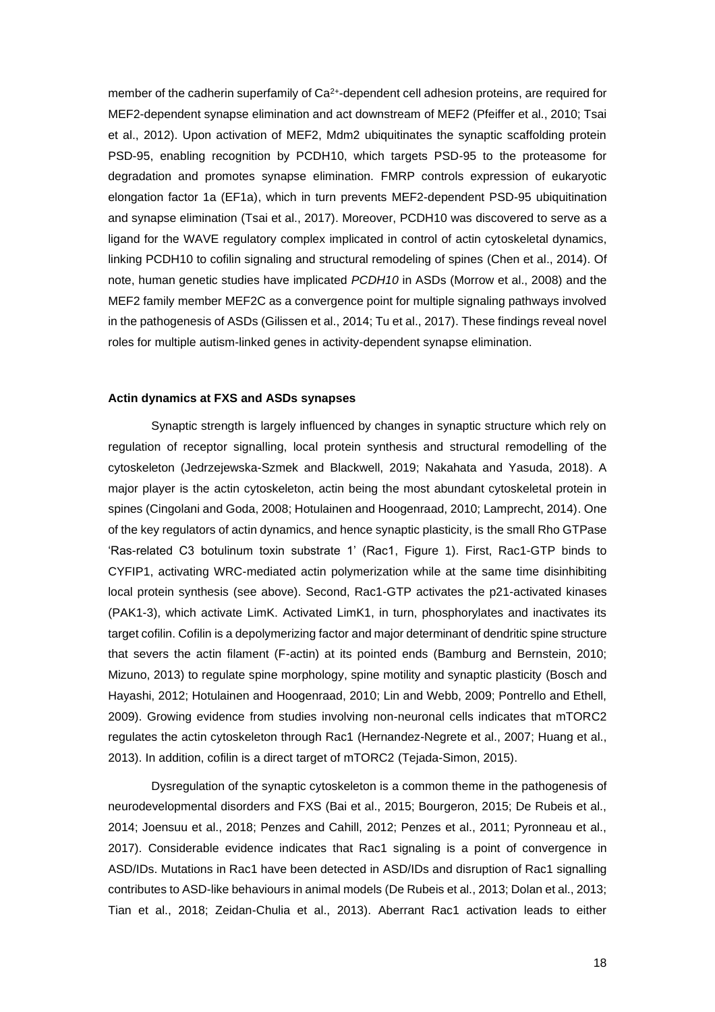member of the cadherin superfamily of Ca<sup>2+</sup>-dependent cell adhesion proteins, are required for MEF2-dependent synapse elimination and act downstream of MEF2 (Pfeiffer et al., 2010; Tsai et al., 2012). Upon activation of MEF2, Mdm2 ubiquitinates the synaptic scaffolding protein PSD-95, enabling recognition by PCDH10, which targets PSD-95 to the proteasome for degradation and promotes synapse elimination. FMRP controls expression of eukaryotic elongation factor 1a (EF1a), which in turn prevents MEF2-dependent PSD-95 ubiquitination and synapse elimination (Tsai et al., 2017). Moreover, PCDH10 was discovered to serve as a ligand for the WAVE regulatory complex implicated in control of actin cytoskeletal dynamics, linking PCDH10 to cofilin signaling and structural remodeling of spines (Chen et al., 2014). Of note, human genetic studies have implicated *PCDH10* in ASDs (Morrow et al., 2008) and the MEF2 family member MEF2C as a convergence point for multiple signaling pathways involved in the pathogenesis of ASDs (Gilissen et al., 2014; Tu et al., 2017). These findings reveal novel roles for multiple autism-linked genes in activity-dependent synapse elimination.

## **Actin dynamics at FXS and ASDs synapses**

Synaptic strength is largely influenced by changes in synaptic structure which rely on regulation of receptor signalling, local protein synthesis and structural remodelling of the cytoskeleton (Jedrzejewska-Szmek and Blackwell, 2019; Nakahata and Yasuda, 2018). A major player is the actin cytoskeleton, actin being the most abundant cytoskeletal protein in spines (Cingolani and Goda, 2008; Hotulainen and Hoogenraad, 2010; Lamprecht, 2014). One of the key regulators of actin dynamics, and hence synaptic plasticity, is the small Rho GTPase 'Ras-related C3 botulinum toxin substrate 1' (Rac1, Figure 1). First, Rac1-GTP binds to CYFIP1, activating WRC-mediated actin polymerization while at the same time disinhibiting local protein synthesis (see above). Second, Rac1-GTP activates the p21-activated kinases (PAK1-3), which activate LimK. Activated LimK1, in turn, phosphorylates and inactivates its target cofilin. Cofilin is a depolymerizing factor and major determinant of dendritic spine structure that severs the actin filament (F-actin) at its pointed ends (Bamburg and Bernstein, 2010; Mizuno, 2013) to regulate spine morphology, spine motility and synaptic plasticity (Bosch and Hayashi, 2012; Hotulainen and Hoogenraad, 2010; Lin and Webb, 2009; Pontrello and Ethell, 2009). Growing evidence from studies involving non-neuronal cells indicates that mTORC2 regulates the actin cytoskeleton through Rac1 (Hernandez-Negrete et al., 2007; Huang et al., 2013). In addition, cofilin is a direct target of mTORC2 (Tejada-Simon, 2015).

Dysregulation of the synaptic cytoskeleton is a common theme in the pathogenesis of neurodevelopmental disorders and FXS (Bai et al., 2015; Bourgeron, 2015; De Rubeis et al., 2014; Joensuu et al., 2018; Penzes and Cahill, 2012; Penzes et al., 2011; Pyronneau et al., 2017). Considerable evidence indicates that Rac1 signaling is a point of convergence in ASD/IDs. Mutations in Rac1 have been detected in ASD/IDs and disruption of Rac1 signalling contributes to ASD-like behaviours in animal models (De Rubeis et al., 2013; Dolan et al., 2013; Tian et al., 2018; Zeidan-Chulia et al., 2013). Aberrant Rac1 activation leads to either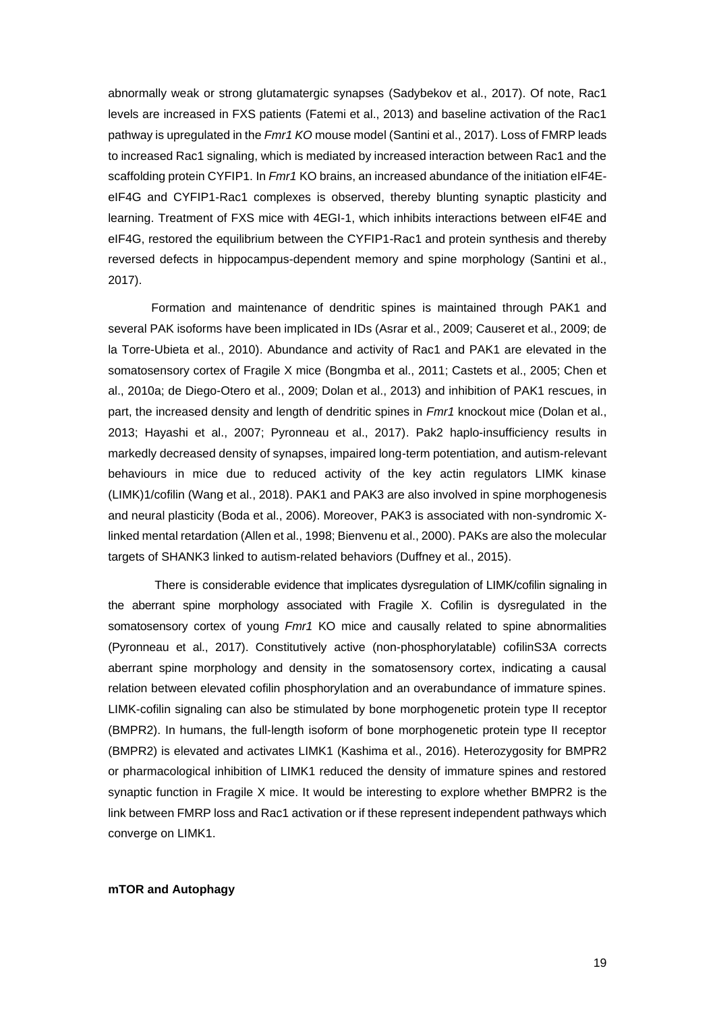abnormally weak or strong glutamatergic synapses (Sadybekov et al., 2017). Of note, Rac1 levels are increased in FXS patients (Fatemi et al., 2013) and baseline activation of the Rac1 pathway is upregulated in the *Fmr1 KO* mouse model (Santini et al., 2017). Loss of FMRP leads to increased Rac1 signaling, which is mediated by increased interaction between Rac1 and the scaffolding protein CYFIP1. In *Fmr1* KO brains, an increased abundance of the initiation eIF4EeIF4G and CYFIP1-Rac1 complexes is observed, thereby blunting synaptic plasticity and learning. Treatment of FXS mice with 4EGI-1, which inhibits interactions between eIF4E and eIF4G, restored the equilibrium between the CYFIP1-Rac1 and protein synthesis and thereby reversed defects in hippocampus-dependent memory and spine morphology (Santini et al., 2017).

Formation and maintenance of dendritic spines is maintained through PAK1 and several PAK isoforms have been implicated in IDs (Asrar et al., 2009; Causeret et al., 2009; de la Torre-Ubieta et al., 2010). Abundance and activity of Rac1 and PAK1 are elevated in the somatosensory cortex of Fragile X mice (Bongmba et al., 2011; Castets et al., 2005; Chen et al., 2010a; de Diego-Otero et al., 2009; Dolan et al., 2013) and inhibition of PAK1 rescues, in part, the increased density and length of dendritic spines in *Fmr1* knockout mice (Dolan et al., 2013; Hayashi et al., 2007; Pyronneau et al., 2017). Pak2 haplo-insufficiency results in markedly decreased density of synapses, impaired long-term potentiation, and autism-relevant behaviours in mice due to reduced activity of the key actin regulators LIMK kinase (LIMK)1/cofilin (Wang et al., 2018). PAK1 and PAK3 are also involved in spine morphogenesis and neural plasticity (Boda et al., 2006). Moreover, PAK3 is associated with non-syndromic Xlinked mental retardation (Allen et al., 1998; Bienvenu et al., 2000). PAKs are also the molecular targets of SHANK3 linked to autism-related behaviors (Duffney et al., 2015).

There is considerable evidence that implicates dysregulation of LIMK/cofilin signaling in the aberrant spine morphology associated with Fragile X. Cofilin is dysregulated in the somatosensory cortex of young *Fmr1* KO mice and causally related to spine abnormalities (Pyronneau et al., 2017). Constitutively active (non-phosphorylatable) cofilinS3A corrects aberrant spine morphology and density in the somatosensory cortex, indicating a causal relation between elevated cofilin phosphorylation and an overabundance of immature spines. LIMK-cofilin signaling can also be stimulated by bone morphogenetic protein type II receptor (BMPR2). In humans, the full-length isoform of bone morphogenetic protein type II receptor (BMPR2) is elevated and activates LIMK1 (Kashima et al., 2016). Heterozygosity for BMPR2 or pharmacological inhibition of LIMK1 reduced the density of immature spines and restored synaptic function in Fragile X mice. It would be interesting to explore whether BMPR2 is the link between FMRP loss and Rac1 activation or if these represent independent pathways which converge on LIMK1.

**mTOR and Autophagy**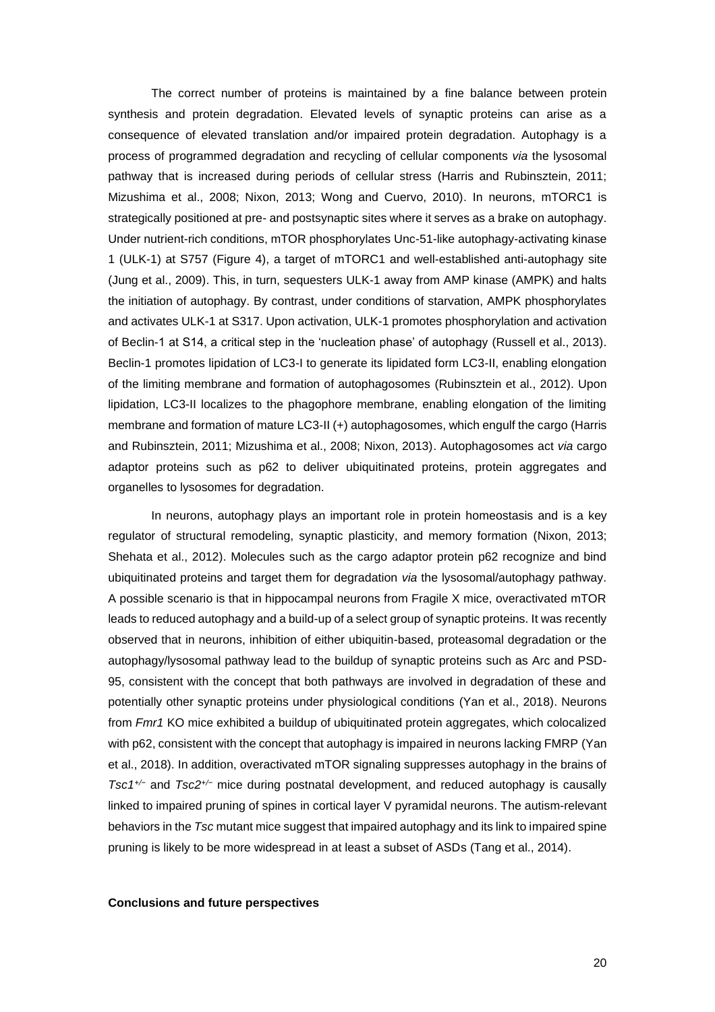The correct number of proteins is maintained by a fine balance between protein synthesis and protein degradation. Elevated levels of synaptic proteins can arise as a consequence of elevated translation and/or impaired protein degradation. Autophagy is a process of programmed degradation and recycling of cellular components *via* the lysosomal pathway that is increased during periods of cellular stress (Harris and Rubinsztein, 2011; Mizushima et al., 2008; Nixon, 2013; Wong and Cuervo, 2010). In neurons, mTORC1 is strategically positioned at pre- and postsynaptic sites where it serves as a brake on autophagy. Under nutrient-rich conditions, mTOR phosphorylates Unc-51-like autophagy-activating kinase 1 (ULK-1) at S757 (Figure 4), a target of mTORC1 and well-established anti-autophagy site (Jung et al., 2009). This, in turn, sequesters ULK-1 away from AMP kinase (AMPK) and halts the initiation of autophagy. By contrast, under conditions of starvation, AMPK phosphorylates and activates ULK-1 at S317. Upon activation, ULK-1 promotes phosphorylation and activation of Beclin-1 at S14, a critical step in the 'nucleation phase' of autophagy (Russell et al., 2013). Beclin-1 promotes lipidation of LC3-I to generate its lipidated form LC3-II, enabling elongation of the limiting membrane and formation of autophagosomes (Rubinsztein et al., 2012). Upon lipidation, LC3-II localizes to the phagophore membrane, enabling elongation of the limiting membrane and formation of mature LC3-II (+) autophagosomes, which engulf the cargo (Harris and Rubinsztein, 2011; Mizushima et al., 2008; Nixon, 2013). Autophagosomes act *via* cargo adaptor proteins such as p62 to deliver ubiquitinated proteins, protein aggregates and organelles to lysosomes for degradation.

In neurons, autophagy plays an important role in protein homeostasis and is a key regulator of structural remodeling, synaptic plasticity, and memory formation (Nixon, 2013; Shehata et al., 2012). Molecules such as the cargo adaptor protein p62 recognize and bind ubiquitinated proteins and target them for degradation *via* the lysosomal/autophagy pathway. A possible scenario is that in hippocampal neurons from Fragile X mice, overactivated mTOR leads to reduced autophagy and a build-up of a select group of synaptic proteins. It was recently observed that in neurons, inhibition of either ubiquitin-based, proteasomal degradation or the autophagy/lysosomal pathway lead to the buildup of synaptic proteins such as Arc and PSD-95, consistent with the concept that both pathways are involved in degradation of these and potentially other synaptic proteins under physiological conditions (Yan et al., 2018). Neurons from *Fmr1* KO mice exhibited a buildup of ubiquitinated protein aggregates, which colocalized with p62, consistent with the concept that autophagy is impaired in neurons lacking FMRP (Yan et al., 2018). In addition, overactivated mTOR signaling suppresses autophagy in the brains of *Tsc1+/−* and *Tsc2+/−* mice during postnatal development, and reduced autophagy is causally linked to impaired pruning of spines in cortical layer V pyramidal neurons. The autism-relevant behaviors in the *Tsc* mutant mice suggest that impaired autophagy and its link to impaired spine pruning is likely to be more widespread in at least a subset of ASDs (Tang et al., 2014).

## **Conclusions and future perspectives**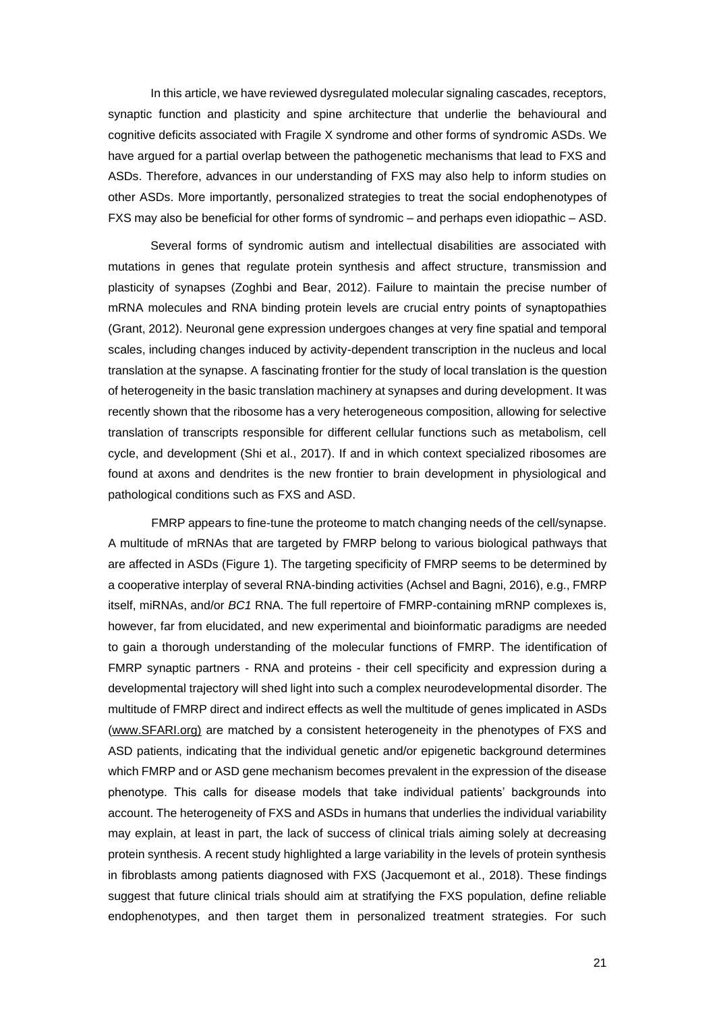In this article, we have reviewed dysregulated molecular signaling cascades, receptors, synaptic function and plasticity and spine architecture that underlie the behavioural and cognitive deficits associated with Fragile X syndrome and other forms of syndromic ASDs. We have argued for a partial overlap between the pathogenetic mechanisms that lead to FXS and ASDs. Therefore, advances in our understanding of FXS may also help to inform studies on other ASDs. More importantly, personalized strategies to treat the social endophenotypes of FXS may also be beneficial for other forms of syndromic – and perhaps even idiopathic – ASD.

Several forms of syndromic autism and intellectual disabilities are associated with mutations in genes that regulate protein synthesis and affect structure, transmission and plasticity of synapses (Zoghbi and Bear, 2012). Failure to maintain the precise number of mRNA molecules and RNA binding protein levels are crucial entry points of synaptopathies (Grant, 2012). Neuronal gene expression undergoes changes at very fine spatial and temporal scales, including changes induced by activity-dependent transcription in the nucleus and local translation at the synapse. A fascinating frontier for the study of local translation is the question of heterogeneity in the basic translation machinery at synapses and during development. It was recently shown that the ribosome has a very heterogeneous composition, allowing for selective translation of transcripts responsible for different cellular functions such as metabolism, cell cycle, and development (Shi et al., 2017). If and in which context specialized ribosomes are found at axons and dendrites is the new frontier to brain development in physiological and pathological conditions such as FXS and ASD.

FMRP appears to fine-tune the proteome to match changing needs of the cell/synapse. A multitude of mRNAs that are targeted by FMRP belong to various biological pathways that are affected in ASDs (Figure 1). The targeting specificity of FMRP seems to be determined by a cooperative interplay of several RNA-binding activities (Achsel and Bagni, 2016), e.g., FMRP itself, miRNAs, and/or *BC1* RNA. The full repertoire of FMRP-containing mRNP complexes is, however, far from elucidated, and new experimental and bioinformatic paradigms are needed to gain a thorough understanding of the molecular functions of FMRP. The identification of FMRP synaptic partners - RNA and proteins - their cell specificity and expression during a developmental trajectory will shed light into such a complex neurodevelopmental disorder. The multitude of FMRP direct and indirect effects as well the multitude of genes implicated in ASDs [\(www.SFARI.org\)](http://www.sfari.org)/) are matched by a consistent heterogeneity in the phenotypes of FXS and ASD patients, indicating that the individual genetic and/or epigenetic background determines which FMRP and or ASD gene mechanism becomes prevalent in the expression of the disease phenotype. This calls for disease models that take individual patients' backgrounds into account. The heterogeneity of FXS and ASDs in humans that underlies the individual variability may explain, at least in part, the lack of success of clinical trials aiming solely at decreasing protein synthesis. A recent study highlighted a large variability in the levels of protein synthesis in fibroblasts among patients diagnosed with FXS (Jacquemont et al., 2018). These findings suggest that future clinical trials should aim at stratifying the FXS population, define reliable endophenotypes, and then target them in personalized treatment strategies. For such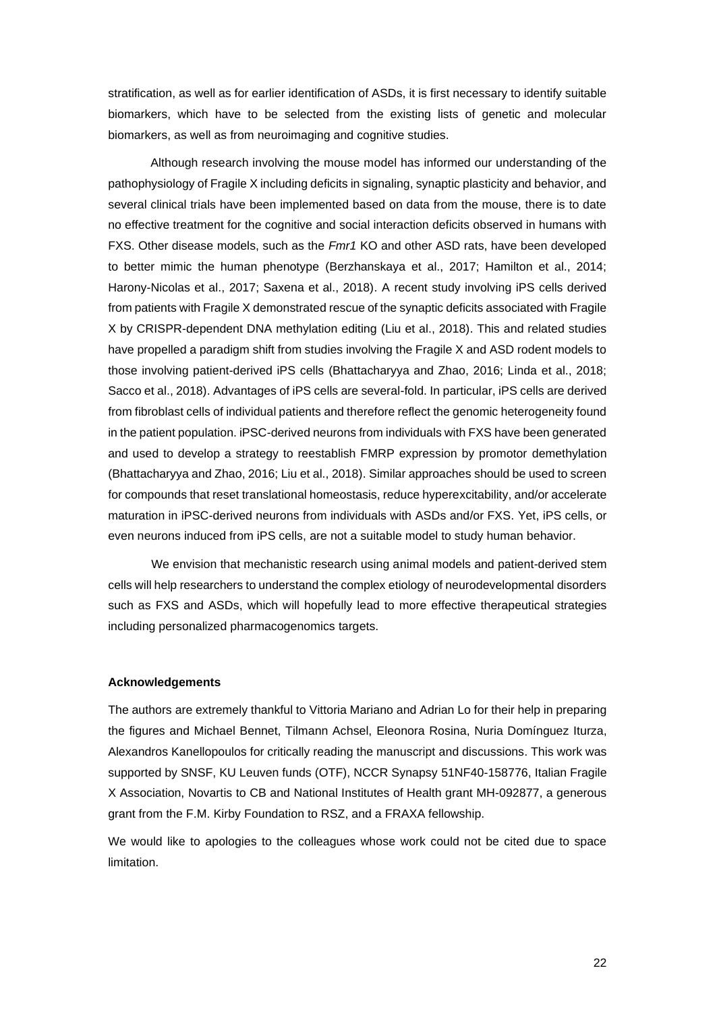stratification, as well as for earlier identification of ASDs, it is first necessary to identify suitable biomarkers, which have to be selected from the existing lists of genetic and molecular biomarkers, as well as from neuroimaging and cognitive studies.

Although research involving the mouse model has informed our understanding of the pathophysiology of Fragile X including deficits in signaling, synaptic plasticity and behavior, and several clinical trials have been implemented based on data from the mouse, there is to date no effective treatment for the cognitive and social interaction deficits observed in humans with FXS. Other disease models, such as the *Fmr1* KO and other ASD rats, have been developed to better mimic the human phenotype (Berzhanskaya et al., 2017; Hamilton et al., 2014; Harony-Nicolas et al., 2017; Saxena et al., 2018). A recent study involving iPS cells derived from patients with Fragile X demonstrated rescue of the synaptic deficits associated with Fragile X by CRISPR-dependent DNA methylation editing (Liu et al., 2018). This and related studies have propelled a paradigm shift from studies involving the Fragile X and ASD rodent models to those involving patient-derived iPS cells (Bhattacharyya and Zhao, 2016; Linda et al., 2018; Sacco et al., 2018). Advantages of iPS cells are several-fold. In particular, iPS cells are derived from fibroblast cells of individual patients and therefore reflect the genomic heterogeneity found in the patient population. iPSC-derived neurons from individuals with FXS have been generated and used to develop a strategy to reestablish FMRP expression by promotor demethylation (Bhattacharyya and Zhao, 2016; Liu et al., 2018). Similar approaches should be used to screen for compounds that reset translational homeostasis, reduce hyperexcitability, and/or accelerate maturation in iPSC-derived neurons from individuals with ASDs and/or FXS. Yet, iPS cells, or even neurons induced from iPS cells, are not a suitable model to study human behavior.

We envision that mechanistic research using animal models and patient-derived stem cells will help researchers to understand the complex etiology of neurodevelopmental disorders such as FXS and ASDs, which will hopefully lead to more effective therapeutical strategies including personalized pharmacogenomics targets.

#### **Acknowledgements**

The authors are extremely thankful to Vittoria Mariano and Adrian Lo for their help in preparing the figures and Michael Bennet, Tilmann Achsel, Eleonora Rosina, Nuria Domínguez Iturza, Alexandros Kanellopoulos for critically reading the manuscript and discussions. This work was supported by SNSF, KU Leuven funds (OTF), NCCR Synapsy 51NF40-158776, Italian Fragile X Association, Novartis to CB and National Institutes of Health grant MH-092877, a generous grant from the F.M. Kirby Foundation to RSZ, and a FRAXA fellowship.

We would like to apologies to the colleagues whose work could not be cited due to space limitation.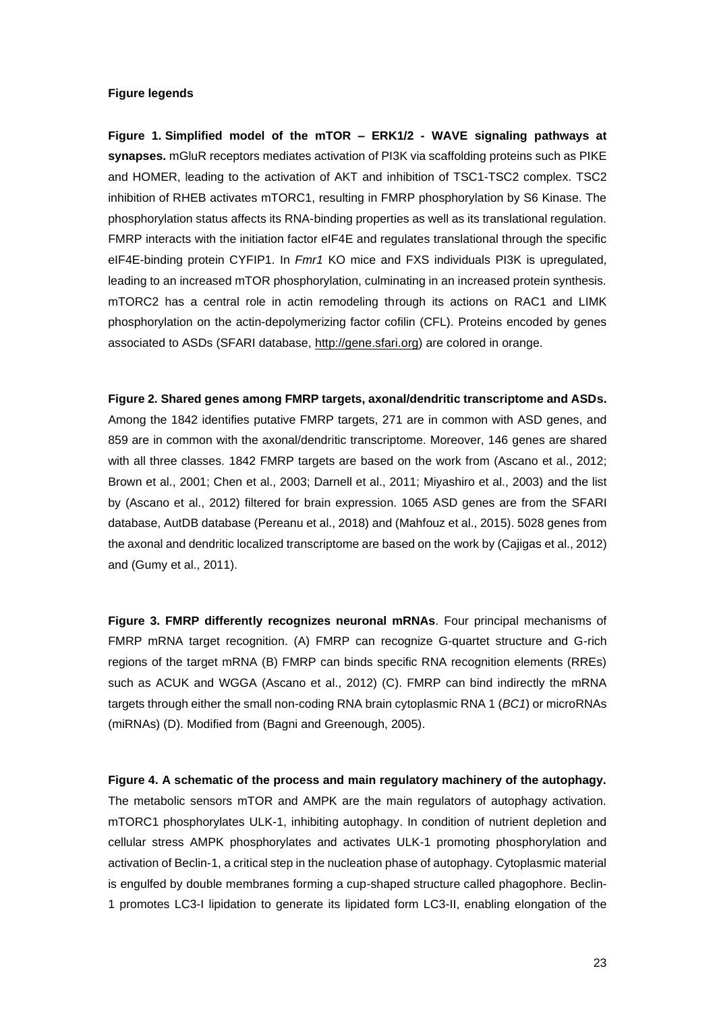## **Figure legends**

**Figure 1. Simplified model of the mTOR – ERK1/2 - WAVE signaling pathways at synapses.** mGluR receptors mediates activation of PI3K via scaffolding proteins such as PIKE and HOMER, leading to the activation of AKT and inhibition of TSC1-TSC2 complex. TSC2 inhibition of RHEB activates mTORC1, resulting in FMRP phosphorylation by S6 Kinase. The phosphorylation status affects its RNA-binding properties as well as its translational regulation. FMRP interacts with the initiation factor eIF4E and regulates translational through the specific eIF4E-binding protein CYFIP1. In *Fmr1* KO mice and FXS individuals PI3K is upregulated, leading to an increased mTOR phosphorylation, culminating in an increased protein synthesis. mTORC2 has a central role in actin remodeling through its actions on RAC1 and LIMK phosphorylation on the actin-depolymerizing factor cofilin (CFL). Proteins encoded by genes associated to ASDs (SFARI database, [http://gene.sfari.org\)](http://gene.sfari.org/) are colored in orange.

**Figure 2. Shared genes among FMRP targets, axonal/dendritic transcriptome and ASDs.** Among the 1842 identifies putative FMRP targets, 271 are in common with ASD genes, and 859 are in common with the axonal/dendritic transcriptome. Moreover, 146 genes are shared with all three classes. 1842 FMRP targets are based on the work from (Ascano et al., 2012; Brown et al., 2001; Chen et al., 2003; Darnell et al., 2011; Miyashiro et al., 2003) and the list by (Ascano et al., 2012) filtered for brain expression. 1065 ASD genes are from the SFARI database, AutDB database (Pereanu et al., 2018) and (Mahfouz et al., 2015). 5028 genes from the axonal and dendritic localized transcriptome are based on the work by (Cajigas et al., 2012) and (Gumy et al., 2011).

**Figure 3. FMRP differently recognizes neuronal mRNAs**. Four principal mechanisms of FMRP mRNA target recognition. (A) FMRP can recognize G-quartet structure and G-rich regions of the target mRNA (B) FMRP can binds specific RNA recognition elements (RREs) such as ACUK and WGGA (Ascano et al., 2012) (C). FMRP can bind indirectly the mRNA targets through either the small non-coding RNA brain cytoplasmic RNA 1 (*BC1*) or microRNAs (miRNAs) (D). Modified from (Bagni and Greenough, 2005).

**Figure 4. A schematic of the process and main regulatory machinery of the autophagy.**  The metabolic sensors mTOR and AMPK are the main regulators of autophagy activation. mTORC1 phosphorylates ULK-1, inhibiting autophagy. In condition of nutrient depletion and cellular stress AMPK phosphorylates and activates ULK-1 promoting phosphorylation and activation of Beclin-1, a critical step in the nucleation phase of autophagy. Cytoplasmic material is engulfed by double membranes forming a cup-shaped structure called phagophore. Beclin-1 promotes LC3-I lipidation to generate its lipidated form LC3-II, enabling elongation of the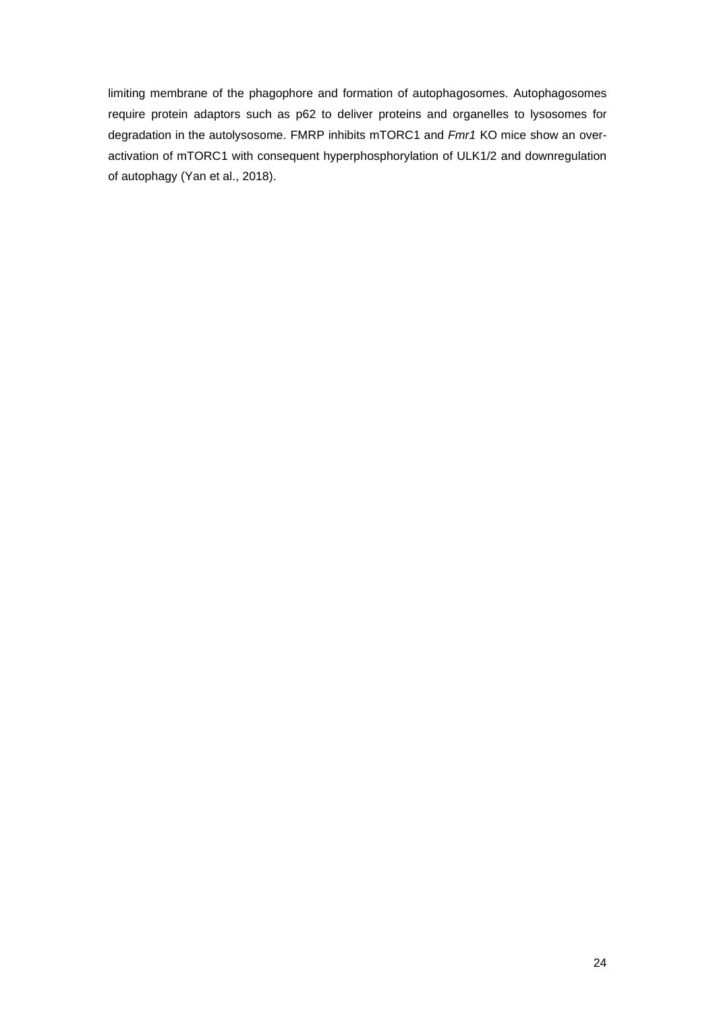limiting membrane of the phagophore and formation of autophagosomes. Autophagosomes require protein adaptors such as p62 to deliver proteins and organelles to lysosomes for degradation in the autolysosome. FMRP inhibits mTORC1 and *Fmr1* KO mice show an overactivation of mTORC1 with consequent hyperphosphorylation of ULK1/2 and downregulation of autophagy (Yan et al., 2018).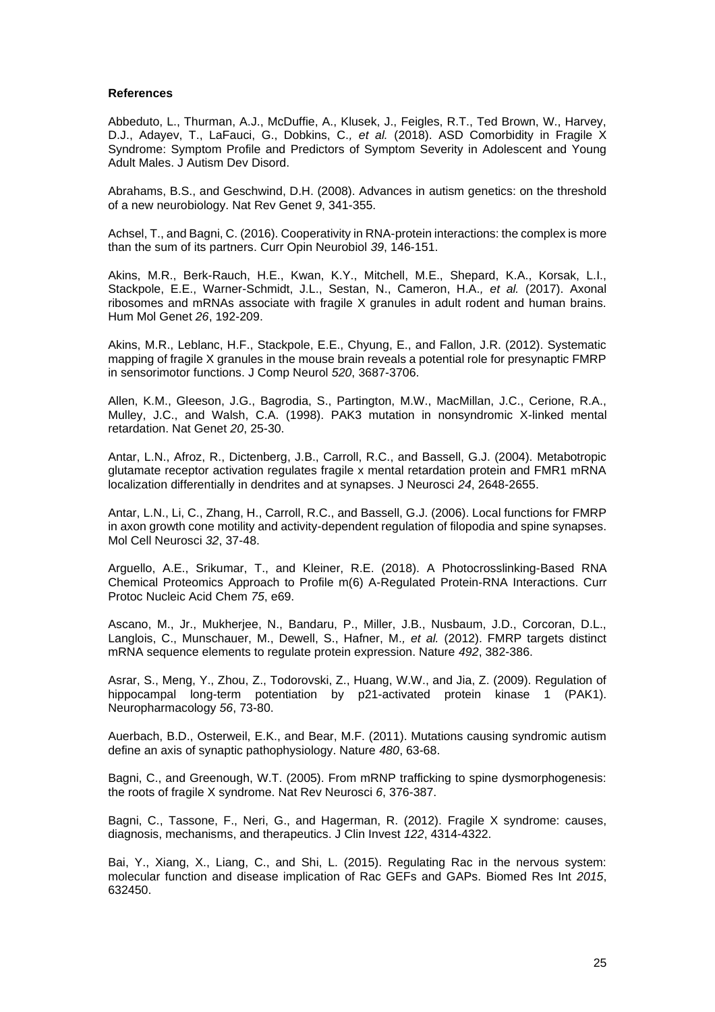## **References**

Abbeduto, L., Thurman, A.J., McDuffie, A., Klusek, J., Feigles, R.T., Ted Brown, W., Harvey, D.J., Adayev, T., LaFauci, G., Dobkins, C.*, et al.* (2018). ASD Comorbidity in Fragile X Syndrome: Symptom Profile and Predictors of Symptom Severity in Adolescent and Young Adult Males. J Autism Dev Disord.

Abrahams, B.S., and Geschwind, D.H. (2008). Advances in autism genetics: on the threshold of a new neurobiology. Nat Rev Genet *9*, 341-355.

Achsel, T., and Bagni, C. (2016). Cooperativity in RNA-protein interactions: the complex is more than the sum of its partners. Curr Opin Neurobiol *39*, 146-151.

Akins, M.R., Berk-Rauch, H.E., Kwan, K.Y., Mitchell, M.E., Shepard, K.A., Korsak, L.I., Stackpole, E.E., Warner-Schmidt, J.L., Sestan, N., Cameron, H.A.*, et al.* (2017). Axonal ribosomes and mRNAs associate with fragile X granules in adult rodent and human brains. Hum Mol Genet *26*, 192-209.

Akins, M.R., Leblanc, H.F., Stackpole, E.E., Chyung, E., and Fallon, J.R. (2012). Systematic mapping of fragile X granules in the mouse brain reveals a potential role for presynaptic FMRP in sensorimotor functions. J Comp Neurol *520*, 3687-3706.

Allen, K.M., Gleeson, J.G., Bagrodia, S., Partington, M.W., MacMillan, J.C., Cerione, R.A., Mulley, J.C., and Walsh, C.A. (1998). PAK3 mutation in nonsyndromic X-linked mental retardation. Nat Genet *20*, 25-30.

Antar, L.N., Afroz, R., Dictenberg, J.B., Carroll, R.C., and Bassell, G.J. (2004). Metabotropic glutamate receptor activation regulates fragile x mental retardation protein and FMR1 mRNA localization differentially in dendrites and at synapses. J Neurosci *24*, 2648-2655.

Antar, L.N., Li, C., Zhang, H., Carroll, R.C., and Bassell, G.J. (2006). Local functions for FMRP in axon growth cone motility and activity-dependent regulation of filopodia and spine synapses. Mol Cell Neurosci *32*, 37-48.

Arguello, A.E., Srikumar, T., and Kleiner, R.E. (2018). A Photocrosslinking-Based RNA Chemical Proteomics Approach to Profile m(6) A-Regulated Protein-RNA Interactions. Curr Protoc Nucleic Acid Chem *75*, e69.

Ascano, M., Jr., Mukherjee, N., Bandaru, P., Miller, J.B., Nusbaum, J.D., Corcoran, D.L., Langlois, C., Munschauer, M., Dewell, S., Hafner, M.*, et al.* (2012). FMRP targets distinct mRNA sequence elements to regulate protein expression. Nature *492*, 382-386.

Asrar, S., Meng, Y., Zhou, Z., Todorovski, Z., Huang, W.W., and Jia, Z. (2009). Regulation of hippocampal long-term potentiation by p21-activated protein kinase 1 (PAK1). Neuropharmacology *56*, 73-80.

Auerbach, B.D., Osterweil, E.K., and Bear, M.F. (2011). Mutations causing syndromic autism define an axis of synaptic pathophysiology. Nature *480*, 63-68.

Bagni, C., and Greenough, W.T. (2005). From mRNP trafficking to spine dysmorphogenesis: the roots of fragile X syndrome. Nat Rev Neurosci *6*, 376-387.

Bagni, C., Tassone, F., Neri, G., and Hagerman, R. (2012). Fragile X syndrome: causes, diagnosis, mechanisms, and therapeutics. J Clin Invest *122*, 4314-4322.

Bai, Y., Xiang, X., Liang, C., and Shi, L. (2015). Regulating Rac in the nervous system: molecular function and disease implication of Rac GEFs and GAPs. Biomed Res Int *2015*, 632450.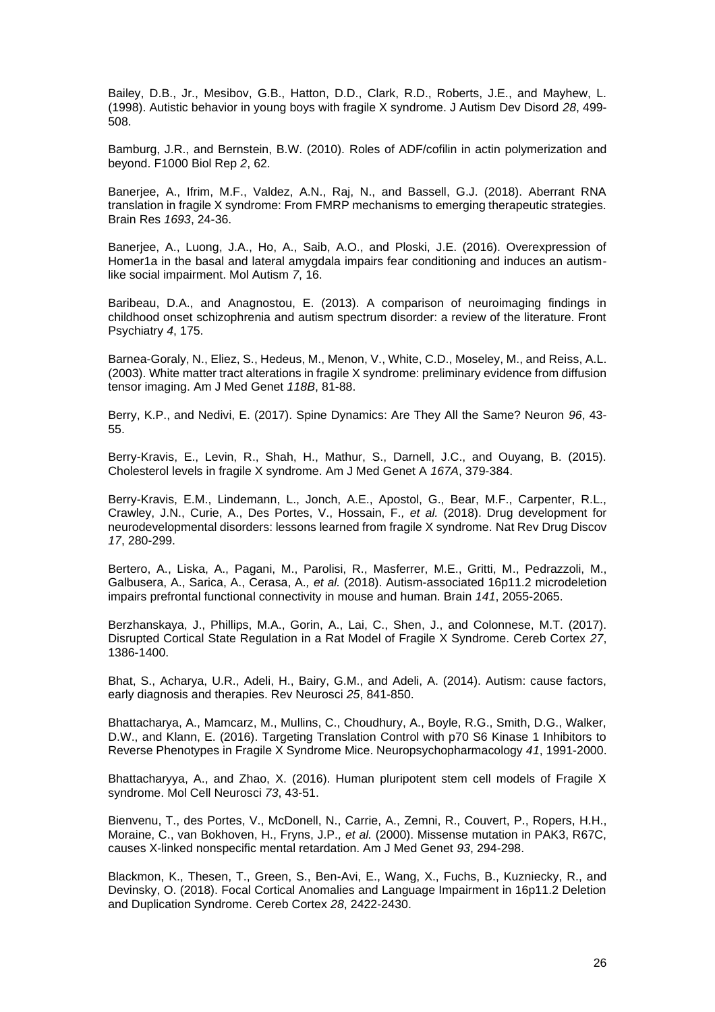Bailey, D.B., Jr., Mesibov, G.B., Hatton, D.D., Clark, R.D., Roberts, J.E., and Mayhew, L. (1998). Autistic behavior in young boys with fragile X syndrome. J Autism Dev Disord *28*, 499- 508.

Bamburg, J.R., and Bernstein, B.W. (2010). Roles of ADF/cofilin in actin polymerization and beyond. F1000 Biol Rep *2*, 62.

Banerjee, A., Ifrim, M.F., Valdez, A.N., Raj, N., and Bassell, G.J. (2018). Aberrant RNA translation in fragile X syndrome: From FMRP mechanisms to emerging therapeutic strategies. Brain Res *1693*, 24-36.

Banerjee, A., Luong, J.A., Ho, A., Saib, A.O., and Ploski, J.E. (2016). Overexpression of Homer1a in the basal and lateral amygdala impairs fear conditioning and induces an autismlike social impairment. Mol Autism *7*, 16.

Baribeau, D.A., and Anagnostou, E. (2013). A comparison of neuroimaging findings in childhood onset schizophrenia and autism spectrum disorder: a review of the literature. Front Psychiatry *4*, 175.

Barnea-Goraly, N., Eliez, S., Hedeus, M., Menon, V., White, C.D., Moseley, M., and Reiss, A.L. (2003). White matter tract alterations in fragile X syndrome: preliminary evidence from diffusion tensor imaging. Am J Med Genet *118B*, 81-88.

Berry, K.P., and Nedivi, E. (2017). Spine Dynamics: Are They All the Same? Neuron *96*, 43- 55.

Berry-Kravis, E., Levin, R., Shah, H., Mathur, S., Darnell, J.C., and Ouyang, B. (2015). Cholesterol levels in fragile X syndrome. Am J Med Genet A *167A*, 379-384.

Berry-Kravis, E.M., Lindemann, L., Jonch, A.E., Apostol, G., Bear, M.F., Carpenter, R.L., Crawley, J.N., Curie, A., Des Portes, V., Hossain, F.*, et al.* (2018). Drug development for neurodevelopmental disorders: lessons learned from fragile X syndrome. Nat Rev Drug Discov *17*, 280-299.

Bertero, A., Liska, A., Pagani, M., Parolisi, R., Masferrer, M.E., Gritti, M., Pedrazzoli, M., Galbusera, A., Sarica, A., Cerasa, A.*, et al.* (2018). Autism-associated 16p11.2 microdeletion impairs prefrontal functional connectivity in mouse and human. Brain *141*, 2055-2065.

Berzhanskaya, J., Phillips, M.A., Gorin, A., Lai, C., Shen, J., and Colonnese, M.T. (2017). Disrupted Cortical State Regulation in a Rat Model of Fragile X Syndrome. Cereb Cortex *27*, 1386-1400.

Bhat, S., Acharya, U.R., Adeli, H., Bairy, G.M., and Adeli, A. (2014). Autism: cause factors, early diagnosis and therapies. Rev Neurosci *25*, 841-850.

Bhattacharya, A., Mamcarz, M., Mullins, C., Choudhury, A., Boyle, R.G., Smith, D.G., Walker, D.W., and Klann, E. (2016). Targeting Translation Control with p70 S6 Kinase 1 Inhibitors to Reverse Phenotypes in Fragile X Syndrome Mice. Neuropsychopharmacology *41*, 1991-2000.

Bhattacharyya, A., and Zhao, X. (2016). Human pluripotent stem cell models of Fragile X syndrome. Mol Cell Neurosci *73*, 43-51.

Bienvenu, T., des Portes, V., McDonell, N., Carrie, A., Zemni, R., Couvert, P., Ropers, H.H., Moraine, C., van Bokhoven, H., Fryns, J.P.*, et al.* (2000). Missense mutation in PAK3, R67C, causes X-linked nonspecific mental retardation. Am J Med Genet *93*, 294-298.

Blackmon, K., Thesen, T., Green, S., Ben-Avi, E., Wang, X., Fuchs, B., Kuzniecky, R., and Devinsky, O. (2018). Focal Cortical Anomalies and Language Impairment in 16p11.2 Deletion and Duplication Syndrome. Cereb Cortex *28*, 2422-2430.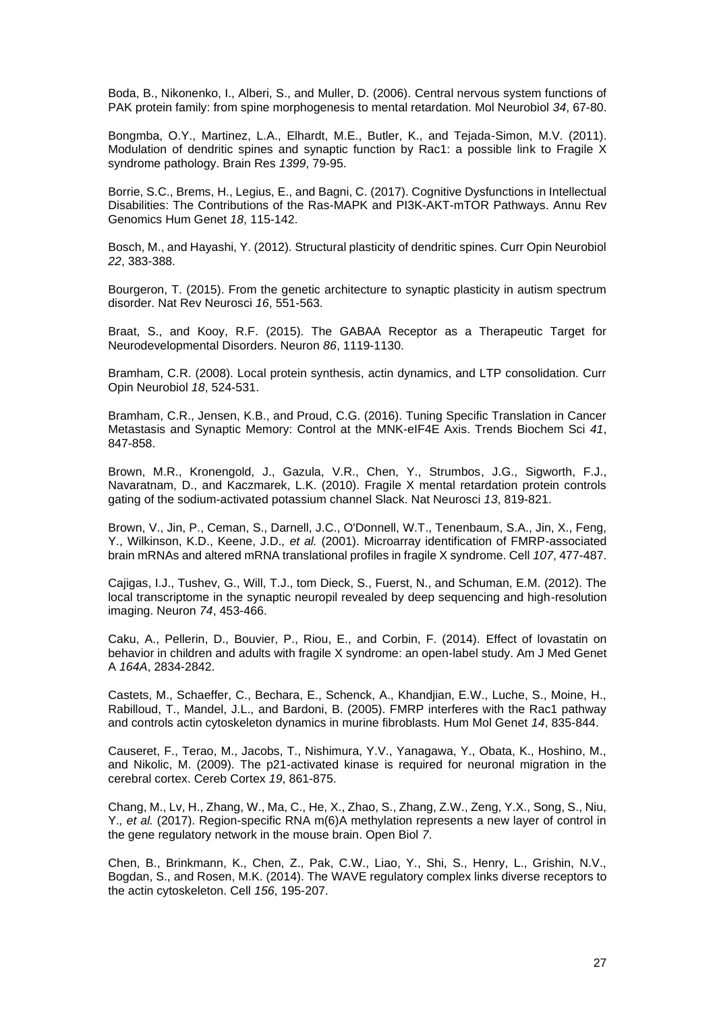Boda, B., Nikonenko, I., Alberi, S., and Muller, D. (2006). Central nervous system functions of PAK protein family: from spine morphogenesis to mental retardation. Mol Neurobiol *34*, 67-80.

Bongmba, O.Y., Martinez, L.A., Elhardt, M.E., Butler, K., and Tejada-Simon, M.V. (2011). Modulation of dendritic spines and synaptic function by Rac1: a possible link to Fragile X syndrome pathology. Brain Res *1399*, 79-95.

Borrie, S.C., Brems, H., Legius, E., and Bagni, C. (2017). Cognitive Dysfunctions in Intellectual Disabilities: The Contributions of the Ras-MAPK and PI3K-AKT-mTOR Pathways. Annu Rev Genomics Hum Genet *18*, 115-142.

Bosch, M., and Hayashi, Y. (2012). Structural plasticity of dendritic spines. Curr Opin Neurobiol *22*, 383-388.

Bourgeron, T. (2015). From the genetic architecture to synaptic plasticity in autism spectrum disorder. Nat Rev Neurosci *16*, 551-563.

Braat, S., and Kooy, R.F. (2015). The GABAA Receptor as a Therapeutic Target for Neurodevelopmental Disorders. Neuron *86*, 1119-1130.

Bramham, C.R. (2008). Local protein synthesis, actin dynamics, and LTP consolidation. Curr Opin Neurobiol *18*, 524-531.

Bramham, C.R., Jensen, K.B., and Proud, C.G. (2016). Tuning Specific Translation in Cancer Metastasis and Synaptic Memory: Control at the MNK-eIF4E Axis. Trends Biochem Sci *41*, 847-858.

Brown, M.R., Kronengold, J., Gazula, V.R., Chen, Y., Strumbos, J.G., Sigworth, F.J., Navaratnam, D., and Kaczmarek, L.K. (2010). Fragile X mental retardation protein controls gating of the sodium-activated potassium channel Slack. Nat Neurosci *13*, 819-821.

Brown, V., Jin, P., Ceman, S., Darnell, J.C., O'Donnell, W.T., Tenenbaum, S.A., Jin, X., Feng, Y., Wilkinson, K.D., Keene, J.D.*, et al.* (2001). Microarray identification of FMRP-associated brain mRNAs and altered mRNA translational profiles in fragile X syndrome. Cell *107*, 477-487.

Cajigas, I.J., Tushev, G., Will, T.J., tom Dieck, S., Fuerst, N., and Schuman, E.M. (2012). The local transcriptome in the synaptic neuropil revealed by deep sequencing and high-resolution imaging. Neuron *74*, 453-466.

Caku, A., Pellerin, D., Bouvier, P., Riou, E., and Corbin, F. (2014). Effect of lovastatin on behavior in children and adults with fragile X syndrome: an open-label study. Am J Med Genet A *164A*, 2834-2842.

Castets, M., Schaeffer, C., Bechara, E., Schenck, A., Khandjian, E.W., Luche, S., Moine, H., Rabilloud, T., Mandel, J.L., and Bardoni, B. (2005). FMRP interferes with the Rac1 pathway and controls actin cytoskeleton dynamics in murine fibroblasts. Hum Mol Genet *14*, 835-844.

Causeret, F., Terao, M., Jacobs, T., Nishimura, Y.V., Yanagawa, Y., Obata, K., Hoshino, M., and Nikolic, M. (2009). The p21-activated kinase is required for neuronal migration in the cerebral cortex. Cereb Cortex *19*, 861-875.

Chang, M., Lv, H., Zhang, W., Ma, C., He, X., Zhao, S., Zhang, Z.W., Zeng, Y.X., Song, S., Niu, Y.*, et al.* (2017). Region-specific RNA m(6)A methylation represents a new layer of control in the gene regulatory network in the mouse brain. Open Biol *7*.

Chen, B., Brinkmann, K., Chen, Z., Pak, C.W., Liao, Y., Shi, S., Henry, L., Grishin, N.V., Bogdan, S., and Rosen, M.K. (2014). The WAVE regulatory complex links diverse receptors to the actin cytoskeleton. Cell *156*, 195-207.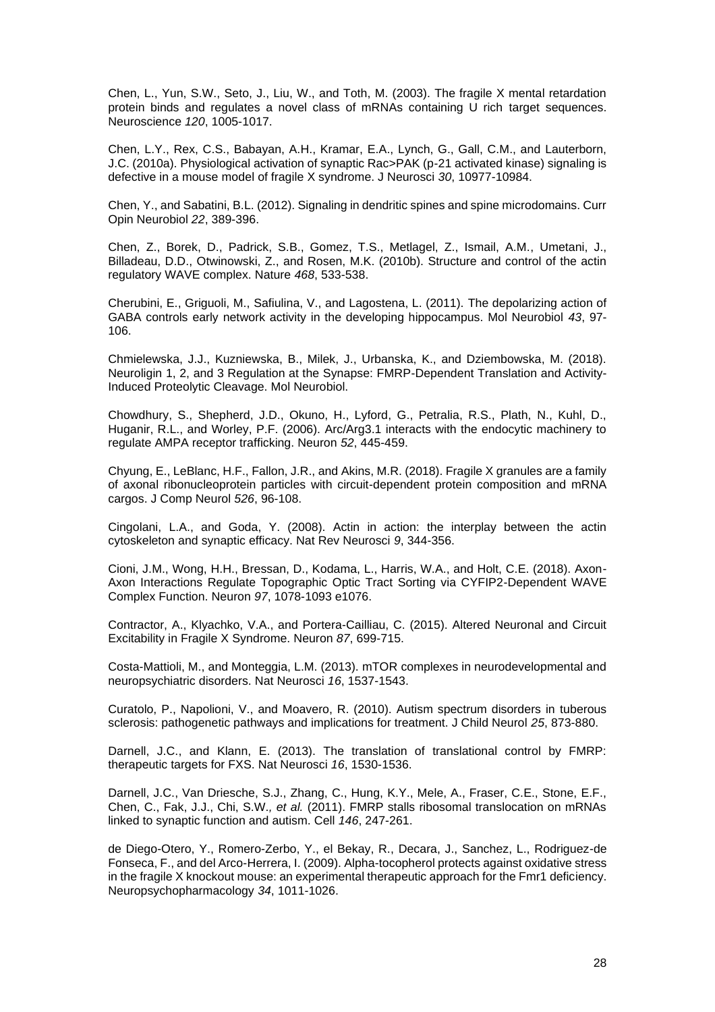Chen, L., Yun, S.W., Seto, J., Liu, W., and Toth, M. (2003). The fragile X mental retardation protein binds and regulates a novel class of mRNAs containing U rich target sequences. Neuroscience *120*, 1005-1017.

Chen, L.Y., Rex, C.S., Babayan, A.H., Kramar, E.A., Lynch, G., Gall, C.M., and Lauterborn, J.C. (2010a). Physiological activation of synaptic Rac>PAK (p-21 activated kinase) signaling is defective in a mouse model of fragile X syndrome. J Neurosci *30*, 10977-10984.

Chen, Y., and Sabatini, B.L. (2012). Signaling in dendritic spines and spine microdomains. Curr Opin Neurobiol *22*, 389-396.

Chen, Z., Borek, D., Padrick, S.B., Gomez, T.S., Metlagel, Z., Ismail, A.M., Umetani, J., Billadeau, D.D., Otwinowski, Z., and Rosen, M.K. (2010b). Structure and control of the actin regulatory WAVE complex. Nature *468*, 533-538.

Cherubini, E., Griguoli, M., Safiulina, V., and Lagostena, L. (2011). The depolarizing action of GABA controls early network activity in the developing hippocampus. Mol Neurobiol *43*, 97- 106.

Chmielewska, J.J., Kuzniewska, B., Milek, J., Urbanska, K., and Dziembowska, M. (2018). Neuroligin 1, 2, and 3 Regulation at the Synapse: FMRP-Dependent Translation and Activity-Induced Proteolytic Cleavage. Mol Neurobiol.

Chowdhury, S., Shepherd, J.D., Okuno, H., Lyford, G., Petralia, R.S., Plath, N., Kuhl, D., Huganir, R.L., and Worley, P.F. (2006). Arc/Arg3.1 interacts with the endocytic machinery to regulate AMPA receptor trafficking. Neuron *52*, 445-459.

Chyung, E., LeBlanc, H.F., Fallon, J.R., and Akins, M.R. (2018). Fragile X granules are a family of axonal ribonucleoprotein particles with circuit-dependent protein composition and mRNA cargos. J Comp Neurol *526*, 96-108.

Cingolani, L.A., and Goda, Y. (2008). Actin in action: the interplay between the actin cytoskeleton and synaptic efficacy. Nat Rev Neurosci *9*, 344-356.

Cioni, J.M., Wong, H.H., Bressan, D., Kodama, L., Harris, W.A., and Holt, C.E. (2018). Axon-Axon Interactions Regulate Topographic Optic Tract Sorting via CYFIP2-Dependent WAVE Complex Function. Neuron *97*, 1078-1093 e1076.

Contractor, A., Klyachko, V.A., and Portera-Cailliau, C. (2015). Altered Neuronal and Circuit Excitability in Fragile X Syndrome. Neuron *87*, 699-715.

Costa-Mattioli, M., and Monteggia, L.M. (2013). mTOR complexes in neurodevelopmental and neuropsychiatric disorders. Nat Neurosci *16*, 1537-1543.

Curatolo, P., Napolioni, V., and Moavero, R. (2010). Autism spectrum disorders in tuberous sclerosis: pathogenetic pathways and implications for treatment. J Child Neurol *25*, 873-880.

Darnell, J.C., and Klann, E. (2013). The translation of translational control by FMRP: therapeutic targets for FXS. Nat Neurosci *16*, 1530-1536.

Darnell, J.C., Van Driesche, S.J., Zhang, C., Hung, K.Y., Mele, A., Fraser, C.E., Stone, E.F., Chen, C., Fak, J.J., Chi, S.W.*, et al.* (2011). FMRP stalls ribosomal translocation on mRNAs linked to synaptic function and autism. Cell *146*, 247-261.

de Diego-Otero, Y., Romero-Zerbo, Y., el Bekay, R., Decara, J., Sanchez, L., Rodriguez-de Fonseca, F., and del Arco-Herrera, I. (2009). Alpha-tocopherol protects against oxidative stress in the fragile X knockout mouse: an experimental therapeutic approach for the Fmr1 deficiency. Neuropsychopharmacology *34*, 1011-1026.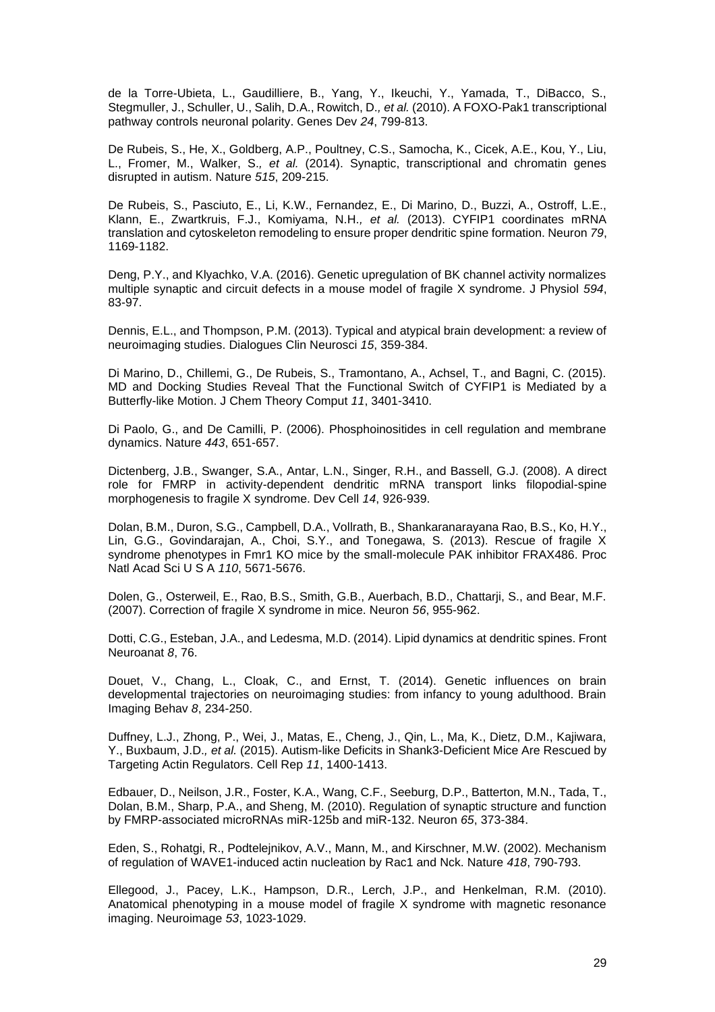de la Torre-Ubieta, L., Gaudilliere, B., Yang, Y., Ikeuchi, Y., Yamada, T., DiBacco, S., Stegmuller, J., Schuller, U., Salih, D.A., Rowitch, D.*, et al.* (2010). A FOXO-Pak1 transcriptional pathway controls neuronal polarity. Genes Dev *24*, 799-813.

De Rubeis, S., He, X., Goldberg, A.P., Poultney, C.S., Samocha, K., Cicek, A.E., Kou, Y., Liu, L., Fromer, M., Walker, S.*, et al.* (2014). Synaptic, transcriptional and chromatin genes disrupted in autism. Nature *515*, 209-215.

De Rubeis, S., Pasciuto, E., Li, K.W., Fernandez, E., Di Marino, D., Buzzi, A., Ostroff, L.E., Klann, E., Zwartkruis, F.J., Komiyama, N.H.*, et al.* (2013). CYFIP1 coordinates mRNA translation and cytoskeleton remodeling to ensure proper dendritic spine formation. Neuron *79*, 1169-1182.

Deng, P.Y., and Klyachko, V.A. (2016). Genetic upregulation of BK channel activity normalizes multiple synaptic and circuit defects in a mouse model of fragile X syndrome. J Physiol *594*, 83-97.

Dennis, E.L., and Thompson, P.M. (2013). Typical and atypical brain development: a review of neuroimaging studies. Dialogues Clin Neurosci *15*, 359-384.

Di Marino, D., Chillemi, G., De Rubeis, S., Tramontano, A., Achsel, T., and Bagni, C. (2015). MD and Docking Studies Reveal That the Functional Switch of CYFIP1 is Mediated by a Butterfly-like Motion. J Chem Theory Comput *11*, 3401-3410.

Di Paolo, G., and De Camilli, P. (2006). Phosphoinositides in cell regulation and membrane dynamics. Nature *443*, 651-657.

Dictenberg, J.B., Swanger, S.A., Antar, L.N., Singer, R.H., and Bassell, G.J. (2008). A direct role for FMRP in activity-dependent dendritic mRNA transport links filopodial-spine morphogenesis to fragile X syndrome. Dev Cell *14*, 926-939.

Dolan, B.M., Duron, S.G., Campbell, D.A., Vollrath, B., Shankaranarayana Rao, B.S., Ko, H.Y., Lin, G.G., Govindarajan, A., Choi, S.Y., and Tonegawa, S. (2013). Rescue of fragile X syndrome phenotypes in Fmr1 KO mice by the small-molecule PAK inhibitor FRAX486. Proc Natl Acad Sci U S A *110*, 5671-5676.

Dolen, G., Osterweil, E., Rao, B.S., Smith, G.B., Auerbach, B.D., Chattarji, S., and Bear, M.F. (2007). Correction of fragile X syndrome in mice. Neuron *56*, 955-962.

Dotti, C.G., Esteban, J.A., and Ledesma, M.D. (2014). Lipid dynamics at dendritic spines. Front Neuroanat *8*, 76.

Douet, V., Chang, L., Cloak, C., and Ernst, T. (2014). Genetic influences on brain developmental trajectories on neuroimaging studies: from infancy to young adulthood. Brain Imaging Behav *8*, 234-250.

Duffney, L.J., Zhong, P., Wei, J., Matas, E., Cheng, J., Qin, L., Ma, K., Dietz, D.M., Kajiwara, Y., Buxbaum, J.D.*, et al.* (2015). Autism-like Deficits in Shank3-Deficient Mice Are Rescued by Targeting Actin Regulators. Cell Rep *11*, 1400-1413.

Edbauer, D., Neilson, J.R., Foster, K.A., Wang, C.F., Seeburg, D.P., Batterton, M.N., Tada, T., Dolan, B.M., Sharp, P.A., and Sheng, M. (2010). Regulation of synaptic structure and function by FMRP-associated microRNAs miR-125b and miR-132. Neuron *65*, 373-384.

Eden, S., Rohatgi, R., Podtelejnikov, A.V., Mann, M., and Kirschner, M.W. (2002). Mechanism of regulation of WAVE1-induced actin nucleation by Rac1 and Nck. Nature *418*, 790-793.

Ellegood, J., Pacey, L.K., Hampson, D.R., Lerch, J.P., and Henkelman, R.M. (2010). Anatomical phenotyping in a mouse model of fragile X syndrome with magnetic resonance imaging. Neuroimage *53*, 1023-1029.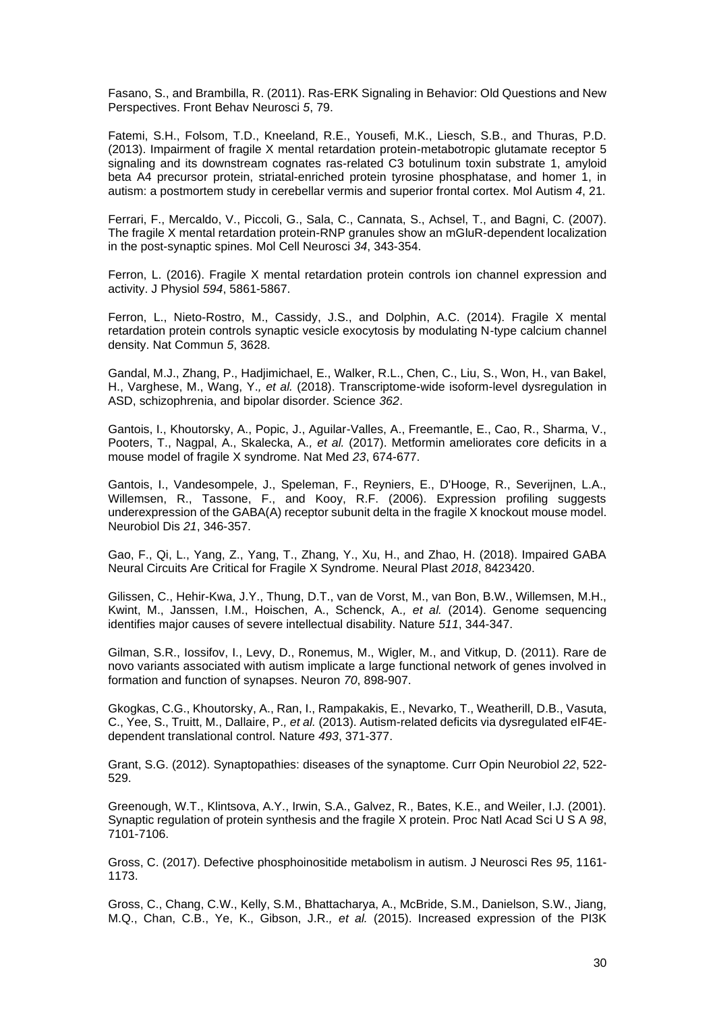Fasano, S., and Brambilla, R. (2011). Ras-ERK Signaling in Behavior: Old Questions and New Perspectives. Front Behav Neurosci *5*, 79.

Fatemi, S.H., Folsom, T.D., Kneeland, R.E., Yousefi, M.K., Liesch, S.B., and Thuras, P.D. (2013). Impairment of fragile X mental retardation protein-metabotropic glutamate receptor 5 signaling and its downstream cognates ras-related C3 botulinum toxin substrate 1, amyloid beta A4 precursor protein, striatal-enriched protein tyrosine phosphatase, and homer 1, in autism: a postmortem study in cerebellar vermis and superior frontal cortex. Mol Autism *4*, 21.

Ferrari, F., Mercaldo, V., Piccoli, G., Sala, C., Cannata, S., Achsel, T., and Bagni, C. (2007). The fragile X mental retardation protein-RNP granules show an mGluR-dependent localization in the post-synaptic spines. Mol Cell Neurosci *34*, 343-354.

Ferron, L. (2016). Fragile X mental retardation protein controls ion channel expression and activity. J Physiol *594*, 5861-5867.

Ferron, L., Nieto-Rostro, M., Cassidy, J.S., and Dolphin, A.C. (2014). Fragile X mental retardation protein controls synaptic vesicle exocytosis by modulating N-type calcium channel density. Nat Commun *5*, 3628.

Gandal, M.J., Zhang, P., Hadjimichael, E., Walker, R.L., Chen, C., Liu, S., Won, H., van Bakel, H., Varghese, M., Wang, Y.*, et al.* (2018). Transcriptome-wide isoform-level dysregulation in ASD, schizophrenia, and bipolar disorder. Science *362*.

Gantois, I., Khoutorsky, A., Popic, J., Aguilar-Valles, A., Freemantle, E., Cao, R., Sharma, V., Pooters, T., Nagpal, A., Skalecka, A.*, et al.* (2017). Metformin ameliorates core deficits in a mouse model of fragile X syndrome. Nat Med *23*, 674-677.

Gantois, I., Vandesompele, J., Speleman, F., Reyniers, E., D'Hooge, R., Severijnen, L.A., Willemsen, R., Tassone, F., and Kooy, R.F. (2006). Expression profiling suggests underexpression of the GABA(A) receptor subunit delta in the fragile X knockout mouse model. Neurobiol Dis *21*, 346-357.

Gao, F., Qi, L., Yang, Z., Yang, T., Zhang, Y., Xu, H., and Zhao, H. (2018). Impaired GABA Neural Circuits Are Critical for Fragile X Syndrome. Neural Plast *2018*, 8423420.

Gilissen, C., Hehir-Kwa, J.Y., Thung, D.T., van de Vorst, M., van Bon, B.W., Willemsen, M.H., Kwint, M., Janssen, I.M., Hoischen, A., Schenck, A.*, et al.* (2014). Genome sequencing identifies major causes of severe intellectual disability. Nature *511*, 344-347.

Gilman, S.R., Iossifov, I., Levy, D., Ronemus, M., Wigler, M., and Vitkup, D. (2011). Rare de novo variants associated with autism implicate a large functional network of genes involved in formation and function of synapses. Neuron *70*, 898-907.

Gkogkas, C.G., Khoutorsky, A., Ran, I., Rampakakis, E., Nevarko, T., Weatherill, D.B., Vasuta, C., Yee, S., Truitt, M., Dallaire, P.*, et al.* (2013). Autism-related deficits via dysregulated eIF4Edependent translational control. Nature *493*, 371-377.

Grant, S.G. (2012). Synaptopathies: diseases of the synaptome. Curr Opin Neurobiol *22*, 522- 529.

Greenough, W.T., Klintsova, A.Y., Irwin, S.A., Galvez, R., Bates, K.E., and Weiler, I.J. (2001). Synaptic regulation of protein synthesis and the fragile X protein. Proc Natl Acad Sci U S A *98*, 7101-7106.

Gross, C. (2017). Defective phosphoinositide metabolism in autism. J Neurosci Res *95*, 1161- 1173.

Gross, C., Chang, C.W., Kelly, S.M., Bhattacharya, A., McBride, S.M., Danielson, S.W., Jiang, M.Q., Chan, C.B., Ye, K., Gibson, J.R.*, et al.* (2015). Increased expression of the PI3K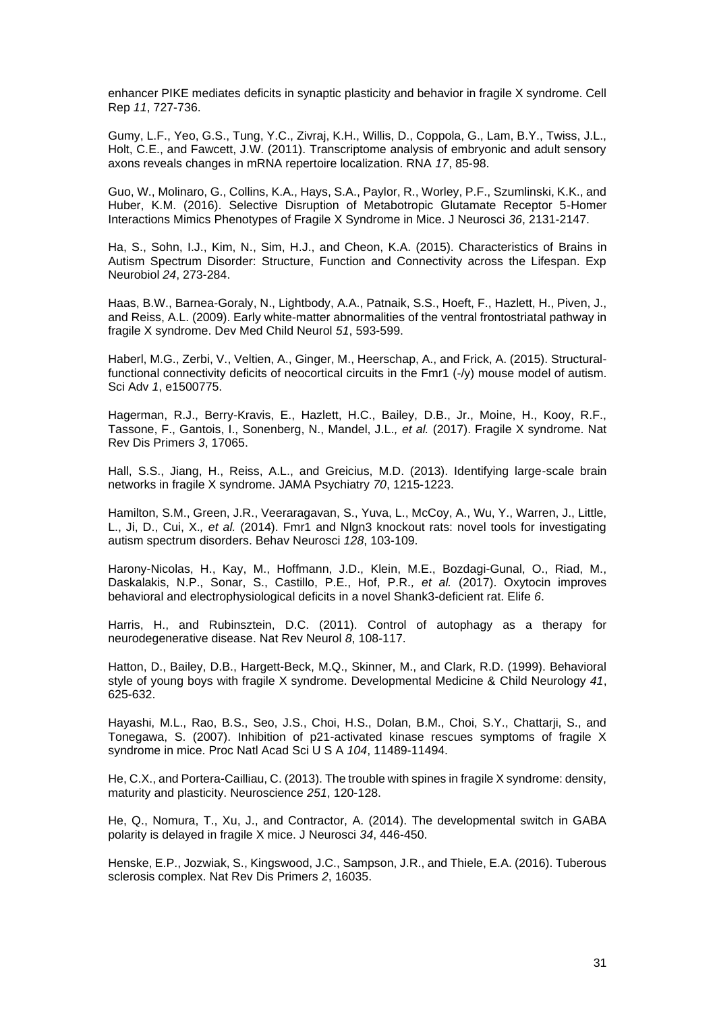enhancer PIKE mediates deficits in synaptic plasticity and behavior in fragile X syndrome. Cell Rep *11*, 727-736.

Gumy, L.F., Yeo, G.S., Tung, Y.C., Zivraj, K.H., Willis, D., Coppola, G., Lam, B.Y., Twiss, J.L., Holt, C.E., and Fawcett, J.W. (2011). Transcriptome analysis of embryonic and adult sensory axons reveals changes in mRNA repertoire localization. RNA *17*, 85-98.

Guo, W., Molinaro, G., Collins, K.A., Hays, S.A., Paylor, R., Worley, P.F., Szumlinski, K.K., and Huber, K.M. (2016). Selective Disruption of Metabotropic Glutamate Receptor 5-Homer Interactions Mimics Phenotypes of Fragile X Syndrome in Mice. J Neurosci *36*, 2131-2147.

Ha, S., Sohn, I.J., Kim, N., Sim, H.J., and Cheon, K.A. (2015). Characteristics of Brains in Autism Spectrum Disorder: Structure, Function and Connectivity across the Lifespan. Exp Neurobiol *24*, 273-284.

Haas, B.W., Barnea-Goraly, N., Lightbody, A.A., Patnaik, S.S., Hoeft, F., Hazlett, H., Piven, J., and Reiss, A.L. (2009). Early white-matter abnormalities of the ventral frontostriatal pathway in fragile X syndrome. Dev Med Child Neurol *51*, 593-599.

Haberl, M.G., Zerbi, V., Veltien, A., Ginger, M., Heerschap, A., and Frick, A. (2015). Structuralfunctional connectivity deficits of neocortical circuits in the Fmr1 (-/y) mouse model of autism. Sci Adv *1*, e1500775.

Hagerman, R.J., Berry-Kravis, E., Hazlett, H.C., Bailey, D.B., Jr., Moine, H., Kooy, R.F., Tassone, F., Gantois, I., Sonenberg, N., Mandel, J.L.*, et al.* (2017). Fragile X syndrome. Nat Rev Dis Primers *3*, 17065.

Hall, S.S., Jiang, H., Reiss, A.L., and Greicius, M.D. (2013). Identifying large-scale brain networks in fragile X syndrome. JAMA Psychiatry *70*, 1215-1223.

Hamilton, S.M., Green, J.R., Veeraragavan, S., Yuva, L., McCoy, A., Wu, Y., Warren, J., Little, L., Ji, D., Cui, X.*, et al.* (2014). Fmr1 and Nlgn3 knockout rats: novel tools for investigating autism spectrum disorders. Behav Neurosci *128*, 103-109.

Harony-Nicolas, H., Kay, M., Hoffmann, J.D., Klein, M.E., Bozdagi-Gunal, O., Riad, M., Daskalakis, N.P., Sonar, S., Castillo, P.E., Hof, P.R.*, et al.* (2017). Oxytocin improves behavioral and electrophysiological deficits in a novel Shank3-deficient rat. Elife *6*.

Harris, H., and Rubinsztein, D.C. (2011). Control of autophagy as a therapy for neurodegenerative disease. Nat Rev Neurol *8*, 108-117.

Hatton, D., Bailey, D.B., Hargett-Beck, M.Q., Skinner, M., and Clark, R.D. (1999). Behavioral style of young boys with fragile X syndrome. Developmental Medicine & Child Neurology *41*, 625-632.

Hayashi, M.L., Rao, B.S., Seo, J.S., Choi, H.S., Dolan, B.M., Choi, S.Y., Chattarji, S., and Tonegawa, S. (2007). Inhibition of p21-activated kinase rescues symptoms of fragile X syndrome in mice. Proc Natl Acad Sci U S A *104*, 11489-11494.

He, C.X., and Portera-Cailliau, C. (2013). The trouble with spines in fragile X syndrome: density, maturity and plasticity. Neuroscience *251*, 120-128.

He, Q., Nomura, T., Xu, J., and Contractor, A. (2014). The developmental switch in GABA polarity is delayed in fragile X mice. J Neurosci *34*, 446-450.

Henske, E.P., Jozwiak, S., Kingswood, J.C., Sampson, J.R., and Thiele, E.A. (2016). Tuberous sclerosis complex. Nat Rev Dis Primers *2*, 16035.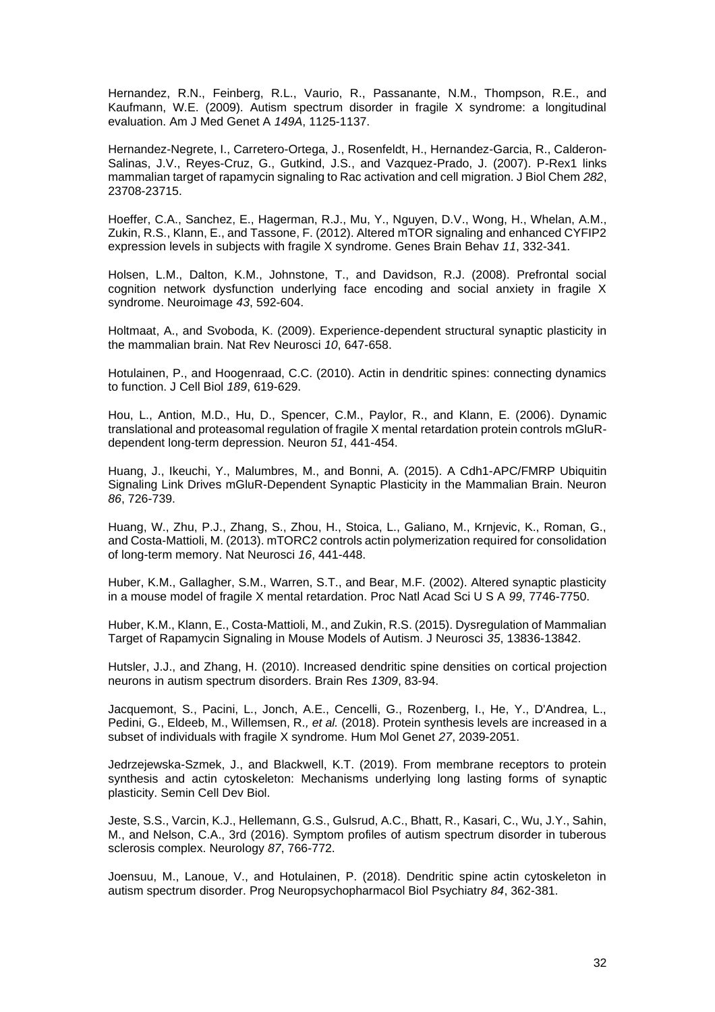Hernandez, R.N., Feinberg, R.L., Vaurio, R., Passanante, N.M., Thompson, R.E., and Kaufmann, W.E. (2009). Autism spectrum disorder in fragile X syndrome: a longitudinal evaluation. Am J Med Genet A *149A*, 1125-1137.

Hernandez-Negrete, I., Carretero-Ortega, J., Rosenfeldt, H., Hernandez-Garcia, R., Calderon-Salinas, J.V., Reyes-Cruz, G., Gutkind, J.S., and Vazquez-Prado, J. (2007). P-Rex1 links mammalian target of rapamycin signaling to Rac activation and cell migration. J Biol Chem *282*, 23708-23715.

Hoeffer, C.A., Sanchez, E., Hagerman, R.J., Mu, Y., Nguyen, D.V., Wong, H., Whelan, A.M., Zukin, R.S., Klann, E., and Tassone, F. (2012). Altered mTOR signaling and enhanced CYFIP2 expression levels in subjects with fragile X syndrome. Genes Brain Behav *11*, 332-341.

Holsen, L.M., Dalton, K.M., Johnstone, T., and Davidson, R.J. (2008). Prefrontal social cognition network dysfunction underlying face encoding and social anxiety in fragile X syndrome. Neuroimage *43*, 592-604.

Holtmaat, A., and Svoboda, K. (2009). Experience-dependent structural synaptic plasticity in the mammalian brain. Nat Rev Neurosci *10*, 647-658.

Hotulainen, P., and Hoogenraad, C.C. (2010). Actin in dendritic spines: connecting dynamics to function. J Cell Biol *189*, 619-629.

Hou, L., Antion, M.D., Hu, D., Spencer, C.M., Paylor, R., and Klann, E. (2006). Dynamic translational and proteasomal regulation of fragile X mental retardation protein controls mGluRdependent long-term depression. Neuron *51*, 441-454.

Huang, J., Ikeuchi, Y., Malumbres, M., and Bonni, A. (2015). A Cdh1-APC/FMRP Ubiquitin Signaling Link Drives mGluR-Dependent Synaptic Plasticity in the Mammalian Brain. Neuron *86*, 726-739.

Huang, W., Zhu, P.J., Zhang, S., Zhou, H., Stoica, L., Galiano, M., Krnjevic, K., Roman, G., and Costa-Mattioli, M. (2013). mTORC2 controls actin polymerization required for consolidation of long-term memory. Nat Neurosci *16*, 441-448.

Huber, K.M., Gallagher, S.M., Warren, S.T., and Bear, M.F. (2002). Altered synaptic plasticity in a mouse model of fragile X mental retardation. Proc Natl Acad Sci U S A *99*, 7746-7750.

Huber, K.M., Klann, E., Costa-Mattioli, M., and Zukin, R.S. (2015). Dysregulation of Mammalian Target of Rapamycin Signaling in Mouse Models of Autism. J Neurosci *35*, 13836-13842.

Hutsler, J.J., and Zhang, H. (2010). Increased dendritic spine densities on cortical projection neurons in autism spectrum disorders. Brain Res *1309*, 83-94.

Jacquemont, S., Pacini, L., Jonch, A.E., Cencelli, G., Rozenberg, I., He, Y., D'Andrea, L., Pedini, G., Eldeeb, M., Willemsen, R.*, et al.* (2018). Protein synthesis levels are increased in a subset of individuals with fragile X syndrome. Hum Mol Genet *27*, 2039-2051.

Jedrzejewska-Szmek, J., and Blackwell, K.T. (2019). From membrane receptors to protein synthesis and actin cytoskeleton: Mechanisms underlying long lasting forms of synaptic plasticity. Semin Cell Dev Biol.

Jeste, S.S., Varcin, K.J., Hellemann, G.S., Gulsrud, A.C., Bhatt, R., Kasari, C., Wu, J.Y., Sahin, M., and Nelson, C.A., 3rd (2016). Symptom profiles of autism spectrum disorder in tuberous sclerosis complex. Neurology *87*, 766-772.

Joensuu, M., Lanoue, V., and Hotulainen, P. (2018). Dendritic spine actin cytoskeleton in autism spectrum disorder. Prog Neuropsychopharmacol Biol Psychiatry *84*, 362-381.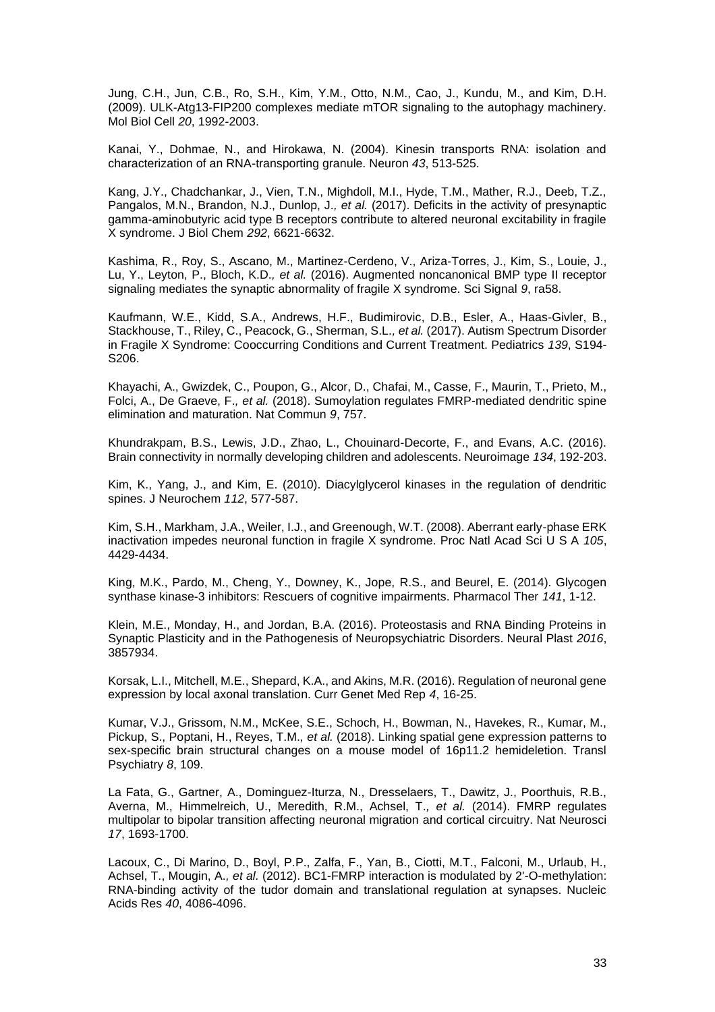Jung, C.H., Jun, C.B., Ro, S.H., Kim, Y.M., Otto, N.M., Cao, J., Kundu, M., and Kim, D.H. (2009). ULK-Atg13-FIP200 complexes mediate mTOR signaling to the autophagy machinery. Mol Biol Cell *20*, 1992-2003.

Kanai, Y., Dohmae, N., and Hirokawa, N. (2004). Kinesin transports RNA: isolation and characterization of an RNA-transporting granule. Neuron *43*, 513-525.

Kang, J.Y., Chadchankar, J., Vien, T.N., Mighdoll, M.I., Hyde, T.M., Mather, R.J., Deeb, T.Z., Pangalos, M.N., Brandon, N.J., Dunlop, J.*, et al.* (2017). Deficits in the activity of presynaptic gamma-aminobutyric acid type B receptors contribute to altered neuronal excitability in fragile X syndrome. J Biol Chem *292*, 6621-6632.

Kashima, R., Roy, S., Ascano, M., Martinez-Cerdeno, V., Ariza-Torres, J., Kim, S., Louie, J., Lu, Y., Leyton, P., Bloch, K.D.*, et al.* (2016). Augmented noncanonical BMP type II receptor signaling mediates the synaptic abnormality of fragile X syndrome. Sci Signal *9*, ra58.

Kaufmann, W.E., Kidd, S.A., Andrews, H.F., Budimirovic, D.B., Esler, A., Haas-Givler, B., Stackhouse, T., Riley, C., Peacock, G., Sherman, S.L.*, et al.* (2017). Autism Spectrum Disorder in Fragile X Syndrome: Cooccurring Conditions and Current Treatment. Pediatrics *139*, S194- S206.

Khayachi, A., Gwizdek, C., Poupon, G., Alcor, D., Chafai, M., Casse, F., Maurin, T., Prieto, M., Folci, A., De Graeve, F.*, et al.* (2018). Sumoylation regulates FMRP-mediated dendritic spine elimination and maturation. Nat Commun *9*, 757.

Khundrakpam, B.S., Lewis, J.D., Zhao, L., Chouinard-Decorte, F., and Evans, A.C. (2016). Brain connectivity in normally developing children and adolescents. Neuroimage *134*, 192-203.

Kim, K., Yang, J., and Kim, E. (2010). Diacylglycerol kinases in the regulation of dendritic spines. J Neurochem *112*, 577-587.

Kim, S.H., Markham, J.A., Weiler, I.J., and Greenough, W.T. (2008). Aberrant early-phase ERK inactivation impedes neuronal function in fragile X syndrome. Proc Natl Acad Sci U S A *105*, 4429-4434.

King, M.K., Pardo, M., Cheng, Y., Downey, K., Jope, R.S., and Beurel, E. (2014). Glycogen synthase kinase-3 inhibitors: Rescuers of cognitive impairments. Pharmacol Ther *141*, 1-12.

Klein, M.E., Monday, H., and Jordan, B.A. (2016). Proteostasis and RNA Binding Proteins in Synaptic Plasticity and in the Pathogenesis of Neuropsychiatric Disorders. Neural Plast *2016*, 3857934.

Korsak, L.I., Mitchell, M.E., Shepard, K.A., and Akins, M.R. (2016). Regulation of neuronal gene expression by local axonal translation. Curr Genet Med Rep *4*, 16-25.

Kumar, V.J., Grissom, N.M., McKee, S.E., Schoch, H., Bowman, N., Havekes, R., Kumar, M., Pickup, S., Poptani, H., Reyes, T.M.*, et al.* (2018). Linking spatial gene expression patterns to sex-specific brain structural changes on a mouse model of 16p11.2 hemideletion. Transl Psychiatry *8*, 109.

La Fata, G., Gartner, A., Dominguez-Iturza, N., Dresselaers, T., Dawitz, J., Poorthuis, R.B., Averna, M., Himmelreich, U., Meredith, R.M., Achsel, T.*, et al.* (2014). FMRP regulates multipolar to bipolar transition affecting neuronal migration and cortical circuitry. Nat Neurosci *17*, 1693-1700.

Lacoux, C., Di Marino, D., Boyl, P.P., Zalfa, F., Yan, B., Ciotti, M.T., Falconi, M., Urlaub, H., Achsel, T., Mougin, A.*, et al.* (2012). BC1-FMRP interaction is modulated by 2'-O-methylation: RNA-binding activity of the tudor domain and translational regulation at synapses. Nucleic Acids Res *40*, 4086-4096.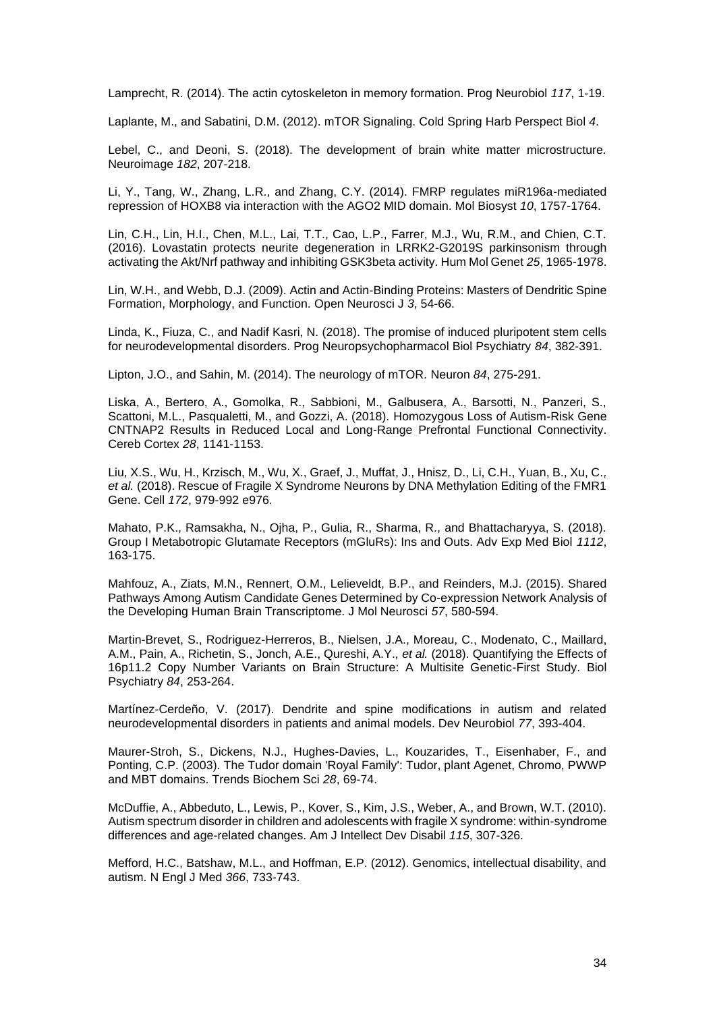Lamprecht, R. (2014). The actin cytoskeleton in memory formation. Prog Neurobiol *117*, 1-19.

Laplante, M., and Sabatini, D.M. (2012). mTOR Signaling. Cold Spring Harb Perspect Biol *4*.

Lebel, C., and Deoni, S. (2018). The development of brain white matter microstructure. Neuroimage *182*, 207-218.

Li, Y., Tang, W., Zhang, L.R., and Zhang, C.Y. (2014). FMRP regulates miR196a-mediated repression of HOXB8 via interaction with the AGO2 MID domain. Mol Biosyst *10*, 1757-1764.

Lin, C.H., Lin, H.I., Chen, M.L., Lai, T.T., Cao, L.P., Farrer, M.J., Wu, R.M., and Chien, C.T. (2016). Lovastatin protects neurite degeneration in LRRK2-G2019S parkinsonism through activating the Akt/Nrf pathway and inhibiting GSK3beta activity. Hum Mol Genet *25*, 1965-1978.

Lin, W.H., and Webb, D.J. (2009). Actin and Actin-Binding Proteins: Masters of Dendritic Spine Formation, Morphology, and Function. Open Neurosci J *3*, 54-66.

Linda, K., Fiuza, C., and Nadif Kasri, N. (2018). The promise of induced pluripotent stem cells for neurodevelopmental disorders. Prog Neuropsychopharmacol Biol Psychiatry *84*, 382-391.

Lipton, J.O., and Sahin, M. (2014). The neurology of mTOR. Neuron *84*, 275-291.

Liska, A., Bertero, A., Gomolka, R., Sabbioni, M., Galbusera, A., Barsotti, N., Panzeri, S., Scattoni, M.L., Pasqualetti, M., and Gozzi, A. (2018). Homozygous Loss of Autism-Risk Gene CNTNAP2 Results in Reduced Local and Long-Range Prefrontal Functional Connectivity. Cereb Cortex *28*, 1141-1153.

Liu, X.S., Wu, H., Krzisch, M., Wu, X., Graef, J., Muffat, J., Hnisz, D., Li, C.H., Yuan, B., Xu, C.*, et al.* (2018). Rescue of Fragile X Syndrome Neurons by DNA Methylation Editing of the FMR1 Gene. Cell *172*, 979-992 e976.

Mahato, P.K., Ramsakha, N., Ojha, P., Gulia, R., Sharma, R., and Bhattacharyya, S. (2018). Group I Metabotropic Glutamate Receptors (mGluRs): Ins and Outs. Adv Exp Med Biol *1112*, 163-175.

Mahfouz, A., Ziats, M.N., Rennert, O.M., Lelieveldt, B.P., and Reinders, M.J. (2015). Shared Pathways Among Autism Candidate Genes Determined by Co-expression Network Analysis of the Developing Human Brain Transcriptome. J Mol Neurosci *57*, 580-594.

Martin-Brevet, S., Rodriguez-Herreros, B., Nielsen, J.A., Moreau, C., Modenato, C., Maillard, A.M., Pain, A., Richetin, S., Jonch, A.E., Qureshi, A.Y.*, et al.* (2018). Quantifying the Effects of 16p11.2 Copy Number Variants on Brain Structure: A Multisite Genetic-First Study. Biol Psychiatry *84*, 253-264.

Martínez-Cerdeño, V. (2017). Dendrite and spine modifications in autism and related neurodevelopmental disorders in patients and animal models. Dev Neurobiol *77*, 393-404.

Maurer-Stroh, S., Dickens, N.J., Hughes-Davies, L., Kouzarides, T., Eisenhaber, F., and Ponting, C.P. (2003). The Tudor domain 'Royal Family': Tudor, plant Agenet, Chromo, PWWP and MBT domains. Trends Biochem Sci *28*, 69-74.

McDuffie, A., Abbeduto, L., Lewis, P., Kover, S., Kim, J.S., Weber, A., and Brown, W.T. (2010). Autism spectrum disorder in children and adolescents with fragile X syndrome: within-syndrome differences and age-related changes. Am J Intellect Dev Disabil *115*, 307-326.

Mefford, H.C., Batshaw, M.L., and Hoffman, E.P. (2012). Genomics, intellectual disability, and autism. N Engl J Med *366*, 733-743.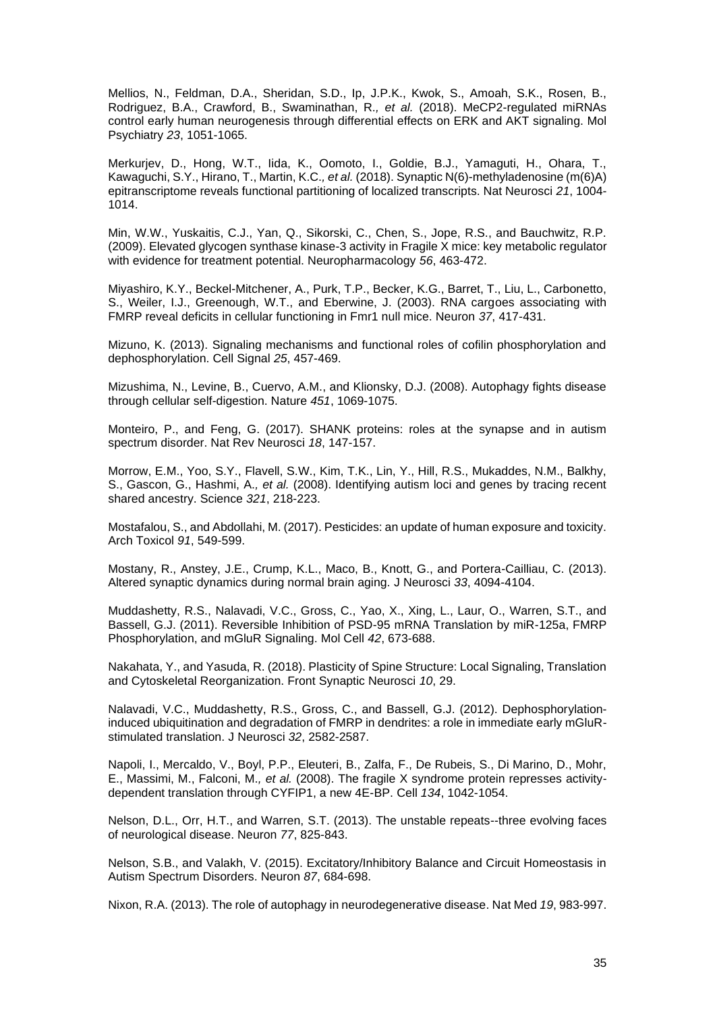Mellios, N., Feldman, D.A., Sheridan, S.D., Ip, J.P.K., Kwok, S., Amoah, S.K., Rosen, B., Rodriguez, B.A., Crawford, B., Swaminathan, R.*, et al.* (2018). MeCP2-regulated miRNAs control early human neurogenesis through differential effects on ERK and AKT signaling. Mol Psychiatry *23*, 1051-1065.

Merkurjev, D., Hong, W.T., Iida, K., Oomoto, I., Goldie, B.J., Yamaguti, H., Ohara, T., Kawaguchi, S.Y., Hirano, T., Martin, K.C.*, et al.* (2018). Synaptic N(6)-methyladenosine (m(6)A) epitranscriptome reveals functional partitioning of localized transcripts. Nat Neurosci *21*, 1004- 1014.

Min, W.W., Yuskaitis, C.J., Yan, Q., Sikorski, C., Chen, S., Jope, R.S., and Bauchwitz, R.P. (2009). Elevated glycogen synthase kinase-3 activity in Fragile X mice: key metabolic regulator with evidence for treatment potential. Neuropharmacology *56*, 463-472.

Miyashiro, K.Y., Beckel-Mitchener, A., Purk, T.P., Becker, K.G., Barret, T., Liu, L., Carbonetto, S., Weiler, I.J., Greenough, W.T., and Eberwine, J. (2003). RNA cargoes associating with FMRP reveal deficits in cellular functioning in Fmr1 null mice. Neuron *37*, 417-431.

Mizuno, K. (2013). Signaling mechanisms and functional roles of cofilin phosphorylation and dephosphorylation. Cell Signal *25*, 457-469.

Mizushima, N., Levine, B., Cuervo, A.M., and Klionsky, D.J. (2008). Autophagy fights disease through cellular self-digestion. Nature *451*, 1069-1075.

Monteiro, P., and Feng, G. (2017). SHANK proteins: roles at the synapse and in autism spectrum disorder. Nat Rev Neurosci *18*, 147-157.

Morrow, E.M., Yoo, S.Y., Flavell, S.W., Kim, T.K., Lin, Y., Hill, R.S., Mukaddes, N.M., Balkhy, S., Gascon, G., Hashmi, A.*, et al.* (2008). Identifying autism loci and genes by tracing recent shared ancestry. Science *321*, 218-223.

Mostafalou, S., and Abdollahi, M. (2017). Pesticides: an update of human exposure and toxicity. Arch Toxicol *91*, 549-599.

Mostany, R., Anstey, J.E., Crump, K.L., Maco, B., Knott, G., and Portera-Cailliau, C. (2013). Altered synaptic dynamics during normal brain aging. J Neurosci *33*, 4094-4104.

Muddashetty, R.S., Nalavadi, V.C., Gross, C., Yao, X., Xing, L., Laur, O., Warren, S.T., and Bassell, G.J. (2011). Reversible Inhibition of PSD-95 mRNA Translation by miR-125a, FMRP Phosphorylation, and mGluR Signaling. Mol Cell *42*, 673-688.

Nakahata, Y., and Yasuda, R. (2018). Plasticity of Spine Structure: Local Signaling, Translation and Cytoskeletal Reorganization. Front Synaptic Neurosci *10*, 29.

Nalavadi, V.C., Muddashetty, R.S., Gross, C., and Bassell, G.J. (2012). Dephosphorylationinduced ubiquitination and degradation of FMRP in dendrites: a role in immediate early mGluRstimulated translation. J Neurosci *32*, 2582-2587.

Napoli, I., Mercaldo, V., Boyl, P.P., Eleuteri, B., Zalfa, F., De Rubeis, S., Di Marino, D., Mohr, E., Massimi, M., Falconi, M.*, et al.* (2008). The fragile X syndrome protein represses activitydependent translation through CYFIP1, a new 4E-BP. Cell *134*, 1042-1054.

Nelson, D.L., Orr, H.T., and Warren, S.T. (2013). The unstable repeats--three evolving faces of neurological disease. Neuron *77*, 825-843.

Nelson, S.B., and Valakh, V. (2015). Excitatory/Inhibitory Balance and Circuit Homeostasis in Autism Spectrum Disorders. Neuron *87*, 684-698.

Nixon, R.A. (2013). The role of autophagy in neurodegenerative disease. Nat Med *19*, 983-997.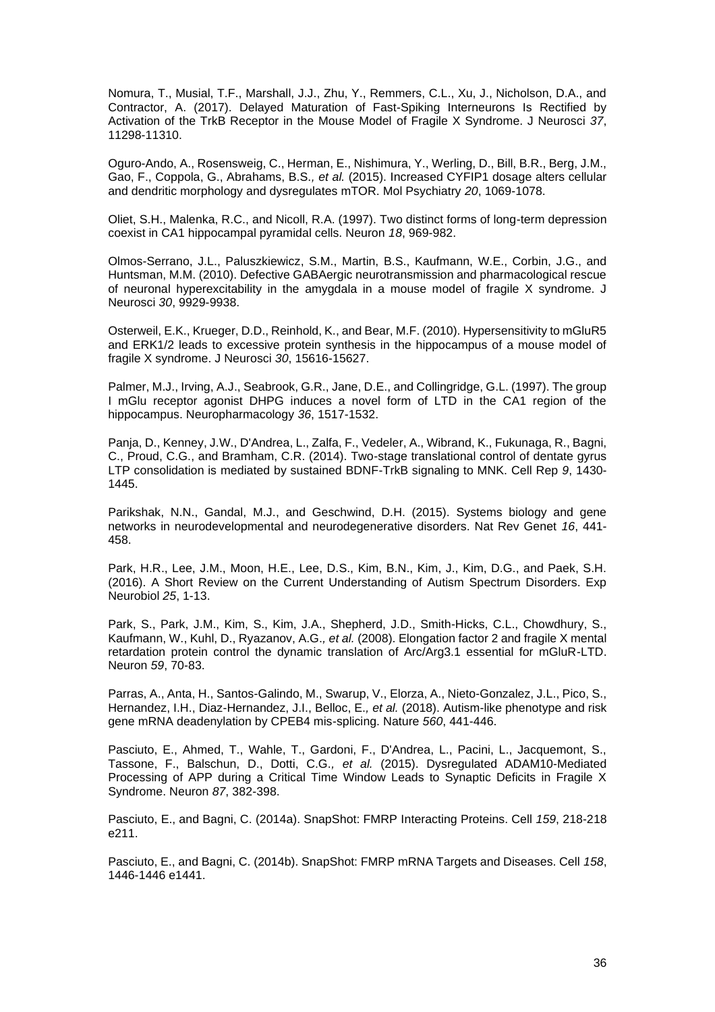Nomura, T., Musial, T.F., Marshall, J.J., Zhu, Y., Remmers, C.L., Xu, J., Nicholson, D.A., and Contractor, A. (2017). Delayed Maturation of Fast-Spiking Interneurons Is Rectified by Activation of the TrkB Receptor in the Mouse Model of Fragile X Syndrome. J Neurosci *37*, 11298-11310.

Oguro-Ando, A., Rosensweig, C., Herman, E., Nishimura, Y., Werling, D., Bill, B.R., Berg, J.M., Gao, F., Coppola, G., Abrahams, B.S.*, et al.* (2015). Increased CYFIP1 dosage alters cellular and dendritic morphology and dysregulates mTOR. Mol Psychiatry *20*, 1069-1078.

Oliet, S.H., Malenka, R.C., and Nicoll, R.A. (1997). Two distinct forms of long-term depression coexist in CA1 hippocampal pyramidal cells. Neuron *18*, 969-982.

Olmos-Serrano, J.L., Paluszkiewicz, S.M., Martin, B.S., Kaufmann, W.E., Corbin, J.G., and Huntsman, M.M. (2010). Defective GABAergic neurotransmission and pharmacological rescue of neuronal hyperexcitability in the amygdala in a mouse model of fragile X syndrome. J Neurosci *30*, 9929-9938.

Osterweil, E.K., Krueger, D.D., Reinhold, K., and Bear, M.F. (2010). Hypersensitivity to mGluR5 and ERK1/2 leads to excessive protein synthesis in the hippocampus of a mouse model of fragile X syndrome. J Neurosci *30*, 15616-15627.

Palmer, M.J., Irving, A.J., Seabrook, G.R., Jane, D.E., and Collingridge, G.L. (1997). The group I mGlu receptor agonist DHPG induces a novel form of LTD in the CA1 region of the hippocampus. Neuropharmacology *36*, 1517-1532.

Panja, D., Kenney, J.W., D'Andrea, L., Zalfa, F., Vedeler, A., Wibrand, K., Fukunaga, R., Bagni, C., Proud, C.G., and Bramham, C.R. (2014). Two-stage translational control of dentate gyrus LTP consolidation is mediated by sustained BDNF-TrkB signaling to MNK. Cell Rep *9*, 1430- 1445.

Parikshak, N.N., Gandal, M.J., and Geschwind, D.H. (2015). Systems biology and gene networks in neurodevelopmental and neurodegenerative disorders. Nat Rev Genet *16*, 441- 458.

Park, H.R., Lee, J.M., Moon, H.E., Lee, D.S., Kim, B.N., Kim, J., Kim, D.G., and Paek, S.H. (2016). A Short Review on the Current Understanding of Autism Spectrum Disorders. Exp Neurobiol *25*, 1-13.

Park, S., Park, J.M., Kim, S., Kim, J.A., Shepherd, J.D., Smith-Hicks, C.L., Chowdhury, S., Kaufmann, W., Kuhl, D., Ryazanov, A.G.*, et al.* (2008). Elongation factor 2 and fragile X mental retardation protein control the dynamic translation of Arc/Arg3.1 essential for mGluR-LTD. Neuron *59*, 70-83.

Parras, A., Anta, H., Santos-Galindo, M., Swarup, V., Elorza, A., Nieto-Gonzalez, J.L., Pico, S., Hernandez, I.H., Diaz-Hernandez, J.I., Belloc, E.*, et al.* (2018). Autism-like phenotype and risk gene mRNA deadenylation by CPEB4 mis-splicing. Nature *560*, 441-446.

Pasciuto, E., Ahmed, T., Wahle, T., Gardoni, F., D'Andrea, L., Pacini, L., Jacquemont, S., Tassone, F., Balschun, D., Dotti, C.G.*, et al.* (2015). Dysregulated ADAM10-Mediated Processing of APP during a Critical Time Window Leads to Synaptic Deficits in Fragile X Syndrome. Neuron *87*, 382-398.

Pasciuto, E., and Bagni, C. (2014a). SnapShot: FMRP Interacting Proteins. Cell *159*, 218-218 e211.

Pasciuto, E., and Bagni, C. (2014b). SnapShot: FMRP mRNA Targets and Diseases. Cell *158*, 1446-1446 e1441.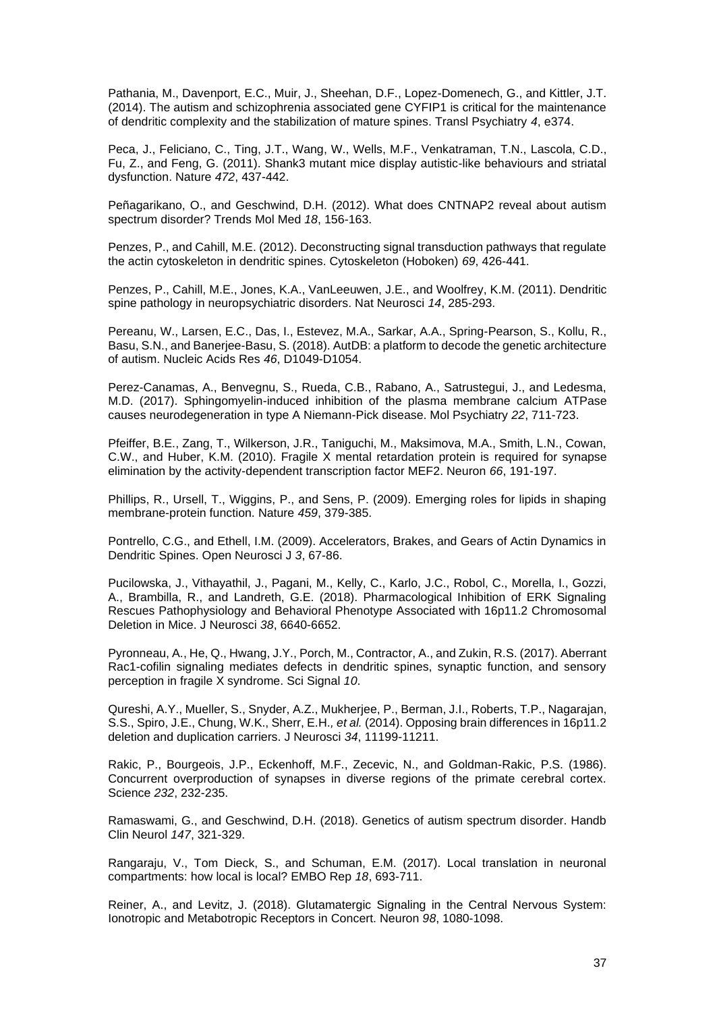Pathania, M., Davenport, E.C., Muir, J., Sheehan, D.F., Lopez-Domenech, G., and Kittler, J.T. (2014). The autism and schizophrenia associated gene CYFIP1 is critical for the maintenance of dendritic complexity and the stabilization of mature spines. Transl Psychiatry *4*, e374.

Peca, J., Feliciano, C., Ting, J.T., Wang, W., Wells, M.F., Venkatraman, T.N., Lascola, C.D., Fu, Z., and Feng, G. (2011). Shank3 mutant mice display autistic-like behaviours and striatal dysfunction. Nature *472*, 437-442.

Peñagarikano, O., and Geschwind, D.H. (2012). What does CNTNAP2 reveal about autism spectrum disorder? Trends Mol Med *18*, 156-163.

Penzes, P., and Cahill, M.E. (2012). Deconstructing signal transduction pathways that regulate the actin cytoskeleton in dendritic spines. Cytoskeleton (Hoboken) *69*, 426-441.

Penzes, P., Cahill, M.E., Jones, K.A., VanLeeuwen, J.E., and Woolfrey, K.M. (2011). Dendritic spine pathology in neuropsychiatric disorders. Nat Neurosci *14*, 285-293.

Pereanu, W., Larsen, E.C., Das, I., Estevez, M.A., Sarkar, A.A., Spring-Pearson, S., Kollu, R., Basu, S.N., and Banerjee-Basu, S. (2018). AutDB: a platform to decode the genetic architecture of autism. Nucleic Acids Res *46*, D1049-D1054.

Perez-Canamas, A., Benvegnu, S., Rueda, C.B., Rabano, A., Satrustegui, J., and Ledesma, M.D. (2017). Sphingomyelin-induced inhibition of the plasma membrane calcium ATPase causes neurodegeneration in type A Niemann-Pick disease. Mol Psychiatry *22*, 711-723.

Pfeiffer, B.E., Zang, T., Wilkerson, J.R., Taniguchi, M., Maksimova, M.A., Smith, L.N., Cowan, C.W., and Huber, K.M. (2010). Fragile X mental retardation protein is required for synapse elimination by the activity-dependent transcription factor MEF2. Neuron *66*, 191-197.

Phillips, R., Ursell, T., Wiggins, P., and Sens, P. (2009). Emerging roles for lipids in shaping membrane-protein function. Nature *459*, 379-385.

Pontrello, C.G., and Ethell, I.M. (2009). Accelerators, Brakes, and Gears of Actin Dynamics in Dendritic Spines. Open Neurosci J *3*, 67-86.

Pucilowska, J., Vithayathil, J., Pagani, M., Kelly, C., Karlo, J.C., Robol, C., Morella, I., Gozzi, A., Brambilla, R., and Landreth, G.E. (2018). Pharmacological Inhibition of ERK Signaling Rescues Pathophysiology and Behavioral Phenotype Associated with 16p11.2 Chromosomal Deletion in Mice. J Neurosci *38*, 6640-6652.

Pyronneau, A., He, Q., Hwang, J.Y., Porch, M., Contractor, A., and Zukin, R.S. (2017). Aberrant Rac1-cofilin signaling mediates defects in dendritic spines, synaptic function, and sensory perception in fragile X syndrome. Sci Signal *10*.

Qureshi, A.Y., Mueller, S., Snyder, A.Z., Mukherjee, P., Berman, J.I., Roberts, T.P., Nagarajan, S.S., Spiro, J.E., Chung, W.K., Sherr, E.H.*, et al.* (2014). Opposing brain differences in 16p11.2 deletion and duplication carriers. J Neurosci *34*, 11199-11211.

Rakic, P., Bourgeois, J.P., Eckenhoff, M.F., Zecevic, N., and Goldman-Rakic, P.S. (1986). Concurrent overproduction of synapses in diverse regions of the primate cerebral cortex. Science *232*, 232-235.

Ramaswami, G., and Geschwind, D.H. (2018). Genetics of autism spectrum disorder. Handb Clin Neurol *147*, 321-329.

Rangaraju, V., Tom Dieck, S., and Schuman, E.M. (2017). Local translation in neuronal compartments: how local is local? EMBO Rep *18*, 693-711.

Reiner, A., and Levitz, J. (2018). Glutamatergic Signaling in the Central Nervous System: Ionotropic and Metabotropic Receptors in Concert. Neuron *98*, 1080-1098.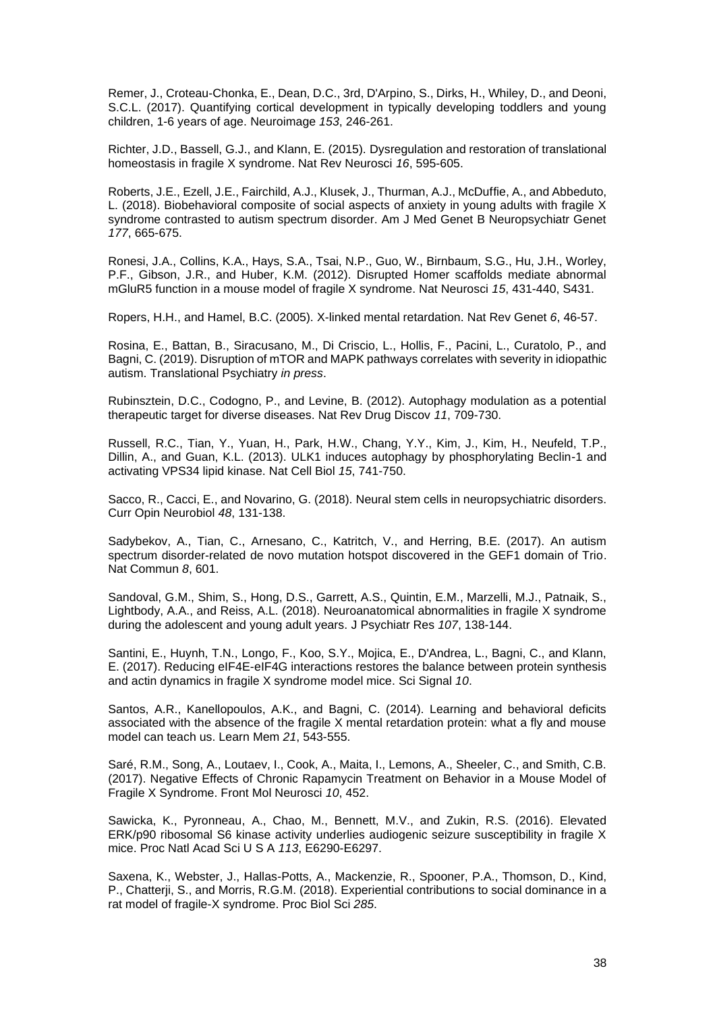Remer, J., Croteau-Chonka, E., Dean, D.C., 3rd, D'Arpino, S., Dirks, H., Whiley, D., and Deoni, S.C.L. (2017). Quantifying cortical development in typically developing toddlers and young children, 1-6 years of age. Neuroimage *153*, 246-261.

Richter, J.D., Bassell, G.J., and Klann, E. (2015). Dysregulation and restoration of translational homeostasis in fragile X syndrome. Nat Rev Neurosci *16*, 595-605.

Roberts, J.E., Ezell, J.E., Fairchild, A.J., Klusek, J., Thurman, A.J., McDuffie, A., and Abbeduto, L. (2018). Biobehavioral composite of social aspects of anxiety in young adults with fragile X syndrome contrasted to autism spectrum disorder. Am J Med Genet B Neuropsychiatr Genet *177*, 665-675.

Ronesi, J.A., Collins, K.A., Hays, S.A., Tsai, N.P., Guo, W., Birnbaum, S.G., Hu, J.H., Worley, P.F., Gibson, J.R., and Huber, K.M. (2012). Disrupted Homer scaffolds mediate abnormal mGluR5 function in a mouse model of fragile X syndrome. Nat Neurosci *15*, 431-440, S431.

Ropers, H.H., and Hamel, B.C. (2005). X-linked mental retardation. Nat Rev Genet *6*, 46-57.

Rosina, E., Battan, B., Siracusano, M., Di Criscio, L., Hollis, F., Pacini, L., Curatolo, P., and Bagni, C. (2019). Disruption of mTOR and MAPK pathways correlates with severity in idiopathic autism. Translational Psychiatry *in press*.

Rubinsztein, D.C., Codogno, P., and Levine, B. (2012). Autophagy modulation as a potential therapeutic target for diverse diseases. Nat Rev Drug Discov *11*, 709-730.

Russell, R.C., Tian, Y., Yuan, H., Park, H.W., Chang, Y.Y., Kim, J., Kim, H., Neufeld, T.P., Dillin, A., and Guan, K.L. (2013). ULK1 induces autophagy by phosphorylating Beclin-1 and activating VPS34 lipid kinase. Nat Cell Biol *15*, 741-750.

Sacco, R., Cacci, E., and Novarino, G. (2018). Neural stem cells in neuropsychiatric disorders. Curr Opin Neurobiol *48*, 131-138.

Sadybekov, A., Tian, C., Arnesano, C., Katritch, V., and Herring, B.E. (2017). An autism spectrum disorder-related de novo mutation hotspot discovered in the GEF1 domain of Trio. Nat Commun *8*, 601.

Sandoval, G.M., Shim, S., Hong, D.S., Garrett, A.S., Quintin, E.M., Marzelli, M.J., Patnaik, S., Lightbody, A.A., and Reiss, A.L. (2018). Neuroanatomical abnormalities in fragile X syndrome during the adolescent and young adult years. J Psychiatr Res *107*, 138-144.

Santini, E., Huynh, T.N., Longo, F., Koo, S.Y., Mojica, E., D'Andrea, L., Bagni, C., and Klann, E. (2017). Reducing eIF4E-eIF4G interactions restores the balance between protein synthesis and actin dynamics in fragile X syndrome model mice. Sci Signal *10*.

Santos, A.R., Kanellopoulos, A.K., and Bagni, C. (2014). Learning and behavioral deficits associated with the absence of the fragile X mental retardation protein: what a fly and mouse model can teach us. Learn Mem *21*, 543-555.

Saré, R.M., Song, A., Loutaev, I., Cook, A., Maita, I., Lemons, A., Sheeler, C., and Smith, C.B. (2017). Negative Effects of Chronic Rapamycin Treatment on Behavior in a Mouse Model of Fragile X Syndrome. Front Mol Neurosci *10*, 452.

Sawicka, K., Pyronneau, A., Chao, M., Bennett, M.V., and Zukin, R.S. (2016). Elevated ERK/p90 ribosomal S6 kinase activity underlies audiogenic seizure susceptibility in fragile X mice. Proc Natl Acad Sci U S A *113*, E6290-E6297.

Saxena, K., Webster, J., Hallas-Potts, A., Mackenzie, R., Spooner, P.A., Thomson, D., Kind, P., Chatterji, S., and Morris, R.G.M. (2018). Experiential contributions to social dominance in a rat model of fragile-X syndrome. Proc Biol Sci *285*.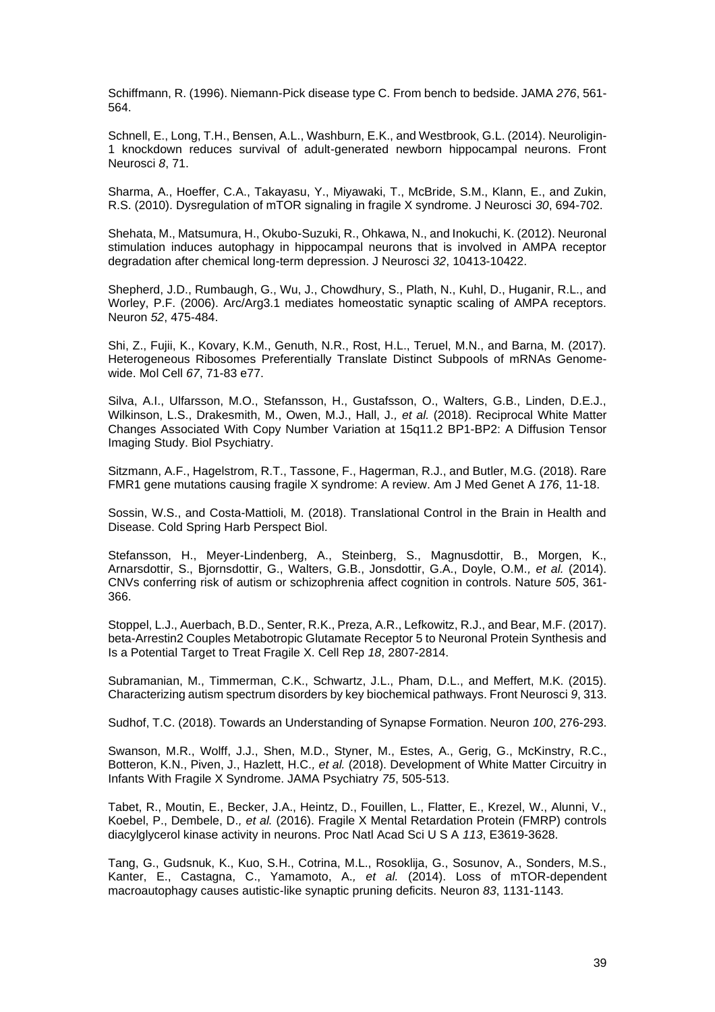Schiffmann, R. (1996). Niemann-Pick disease type C. From bench to bedside. JAMA *276*, 561- 564.

Schnell, E., Long, T.H., Bensen, A.L., Washburn, E.K., and Westbrook, G.L. (2014). Neuroligin-1 knockdown reduces survival of adult-generated newborn hippocampal neurons. Front Neurosci *8*, 71.

Sharma, A., Hoeffer, C.A., Takayasu, Y., Miyawaki, T., McBride, S.M., Klann, E., and Zukin, R.S. (2010). Dysregulation of mTOR signaling in fragile X syndrome. J Neurosci *30*, 694-702.

Shehata, M., Matsumura, H., Okubo-Suzuki, R., Ohkawa, N., and Inokuchi, K. (2012). Neuronal stimulation induces autophagy in hippocampal neurons that is involved in AMPA receptor degradation after chemical long-term depression. J Neurosci *32*, 10413-10422.

Shepherd, J.D., Rumbaugh, G., Wu, J., Chowdhury, S., Plath, N., Kuhl, D., Huganir, R.L., and Worley, P.F. (2006). Arc/Arg3.1 mediates homeostatic synaptic scaling of AMPA receptors. Neuron *52*, 475-484.

Shi, Z., Fujii, K., Kovary, K.M., Genuth, N.R., Rost, H.L., Teruel, M.N., and Barna, M. (2017). Heterogeneous Ribosomes Preferentially Translate Distinct Subpools of mRNAs Genomewide. Mol Cell *67*, 71-83 e77.

Silva, A.I., Ulfarsson, M.O., Stefansson, H., Gustafsson, O., Walters, G.B., Linden, D.E.J., Wilkinson, L.S., Drakesmith, M., Owen, M.J., Hall, J.*, et al.* (2018). Reciprocal White Matter Changes Associated With Copy Number Variation at 15q11.2 BP1-BP2: A Diffusion Tensor Imaging Study. Biol Psychiatry.

Sitzmann, A.F., Hagelstrom, R.T., Tassone, F., Hagerman, R.J., and Butler, M.G. (2018). Rare FMR1 gene mutations causing fragile X syndrome: A review. Am J Med Genet A *176*, 11-18.

Sossin, W.S., and Costa-Mattioli, M. (2018). Translational Control in the Brain in Health and Disease. Cold Spring Harb Perspect Biol.

Stefansson, H., Meyer-Lindenberg, A., Steinberg, S., Magnusdottir, B., Morgen, K., Arnarsdottir, S., Bjornsdottir, G., Walters, G.B., Jonsdottir, G.A., Doyle, O.M.*, et al.* (2014). CNVs conferring risk of autism or schizophrenia affect cognition in controls. Nature *505*, 361- 366.

Stoppel, L.J., Auerbach, B.D., Senter, R.K., Preza, A.R., Lefkowitz, R.J., and Bear, M.F. (2017). beta-Arrestin2 Couples Metabotropic Glutamate Receptor 5 to Neuronal Protein Synthesis and Is a Potential Target to Treat Fragile X. Cell Rep *18*, 2807-2814.

Subramanian, M., Timmerman, C.K., Schwartz, J.L., Pham, D.L., and Meffert, M.K. (2015). Characterizing autism spectrum disorders by key biochemical pathways. Front Neurosci *9*, 313.

Sudhof, T.C. (2018). Towards an Understanding of Synapse Formation. Neuron *100*, 276-293.

Swanson, M.R., Wolff, J.J., Shen, M.D., Styner, M., Estes, A., Gerig, G., McKinstry, R.C., Botteron, K.N., Piven, J., Hazlett, H.C.*, et al.* (2018). Development of White Matter Circuitry in Infants With Fragile X Syndrome. JAMA Psychiatry *75*, 505-513.

Tabet, R., Moutin, E., Becker, J.A., Heintz, D., Fouillen, L., Flatter, E., Krezel, W., Alunni, V., Koebel, P., Dembele, D.*, et al.* (2016). Fragile X Mental Retardation Protein (FMRP) controls diacylglycerol kinase activity in neurons. Proc Natl Acad Sci U S A *113*, E3619-3628.

Tang, G., Gudsnuk, K., Kuo, S.H., Cotrina, M.L., Rosoklija, G., Sosunov, A., Sonders, M.S., Kanter, E., Castagna, C., Yamamoto, A.*, et al.* (2014). Loss of mTOR-dependent macroautophagy causes autistic-like synaptic pruning deficits. Neuron *83*, 1131-1143.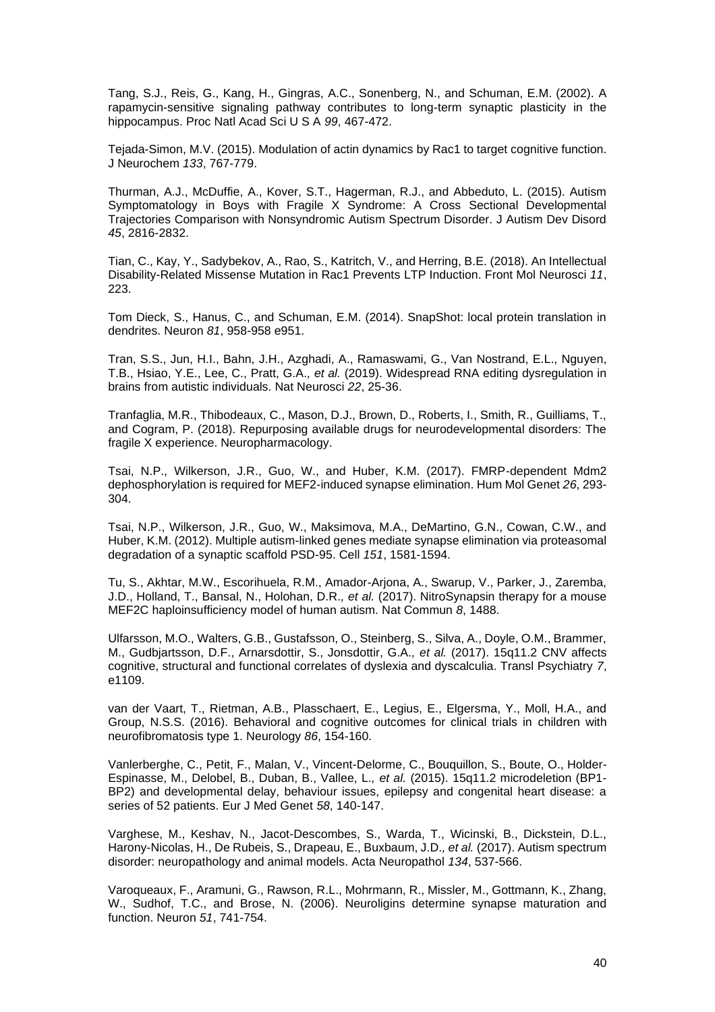Tang, S.J., Reis, G., Kang, H., Gingras, A.C., Sonenberg, N., and Schuman, E.M. (2002). A rapamycin-sensitive signaling pathway contributes to long-term synaptic plasticity in the hippocampus. Proc Natl Acad Sci U S A *99*, 467-472.

Tejada-Simon, M.V. (2015). Modulation of actin dynamics by Rac1 to target cognitive function. J Neurochem *133*, 767-779.

Thurman, A.J., McDuffie, A., Kover, S.T., Hagerman, R.J., and Abbeduto, L. (2015). Autism Symptomatology in Boys with Fragile X Syndrome: A Cross Sectional Developmental Trajectories Comparison with Nonsyndromic Autism Spectrum Disorder. J Autism Dev Disord *45*, 2816-2832.

Tian, C., Kay, Y., Sadybekov, A., Rao, S., Katritch, V., and Herring, B.E. (2018). An Intellectual Disability-Related Missense Mutation in Rac1 Prevents LTP Induction. Front Mol Neurosci *11*, 223.

Tom Dieck, S., Hanus, C., and Schuman, E.M. (2014). SnapShot: local protein translation in dendrites. Neuron *81*, 958-958 e951.

Tran, S.S., Jun, H.I., Bahn, J.H., Azghadi, A., Ramaswami, G., Van Nostrand, E.L., Nguyen, T.B., Hsiao, Y.E., Lee, C., Pratt, G.A.*, et al.* (2019). Widespread RNA editing dysregulation in brains from autistic individuals. Nat Neurosci *22*, 25-36.

Tranfaglia, M.R., Thibodeaux, C., Mason, D.J., Brown, D., Roberts, I., Smith, R., Guilliams, T., and Cogram, P. (2018). Repurposing available drugs for neurodevelopmental disorders: The fragile X experience. Neuropharmacology.

Tsai, N.P., Wilkerson, J.R., Guo, W., and Huber, K.M. (2017). FMRP-dependent Mdm2 dephosphorylation is required for MEF2-induced synapse elimination. Hum Mol Genet *26*, 293- 304.

Tsai, N.P., Wilkerson, J.R., Guo, W., Maksimova, M.A., DeMartino, G.N., Cowan, C.W., and Huber, K.M. (2012). Multiple autism-linked genes mediate synapse elimination via proteasomal degradation of a synaptic scaffold PSD-95. Cell *151*, 1581-1594.

Tu, S., Akhtar, M.W., Escorihuela, R.M., Amador-Arjona, A., Swarup, V., Parker, J., Zaremba, J.D., Holland, T., Bansal, N., Holohan, D.R.*, et al.* (2017). NitroSynapsin therapy for a mouse MEF2C haploinsufficiency model of human autism. Nat Commun *8*, 1488.

Ulfarsson, M.O., Walters, G.B., Gustafsson, O., Steinberg, S., Silva, A., Doyle, O.M., Brammer, M., Gudbjartsson, D.F., Arnarsdottir, S., Jonsdottir, G.A.*, et al.* (2017). 15q11.2 CNV affects cognitive, structural and functional correlates of dyslexia and dyscalculia. Transl Psychiatry *7*, e1109.

van der Vaart, T., Rietman, A.B., Plasschaert, E., Legius, E., Elgersma, Y., Moll, H.A., and Group, N.S.S. (2016). Behavioral and cognitive outcomes for clinical trials in children with neurofibromatosis type 1. Neurology *86*, 154-160.

Vanlerberghe, C., Petit, F., Malan, V., Vincent-Delorme, C., Bouquillon, S., Boute, O., Holder-Espinasse, M., Delobel, B., Duban, B., Vallee, L.*, et al.* (2015). 15q11.2 microdeletion (BP1- BP2) and developmental delay, behaviour issues, epilepsy and congenital heart disease: a series of 52 patients. Eur J Med Genet *58*, 140-147.

Varghese, M., Keshav, N., Jacot-Descombes, S., Warda, T., Wicinski, B., Dickstein, D.L., Harony-Nicolas, H., De Rubeis, S., Drapeau, E., Buxbaum, J.D.*, et al.* (2017). Autism spectrum disorder: neuropathology and animal models. Acta Neuropathol *134*, 537-566.

Varoqueaux, F., Aramuni, G., Rawson, R.L., Mohrmann, R., Missler, M., Gottmann, K., Zhang, W., Sudhof, T.C., and Brose, N. (2006). Neuroligins determine synapse maturation and function. Neuron *51*, 741-754.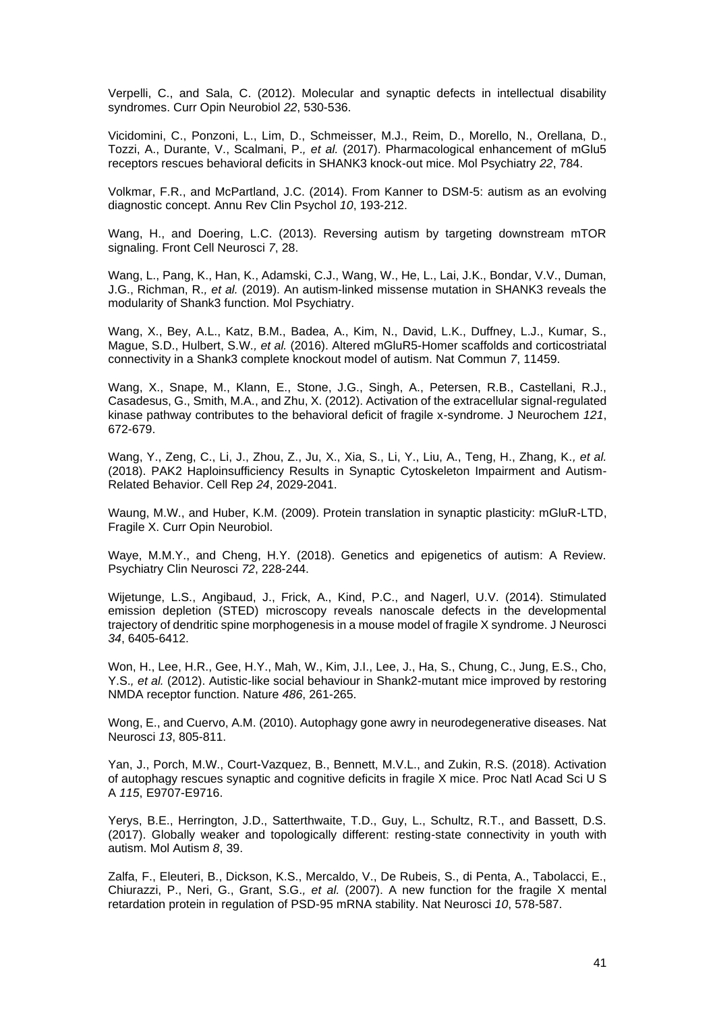Verpelli, C., and Sala, C. (2012). Molecular and synaptic defects in intellectual disability syndromes. Curr Opin Neurobiol *22*, 530-536.

Vicidomini, C., Ponzoni, L., Lim, D., Schmeisser, M.J., Reim, D., Morello, N., Orellana, D., Tozzi, A., Durante, V., Scalmani, P.*, et al.* (2017). Pharmacological enhancement of mGlu5 receptors rescues behavioral deficits in SHANK3 knock-out mice. Mol Psychiatry *22*, 784.

Volkmar, F.R., and McPartland, J.C. (2014). From Kanner to DSM-5: autism as an evolving diagnostic concept. Annu Rev Clin Psychol *10*, 193-212.

Wang, H., and Doering, L.C. (2013). Reversing autism by targeting downstream mTOR signaling. Front Cell Neurosci *7*, 28.

Wang, L., Pang, K., Han, K., Adamski, C.J., Wang, W., He, L., Lai, J.K., Bondar, V.V., Duman, J.G., Richman, R.*, et al.* (2019). An autism-linked missense mutation in SHANK3 reveals the modularity of Shank3 function. Mol Psychiatry.

Wang, X., Bey, A.L., Katz, B.M., Badea, A., Kim, N., David, L.K., Duffney, L.J., Kumar, S., Mague, S.D., Hulbert, S.W.*, et al.* (2016). Altered mGluR5-Homer scaffolds and corticostriatal connectivity in a Shank3 complete knockout model of autism. Nat Commun *7*, 11459.

Wang, X., Snape, M., Klann, E., Stone, J.G., Singh, A., Petersen, R.B., Castellani, R.J., Casadesus, G., Smith, M.A., and Zhu, X. (2012). Activation of the extracellular signal-regulated kinase pathway contributes to the behavioral deficit of fragile x-syndrome. J Neurochem *121*, 672-679.

Wang, Y., Zeng, C., Li, J., Zhou, Z., Ju, X., Xia, S., Li, Y., Liu, A., Teng, H., Zhang, K.*, et al.* (2018). PAK2 Haploinsufficiency Results in Synaptic Cytoskeleton Impairment and Autism-Related Behavior. Cell Rep *24*, 2029-2041.

Waung, M.W., and Huber, K.M. (2009). Protein translation in synaptic plasticity: mGluR-LTD, Fragile X. Curr Opin Neurobiol.

Waye, M.M.Y., and Cheng, H.Y. (2018). Genetics and epigenetics of autism: A Review. Psychiatry Clin Neurosci *72*, 228-244.

Wijetunge, L.S., Angibaud, J., Frick, A., Kind, P.C., and Nagerl, U.V. (2014). Stimulated emission depletion (STED) microscopy reveals nanoscale defects in the developmental trajectory of dendritic spine morphogenesis in a mouse model of fragile X syndrome. J Neurosci *34*, 6405-6412.

Won, H., Lee, H.R., Gee, H.Y., Mah, W., Kim, J.I., Lee, J., Ha, S., Chung, C., Jung, E.S., Cho, Y.S.*, et al.* (2012). Autistic-like social behaviour in Shank2-mutant mice improved by restoring NMDA receptor function. Nature *486*, 261-265.

Wong, E., and Cuervo, A.M. (2010). Autophagy gone awry in neurodegenerative diseases. Nat Neurosci *13*, 805-811.

Yan, J., Porch, M.W., Court-Vazquez, B., Bennett, M.V.L., and Zukin, R.S. (2018). Activation of autophagy rescues synaptic and cognitive deficits in fragile X mice. Proc Natl Acad Sci U S A *115*, E9707-E9716.

Yerys, B.E., Herrington, J.D., Satterthwaite, T.D., Guy, L., Schultz, R.T., and Bassett, D.S. (2017). Globally weaker and topologically different: resting-state connectivity in youth with autism. Mol Autism *8*, 39.

Zalfa, F., Eleuteri, B., Dickson, K.S., Mercaldo, V., De Rubeis, S., di Penta, A., Tabolacci, E., Chiurazzi, P., Neri, G., Grant, S.G.*, et al.* (2007). A new function for the fragile X mental retardation protein in regulation of PSD-95 mRNA stability. Nat Neurosci *10*, 578-587.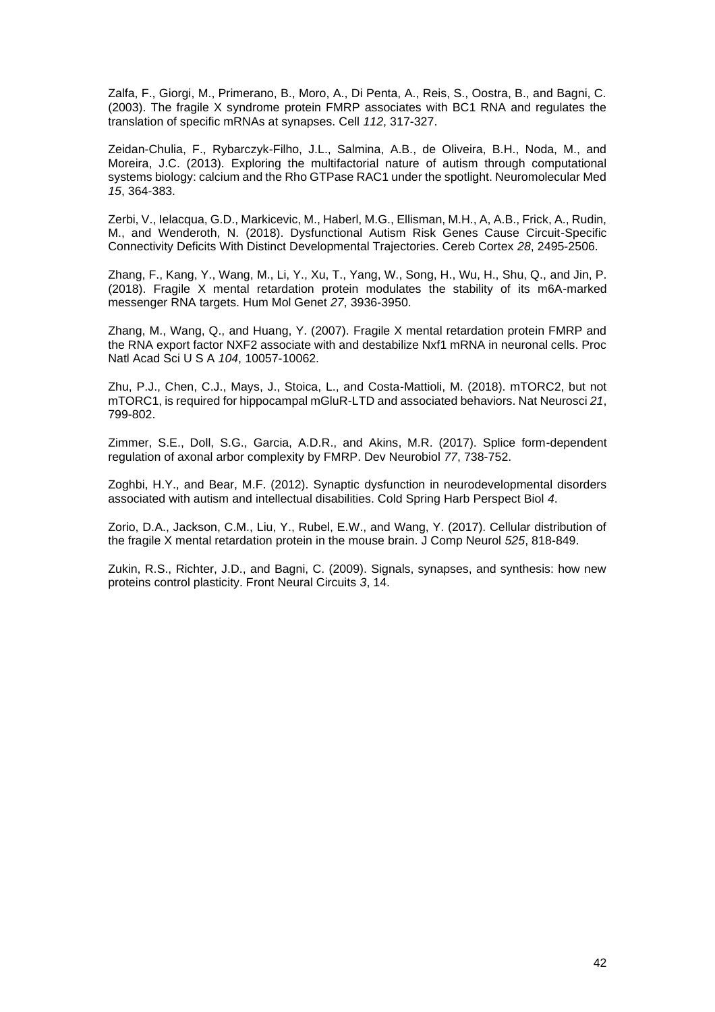Zalfa, F., Giorgi, M., Primerano, B., Moro, A., Di Penta, A., Reis, S., Oostra, B., and Bagni, C. (2003). The fragile X syndrome protein FMRP associates with BC1 RNA and regulates the translation of specific mRNAs at synapses. Cell *112*, 317-327.

Zeidan-Chulia, F., Rybarczyk-Filho, J.L., Salmina, A.B., de Oliveira, B.H., Noda, M., and Moreira, J.C. (2013). Exploring the multifactorial nature of autism through computational systems biology: calcium and the Rho GTPase RAC1 under the spotlight. Neuromolecular Med *15*, 364-383.

Zerbi, V., Ielacqua, G.D., Markicevic, M., Haberl, M.G., Ellisman, M.H., A, A.B., Frick, A., Rudin, M., and Wenderoth, N. (2018). Dysfunctional Autism Risk Genes Cause Circuit-Specific Connectivity Deficits With Distinct Developmental Trajectories. Cereb Cortex *28*, 2495-2506.

Zhang, F., Kang, Y., Wang, M., Li, Y., Xu, T., Yang, W., Song, H., Wu, H., Shu, Q., and Jin, P. (2018). Fragile X mental retardation protein modulates the stability of its m6A-marked messenger RNA targets. Hum Mol Genet *27*, 3936-3950.

Zhang, M., Wang, Q., and Huang, Y. (2007). Fragile X mental retardation protein FMRP and the RNA export factor NXF2 associate with and destabilize Nxf1 mRNA in neuronal cells. Proc Natl Acad Sci U S A *104*, 10057-10062.

Zhu, P.J., Chen, C.J., Mays, J., Stoica, L., and Costa-Mattioli, M. (2018). mTORC2, but not mTORC1, is required for hippocampal mGluR-LTD and associated behaviors. Nat Neurosci *21*, 799-802.

Zimmer, S.E., Doll, S.G., Garcia, A.D.R., and Akins, M.R. (2017). Splice form-dependent regulation of axonal arbor complexity by FMRP. Dev Neurobiol *77*, 738-752.

Zoghbi, H.Y., and Bear, M.F. (2012). Synaptic dysfunction in neurodevelopmental disorders associated with autism and intellectual disabilities. Cold Spring Harb Perspect Biol *4*.

Zorio, D.A., Jackson, C.M., Liu, Y., Rubel, E.W., and Wang, Y. (2017). Cellular distribution of the fragile X mental retardation protein in the mouse brain. J Comp Neurol *525*, 818-849.

Zukin, R.S., Richter, J.D., and Bagni, C. (2009). Signals, synapses, and synthesis: how new proteins control plasticity. Front Neural Circuits *3*, 14.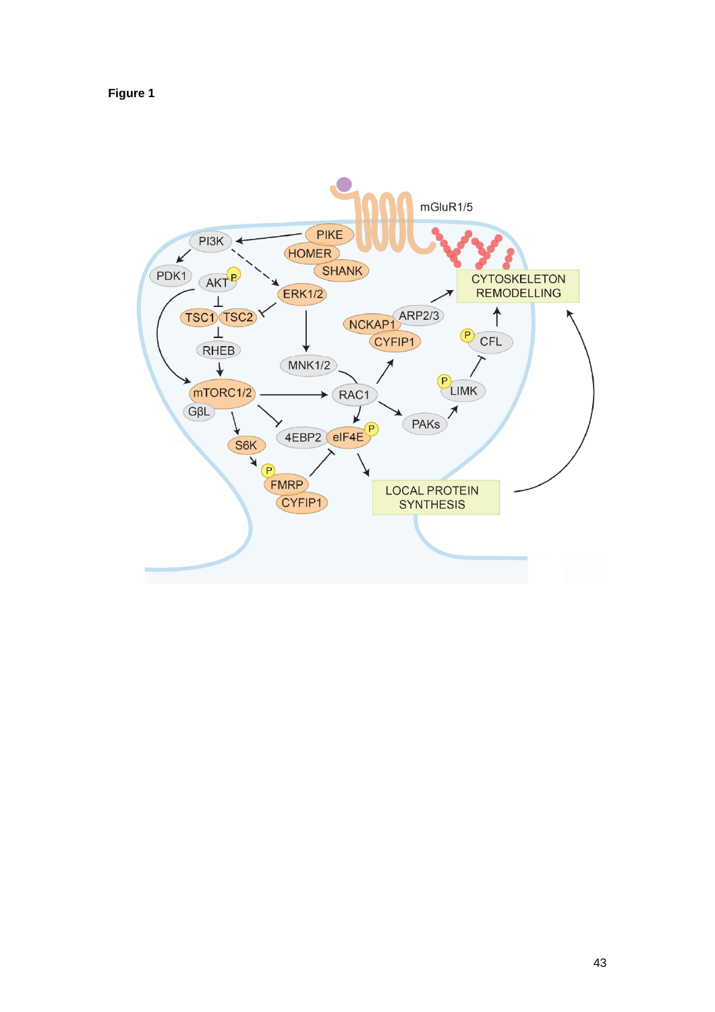**Figure 1**

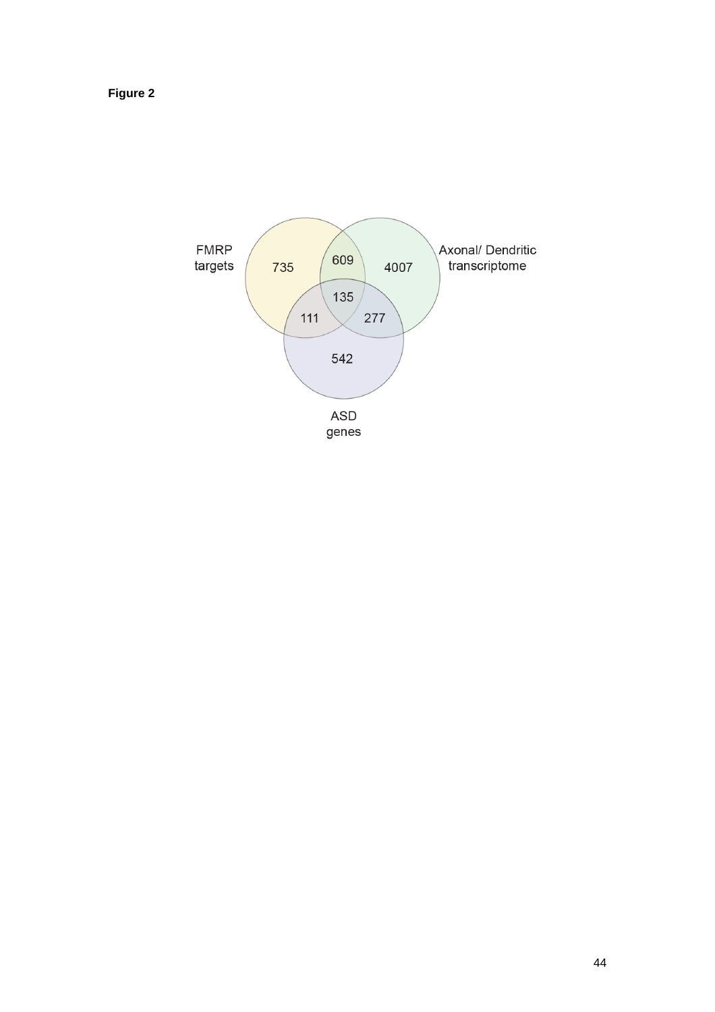**Figure 2**

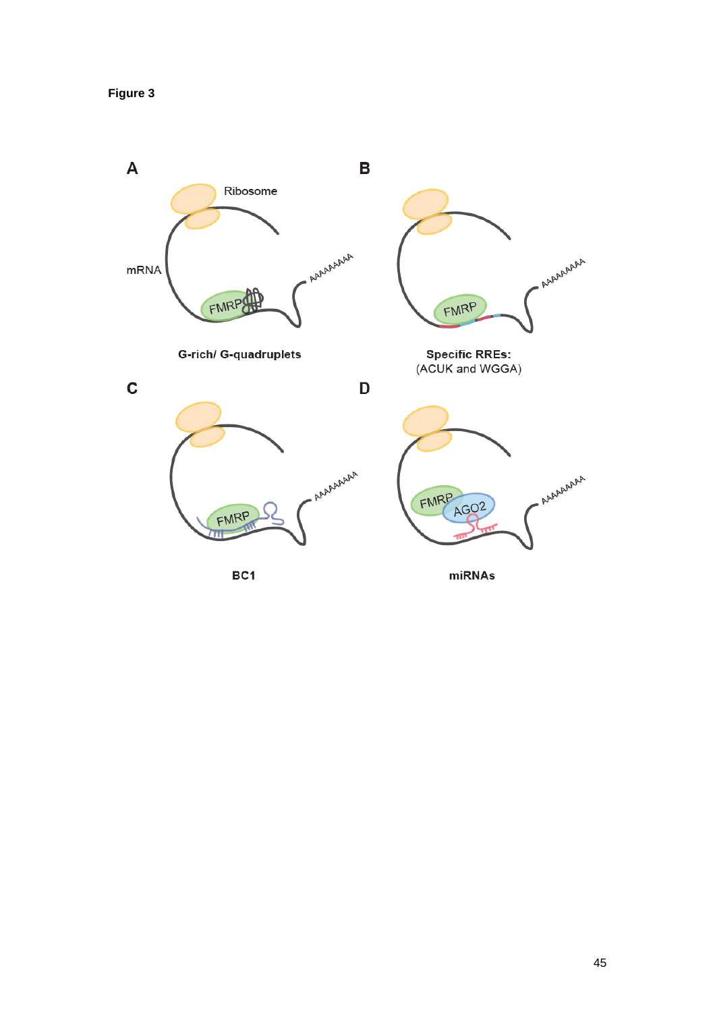